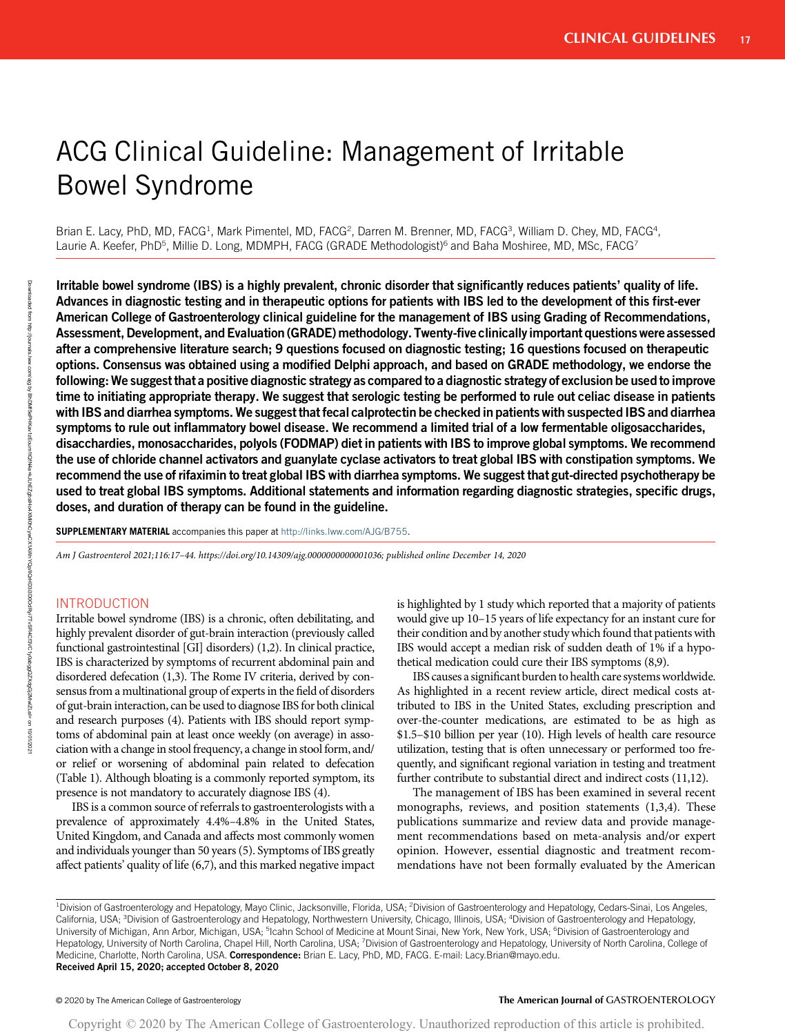# ACG Clinical Guideline: Management of Irritable Bowel Syndrome

Brian E. Lacy, PhD, MD, FACG<sup>1</sup>, Mark Pimentel, MD, FACG<sup>2</sup>, Darren M. Brenner, MD, FACG<sup>3</sup>, William D. Chey, MD, FACG<sup>4</sup>, Laurie A. Keefer, PhD<sup>5</sup>, Millie D. Long, MDMPH, FACG (GRADE Methodologist)<sup>6</sup> and Baha Moshiree, MD, MSc, FACG<sup>7</sup>

Irritable bowel syndrome (IBS) is a highly prevalent, chronic disorder that significantly reduces patients' quality of life. Advances in diagnostic testing and in therapeutic options for patients with IBS led to the development of this first-ever American College of Gastroenterology clinical guideline for the management of IBS using Grading of Recommendations, Assessment, Development, and Evaluation (GRADE) methodology. Twenty-five clinically important questions were assessed after a comprehensive literature search; 9 questions focused on diagnostic testing; 16 questions focused on therapeutic options. Consensus was obtained using a modified Delphi approach, and based on GRADE methodology, we endorse the following: We suggest that a positive diagnostic strategy as compared to a diagnostic strategy of exclusion be used to improve time to initiating appropriate therapy. We suggest that serologic testing be performed to rule out celiac disease in patients with IBS and diarrhea symptoms. We suggest that fecal calprotectin be checked in patients with suspected IBS and diarrhea symptoms to rule out inflammatory bowel disease. We recommend a limited trial of a low fermentable oligosaccharides, disacchardies, monosaccharides, polyols (FODMAP) diet in patients with IBS to improve global symptoms. We recommend the use of chloride channel activators and guanylate cyclase activators to treat global IBS with constipation symptoms. We recommend the use of rifaximin to treat global IBS with diarrhea symptoms. We suggest that gut-directed psychotherapy be used to treat global IBS symptoms. Additional statements and information regarding diagnostic strategies, specific drugs, doses, and duration of therapy can be found in the guideline.

SUPPLEMENTARY MATERIAL accompanies this paper at <http://links.lww.com/AJG/B755>.

Am J Gastroenterol 2021;116:17–44. [https://doi.org/10.14309/ajg.0000000000001036;](https://doi.org/10.14309/ajg.0000000000001036) published online December 14, 2020

# INTRODUCTION

Irritable bowel syndrome (IBS) is a chronic, often debilitating, and highly prevalent disorder of gut-brain interaction (previously called functional gastrointestinal [GI] disorders) (1,2). In clinical practice, IBS is characterized by symptoms of recurrent abdominal pain and disordered defecation (1,3). The Rome IV criteria, derived by consensus from a multinational group of experts in the field of disorders of gut-brain interaction, can be used to diagnose IBS for both clinical and research purposes (4). Patients with IBS should report symptoms of abdominal pain at least once weekly (on average) in association with a change in stool frequency, a change in stool form, and/ or relief or worsening of abdominal pain related to defecation (Table 1). Although bloating is a commonly reported symptom, its presence is not mandatory to accurately diagnose IBS (4).

IBS is a common source of referrals to gastroenterologists with a prevalence of approximately 4.4%–4.8% in the United States, United Kingdom, and Canada and affects most commonly women and individuals younger than 50 years (5). Symptoms of IBS greatly affect patients' quality of life (6,7), and this marked negative impact is highlighted by 1 study which reported that a majority of patients would give up 10–15 years of life expectancy for an instant cure for their condition and by another study which found that patients with IBS would accept a median risk of sudden death of 1% if a hypothetical medication could cure their IBS symptoms (8,9).

IBS causes a significant burden to health care systems worldwide. As highlighted in a recent review article, direct medical costs attributed to IBS in the United States, excluding prescription and over-the-counter medications, are estimated to be as high as \$1.5–\$10 billion per year (10). High levels of health care resource utilization, testing that is often unnecessary or performed too frequently, and significant regional variation in testing and treatment further contribute to substantial direct and indirect costs (11,12).

The management of IBS has been examined in several recent monographs, reviews, and position statements (1,3,4). These publications summarize and review data and provide management recommendations based on meta-analysis and/or expert opinion. However, essential diagnostic and treatment recommendations have not been formally evaluated by the American

#### © 2020 by The American College of Gastroenterology The American Journal of GASTROENTEROLOGY

<sup>&</sup>lt;sup>1</sup>Division of Gastroenterology and Hepatology, Mayo Clinic, Jacksonville, Florida, USA; <sup>2</sup>Division of Gastroenterology and Hepatology, Cedars-Sinai, Los Angeles, California, USA; <sup>3</sup>Division of Gastroenterology and Hepatology, Northwestern University, Chicago, Illinois, USA; <sup>4</sup>Division of Gastroenterology and Hepatology, University of Michigan, Ann Arbor, Michigan, USA; <sup>5</sup>lcahn School of Medicine at Mount Sinai, New York, New York, USA; <sup>6</sup>Division of Gastroenterology and Hepatology, University of North Carolina, Chapel Hill, North Carolina, USA; <sup>7</sup>Division of Gastroenterology and Hepatology, University of North Carolina, College of Medicine, Charlotte, North Carolina, USA. Correspondence: Brian E. Lacy, PhD, MD, FACG. E-mail: [Lacy.Brian@mayo.edu.](mailto:Lacy.Brian@mayo.edu) Received April 15, 2020; accepted October 8, 2020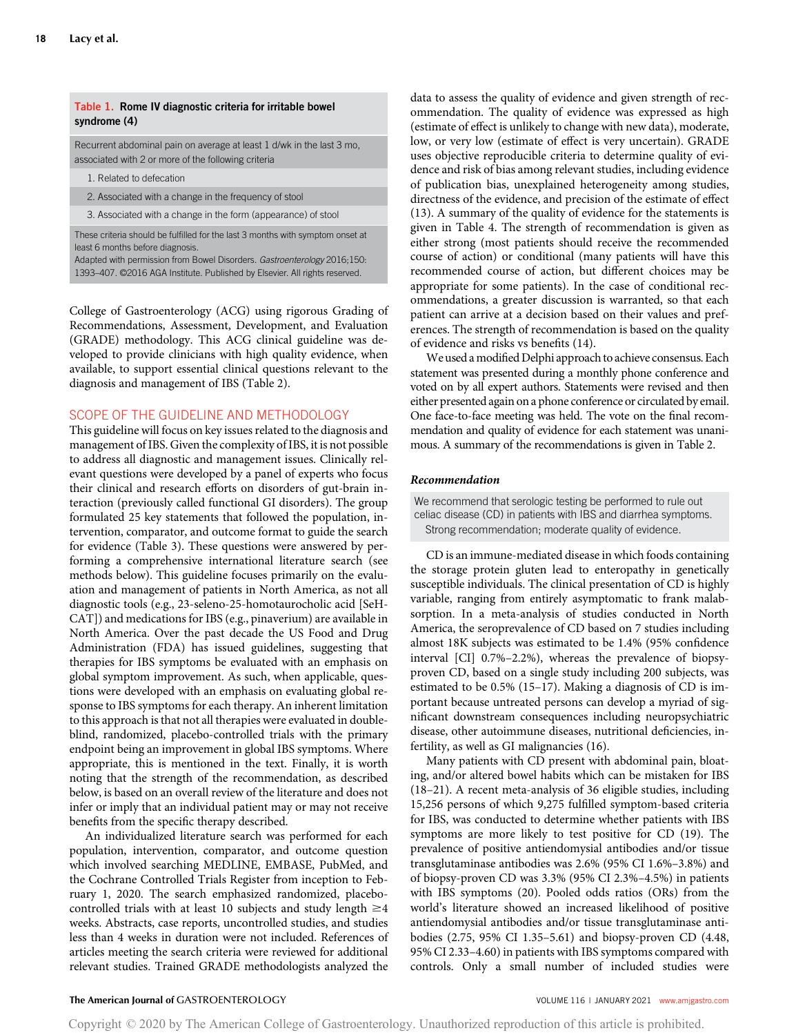# Table 1. Rome IV diagnostic criteria for irritable bowel syndrome (4)

Recurrent abdominal pain on average at least 1 d/wk in the last 3 mo, associated with 2 or more of the following criteria

- 1. Related to defecation
- 2. Associated with a change in the frequency of stool

3. Associated with a change in the form (appearance) of stool

These criteria should be fulfilled for the last 3 months with symptom onset at least 6 months before diagnosis.

Adapted with permission from Bowel Disorders. Gastroenterology 2016;150: 1393–407. ©2016 AGA Institute. Published by Elsevier. All rights reserved.

College of Gastroenterology (ACG) using rigorous Grading of Recommendations, Assessment, Development, and Evaluation (GRADE) methodology. This ACG clinical guideline was developed to provide clinicians with high quality evidence, when available, to support essential clinical questions relevant to the diagnosis and management of IBS (Table 2).

#### SCOPE OF THE GUIDELINE AND METHODOLOGY

This guideline will focus on key issues related to the diagnosis and management of IBS. Given the complexity of IBS, it is not possible to address all diagnostic and management issues. Clinically relevant questions were developed by a panel of experts who focus their clinical and research efforts on disorders of gut-brain interaction (previously called functional GI disorders). The group formulated 25 key statements that followed the population, intervention, comparator, and outcome format to guide the search for evidence (Table 3). These questions were answered by performing a comprehensive international literature search (see methods below). This guideline focuses primarily on the evaluation and management of patients in North America, as not all diagnostic tools (e.g., 23-seleno-25-homotaurocholic acid [SeH-CAT]) and medications for IBS (e.g., pinaverium) are available in North America. Over the past decade the US Food and Drug Administration (FDA) has issued guidelines, suggesting that therapies for IBS symptoms be evaluated with an emphasis on global symptom improvement. As such, when applicable, questions were developed with an emphasis on evaluating global response to IBS symptoms for each therapy. An inherent limitation to this approach is that not all therapies were evaluated in doubleblind, randomized, placebo-controlled trials with the primary endpoint being an improvement in global IBS symptoms. Where appropriate, this is mentioned in the text. Finally, it is worth noting that the strength of the recommendation, as described below, is based on an overall review of the literature and does not infer or imply that an individual patient may or may not receive benefits from the specific therapy described.

An individualized literature search was performed for each population, intervention, comparator, and outcome question which involved searching MEDLINE, EMBASE, PubMed, and the Cochrane Controlled Trials Register from inception to February 1, 2020. The search emphasized randomized, placebocontrolled trials with at least 10 subjects and study length  $\geq$ 4 weeks. Abstracts, case reports, uncontrolled studies, and studies less than 4 weeks in duration were not included. References of articles meeting the search criteria were reviewed for additional relevant studies. Trained GRADE methodologists analyzed the data to assess the quality of evidence and given strength of recommendation. The quality of evidence was expressed as high (estimate of effect is unlikely to change with new data), moderate, low, or very low (estimate of effect is very uncertain). GRADE uses objective reproducible criteria to determine quality of evidence and risk of bias among relevant studies, including evidence of publication bias, unexplained heterogeneity among studies, directness of the evidence, and precision of the estimate of effect (13). A summary of the quality of evidence for the statements is given in Table 4. The strength of recommendation is given as either strong (most patients should receive the recommended course of action) or conditional (many patients will have this recommended course of action, but different choices may be appropriate for some patients). In the case of conditional recommendations, a greater discussion is warranted, so that each patient can arrive at a decision based on their values and preferences. The strength of recommendation is based on the quality of evidence and risks vs benefits (14).

We used a modified Delphi approach to achieve consensus. Each statement was presented during a monthly phone conference and voted on by all expert authors. Statements were revised and then either presented again on a phone conference or circulated by email. One face-to-face meeting was held. The vote on the final recommendation and quality of evidence for each statement was unanimous. A summary of the recommendations is given in Table 2.

#### Recommendation

We recommend that serologic testing be performed to rule out celiac disease (CD) in patients with IBS and diarrhea symptoms. Strong recommendation; moderate quality of evidence.

CD is an immune-mediated disease in which foods containing the storage protein gluten lead to enteropathy in genetically susceptible individuals. The clinical presentation of CD is highly variable, ranging from entirely asymptomatic to frank malabsorption. In a meta-analysis of studies conducted in North America, the seroprevalence of CD based on 7 studies including almost 18K subjects was estimated to be 1.4% (95% confidence interval [CI] 0.7%–2.2%), whereas the prevalence of biopsyproven CD, based on a single study including 200 subjects, was estimated to be 0.5% (15–17). Making a diagnosis of CD is important because untreated persons can develop a myriad of significant downstream consequences including neuropsychiatric disease, other autoimmune diseases, nutritional deficiencies, infertility, as well as GI malignancies (16).

Many patients with CD present with abdominal pain, bloating, and/or altered bowel habits which can be mistaken for IBS (18–21). A recent meta-analysis of 36 eligible studies, including 15,256 persons of which 9,275 fulfilled symptom-based criteria for IBS, was conducted to determine whether patients with IBS symptoms are more likely to test positive for CD (19). The prevalence of positive antiendomysial antibodies and/or tissue transglutaminase antibodies was 2.6% (95% CI 1.6%–3.8%) and of biopsy-proven CD was 3.3% (95% CI 2.3%–4.5%) in patients with IBS symptoms (20). Pooled odds ratios (ORs) from the world's literature showed an increased likelihood of positive antiendomysial antibodies and/or tissue transglutaminase antibodies (2.75, 95% CI 1.35–5.61) and biopsy-proven CD (4.48, 95% CI 2.33–4.60) in patients with IBS symptoms compared with controls. Only a small number of included studies were

#### The American Journal of GASTROENTEROLOGY **And American Journal of GASTROENTEROLOGY VOLUME 116 | JANUARY 2021 [www.amjgastro.com](http://www.amjgastro.com)**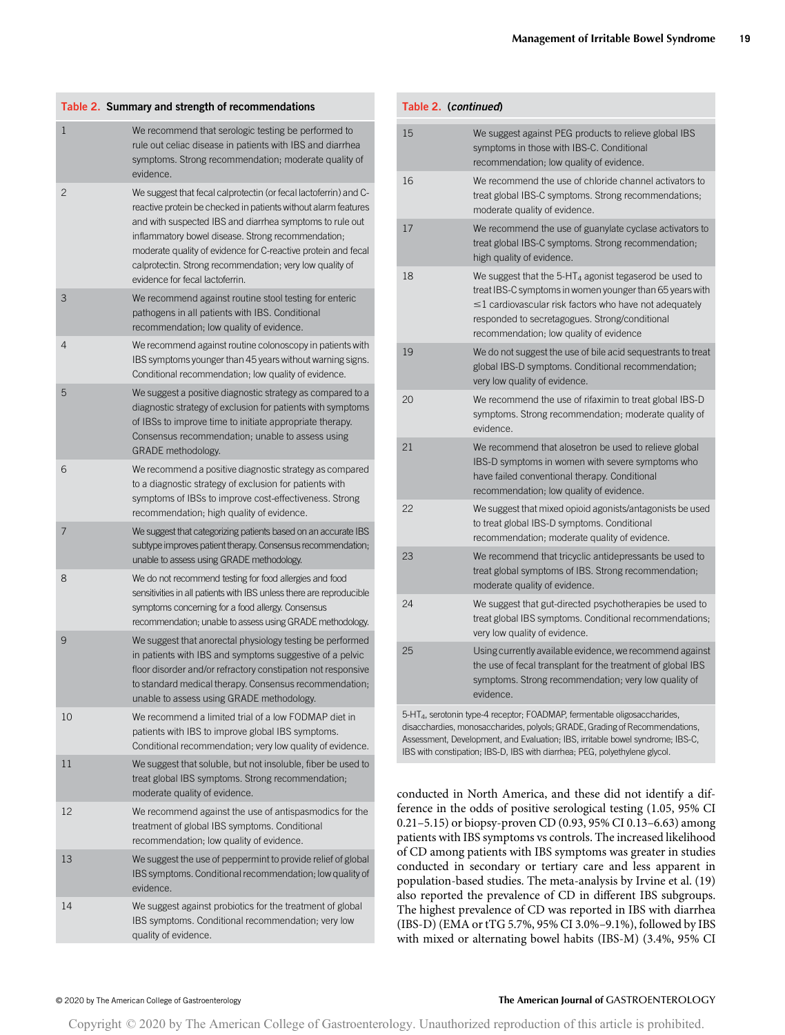|    | Table 2. Summary and strength of recommendations                                                                                                                                                                                                                                                                                                                                                                     |
|----|----------------------------------------------------------------------------------------------------------------------------------------------------------------------------------------------------------------------------------------------------------------------------------------------------------------------------------------------------------------------------------------------------------------------|
| 1  | We recommend that serologic testing be performed to<br>rule out celiac disease in patients with IBS and diarrhea<br>symptoms. Strong recommendation; moderate quality of<br>evidence.                                                                                                                                                                                                                                |
| 2  | We suggest that fecal calprotectin (or fecal lactoferrin) and C-<br>reactive protein be checked in patients without alarm features<br>and with suspected IBS and diarrhea symptoms to rule out<br>inflammatory bowel disease. Strong recommendation;<br>moderate quality of evidence for C-reactive protein and fecal<br>calprotectin. Strong recommendation; very low quality of<br>evidence for fecal lactoferrin. |
| 3  | We recommend against routine stool testing for enteric<br>pathogens in all patients with IBS. Conditional<br>recommendation; low quality of evidence.                                                                                                                                                                                                                                                                |
| 4  | We recommend against routine colonoscopy in patients with<br>IBS symptoms younger than 45 years without warning signs.<br>Conditional recommendation; low quality of evidence.                                                                                                                                                                                                                                       |
| 5  | We suggest a positive diagnostic strategy as compared to a<br>diagnostic strategy of exclusion for patients with symptoms<br>of IBSs to improve time to initiate appropriate therapy.<br>Consensus recommendation; unable to assess using<br>GRADE methodology.                                                                                                                                                      |
| 6  | We recommend a positive diagnostic strategy as compared<br>to a diagnostic strategy of exclusion for patients with<br>symptoms of IBSs to improve cost-effectiveness. Strong<br>recommendation; high quality of evidence.                                                                                                                                                                                            |
| 7  | We suggest that categorizing patients based on an accurate IBS<br>subtype improves patient therapy. Consensus recommendation;<br>unable to assess using GRADE methodology.                                                                                                                                                                                                                                           |
| 8  | We do not recommend testing for food allergies and food<br>sensitivities in all patients with IBS unless there are reproducible<br>symptoms concerning for a food allergy. Consensus<br>recommendation; unable to assess using GRADE methodology.                                                                                                                                                                    |
| 9  | We suggest that anorectal physiology testing be performed<br>in patients with IBS and symptoms suggestive of a pelvic<br>floor disorder and/or refractory constipation not responsive<br>to standard medical therapy. Consensus recommendation;<br>unable to assess using GRADE methodology.                                                                                                                         |
| 10 | We recommend a limited trial of a low FODMAP diet in<br>patients with IBS to improve global IBS symptoms.<br>Conditional recommendation; very low quality of evidence.                                                                                                                                                                                                                                               |
| 11 | We suggest that soluble, but not insoluble, fiber be used to<br>treat global IBS symptoms. Strong recommendation;<br>moderate quality of evidence.                                                                                                                                                                                                                                                                   |
| 12 | We recommend against the use of antispasmodics for the<br>treatment of global IBS symptoms. Conditional<br>recommendation; low quality of evidence.                                                                                                                                                                                                                                                                  |
| 13 | We suggest the use of peppermint to provide relief of global<br>IBS symptoms. Conditional recommendation; low quality of<br>evidence.                                                                                                                                                                                                                                                                                |
| 14 | We suggest against probiotics for the treatment of global<br>IBS symptoms. Conditional recommendation; very low<br>quality of evidence.                                                                                                                                                                                                                                                                              |
|    |                                                                                                                                                                                                                                                                                                                                                                                                                      |

| Table 2. (continued) |                                                                                                                                                                                                                                                                                    |
|----------------------|------------------------------------------------------------------------------------------------------------------------------------------------------------------------------------------------------------------------------------------------------------------------------------|
| 15                   | We suggest against PEG products to relieve global IBS<br>symptoms in those with IBS-C. Conditional<br>recommendation; low quality of evidence.                                                                                                                                     |
| 16                   | We recommend the use of chloride channel activators to<br>treat global IBS-C symptoms. Strong recommendations;<br>moderate quality of evidence.                                                                                                                                    |
| 17                   | We recommend the use of guanylate cyclase activators to<br>treat global IBS-C symptoms. Strong recommendation;<br>high quality of evidence.                                                                                                                                        |
| 18                   | We suggest that the $5-HT_4$ agonist tegaserod be used to<br>treat IBS-C symptoms in women younger than 65 years with<br>$\leq$ 1 cardiovascular risk factors who have not adequately<br>responded to secretagogues. Strong/conditional<br>recommendation; low quality of evidence |
| 19                   | We do not suggest the use of bile acid sequestrants to treat<br>global IBS-D symptoms. Conditional recommendation;<br>very low quality of evidence.                                                                                                                                |
| 20                   | We recommend the use of rifaximin to treat global IBS-D<br>symptoms. Strong recommendation; moderate quality of<br>evidence.                                                                                                                                                       |
| 21                   | We recommend that alosetron be used to relieve global<br>IBS-D symptoms in women with severe symptoms who<br>have failed conventional therapy. Conditional<br>recommendation; low quality of evidence.                                                                             |
| 22                   | We suggest that mixed opioid agonists/antagonists be used<br>to treat global IBS-D symptoms. Conditional<br>recommendation; moderate quality of evidence.                                                                                                                          |
| 23                   | We recommend that tricyclic antidepressants be used to<br>treat global symptoms of IBS. Strong recommendation;<br>moderate quality of evidence.                                                                                                                                    |
| 24                   | We suggest that gut-directed psychotherapies be used to<br>treat global IBS symptoms. Conditional recommendations;<br>very low quality of evidence.                                                                                                                                |
| 25                   | Using currently available evidence, we recommend against<br>the use of fecal transplant for the treatment of global IBS<br>symptoms. Strong recommendation; very low quality of<br>evidence.                                                                                       |
|                      | 5-HT <sub>4</sub> , serotonin type-4 receptor; FOADMAP, fermentable oligosaccharides,<br>disacchardies, monosaccharides, polyols; GRADE, Grading of Recommendations,<br>According to Courtement and Evaluation IDC initable bound and drame IDC C                                  |

Assessment, Development, and Evaluation; IBS, irritable bowel syndrome; IBS-C, IBS with constipation; IBS-D, IBS with diarrhea; PEG, polyethylene glycol.

conducted in North America, and these did not identify a difference in the odds of positive serological testing (1.05, 95% CI 0.21–5.15) or biopsy-proven CD (0.93, 95% CI 0.13–6.63) among patients with IBS symptoms vs controls. The increased likelihood of CD among patients with IBS symptoms was greater in studies conducted in secondary or tertiary care and less apparent in population-based studies. The meta-analysis by Irvine et al. (19) also reported the prevalence of CD in different IBS subgroups. The highest prevalence of CD was reported in IBS with diarrhea (IBS-D) (EMA or tTG 5.7%, 95% CI 3.0%–9.1%), followed by IBS with mixed or alternating bowel habits (IBS-M) (3.4%, 95% CI

#### © 2020 by The American College of Gastroenterology The American Journal of GASTROENTEROLOGY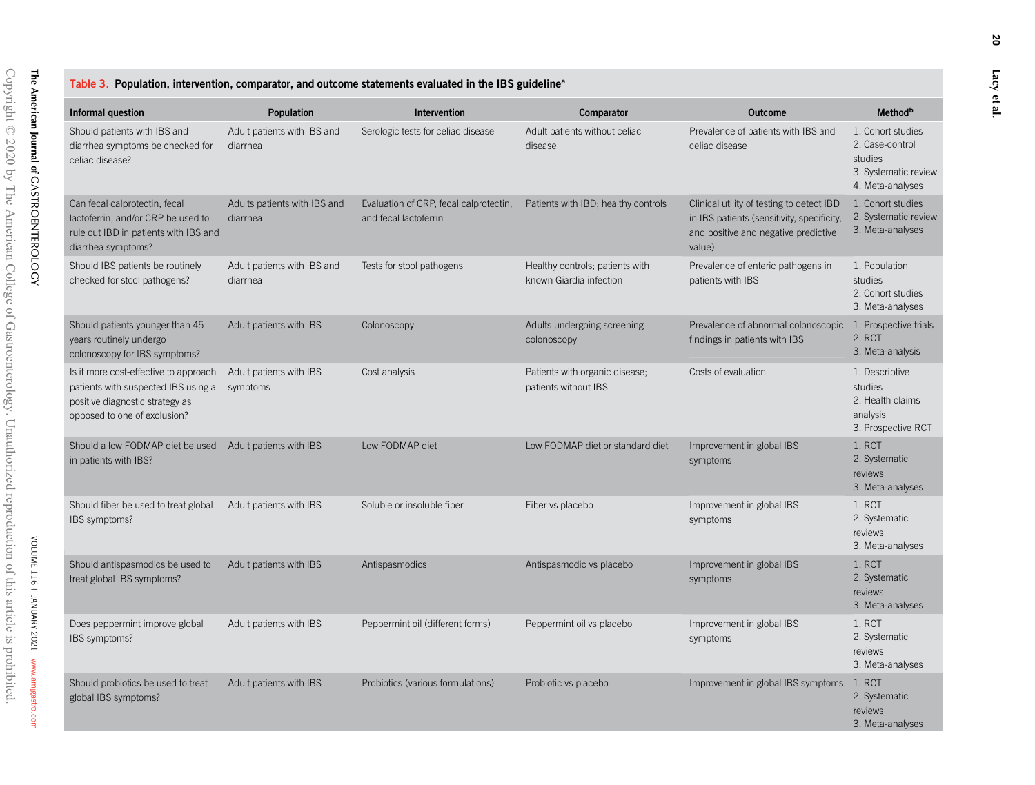VOLUME 116 | JANUARY 2021

VOLUME 116 | JANUARY 2021 www.amjgastro.com

[www.amjgastro.com](http://www.amjgastro.com)

|  |  |  |  | Table 3. Population, intervention, comparator, and outcome statements evaluated in the IBS guideline <sup>a</sup> |  |  |  |  |  |
|--|--|--|--|-------------------------------------------------------------------------------------------------------------------|--|--|--|--|--|
|--|--|--|--|-------------------------------------------------------------------------------------------------------------------|--|--|--|--|--|

| Informal question                                                                                                                               | <b>Population</b>                        | Intervention                                                    | Comparator                                                 | <b>Outcome</b>                                                                                                                            | <b>Method</b> <sup>b</sup>                                                                  |
|-------------------------------------------------------------------------------------------------------------------------------------------------|------------------------------------------|-----------------------------------------------------------------|------------------------------------------------------------|-------------------------------------------------------------------------------------------------------------------------------------------|---------------------------------------------------------------------------------------------|
| Should patients with IBS and<br>diarrhea symptoms be checked for<br>celiac disease?                                                             | Adult patients with IBS and<br>diarrhea  | Serologic tests for celiac disease                              | Adult patients without celiac<br>disease                   | Prevalence of patients with IBS and<br>celiac disease                                                                                     | 1. Cohort studies<br>2. Case-control<br>studies<br>3. Systematic review<br>4. Meta-analyses |
| Can fecal calprotectin, fecal<br>lactoferrin, and/or CRP be used to<br>rule out IBD in patients with IBS and<br>diarrhea symptoms?              | Adults patients with IBS and<br>diarrhea | Evaluation of CRP, fecal calprotectin,<br>and fecal lactoferrin | Patients with IBD; healthy controls                        | Clinical utility of testing to detect IBD<br>in IBS patients (sensitivity, specificity,<br>and positive and negative predictive<br>value) | 1. Cohort studies<br>2. Systematic review<br>3. Meta-analyses                               |
| Should IBS patients be routinely<br>checked for stool pathogens?                                                                                | Adult patients with IBS and<br>diarrhea  | Tests for stool pathogens                                       | Healthy controls; patients with<br>known Giardia infection | Prevalence of enteric pathogens in<br>patients with IBS                                                                                   | 1. Population<br>studies<br>2. Cohort studies<br>3. Meta-analyses                           |
| Should patients younger than 45<br>years routinely undergo<br>colonoscopy for IBS symptoms?                                                     | Adult patients with IBS                  | Colonoscopy                                                     | Adults undergoing screening<br>colonoscopy                 | Prevalence of abnormal colonoscopic<br>findings in patients with IBS                                                                      | 1. Prospective trials<br>2. RCT<br>3. Meta-analysis                                         |
| Is it more cost-effective to approach<br>patients with suspected IBS using a<br>positive diagnostic strategy as<br>opposed to one of exclusion? | Adult patients with IBS<br>symptoms      | Cost analysis                                                   | Patients with organic disease;<br>patients without IBS     | Costs of evaluation                                                                                                                       | 1. Descriptive<br>studies<br>2. Health claims<br>analysis<br>3. Prospective RCT             |
| Should a low FODMAP diet be used<br>in patients with IBS?                                                                                       | Adult patients with IBS                  | Low FODMAP diet                                                 | Low FODMAP diet or standard diet                           | Improvement in global IBS<br>symptoms                                                                                                     | 1. RCT<br>2. Systematic<br>reviews<br>3. Meta-analyses                                      |
| Should fiber be used to treat global<br>IBS symptoms?                                                                                           | Adult patients with IBS                  | Soluble or insoluble fiber                                      | Fiber vs placebo                                           | Improvement in global IBS<br>symptoms                                                                                                     | 1. RCT<br>2. Systematic<br>reviews<br>3. Meta-analyses                                      |
| Should antispasmodics be used to<br>treat global IBS symptoms?                                                                                  | Adult patients with IBS                  | Antispasmodics                                                  | Antispasmodic vs placebo                                   | Improvement in global IBS<br>symptoms                                                                                                     | 1. RCT<br>2. Systematic<br>reviews<br>3. Meta-analyses                                      |
| Does peppermint improve global<br>IBS symptoms?                                                                                                 | Adult patients with IBS                  | Peppermint oil (different forms)                                | Peppermint oil vs placebo                                  | Improvement in global IBS<br>symptoms                                                                                                     | 1. RCT<br>2. Systematic<br>reviews<br>3. Meta-analyses                                      |
| Should probiotics be used to treat<br>global IBS symptoms?                                                                                      | Adult patients with IBS                  | Probiotics (various formulations)                               | Probiotic vs placebo                                       | Improvement in global IBS symptoms                                                                                                        | 1. RCT<br>2. Systematic<br>reviews<br>3. Meta-analyses                                      |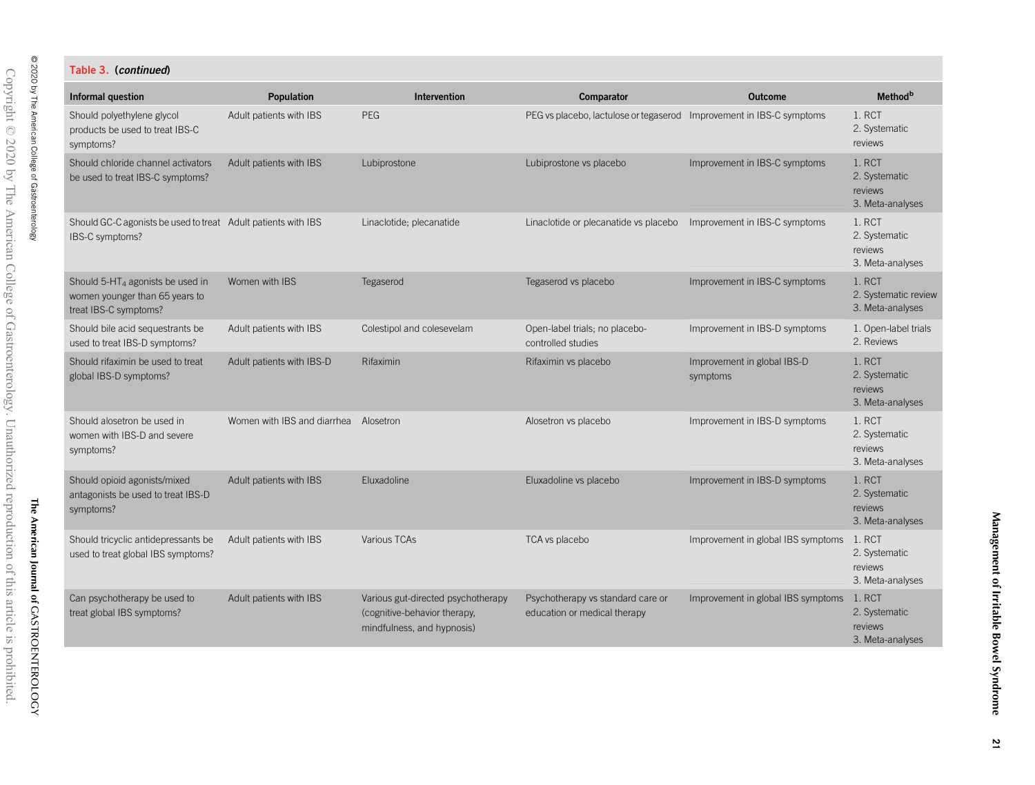# Table 3. (continued)

| <b>Informal question</b>                                                                                | Population                            | Intervention                                                                                     | Comparator                                                        | <b>Outcome</b>                            | <b>Method</b> <sup>b</sup>                             |
|---------------------------------------------------------------------------------------------------------|---------------------------------------|--------------------------------------------------------------------------------------------------|-------------------------------------------------------------------|-------------------------------------------|--------------------------------------------------------|
| Should polyethylene glycol<br>products be used to treat IBS-C<br>symptoms?                              | Adult patients with IBS               | PEG                                                                                              | PEG vs placebo, lactulose or tegaserod                            | Improvement in IBS-C symptoms             | 1. RCT<br>2. Systematic<br>reviews                     |
| Should chloride channel activators<br>be used to treat IBS-C symptoms?                                  | Adult patients with IBS               | Lubiprostone                                                                                     | Lubiprostone vs placebo                                           | Improvement in IBS-C symptoms             | 1. RCT<br>2. Systematic<br>reviews<br>3. Meta-analyses |
| Should GC-C agonists be used to treat Adult patients with IBS<br>IBS-C symptoms?                        |                                       | Linaclotide; plecanatide                                                                         | Linaclotide or plecanatide vs placebo                             | Improvement in IBS-C symptoms             | 1. RCT<br>2. Systematic<br>reviews<br>3. Meta-analyses |
| Should 5-HT <sub>4</sub> agonists be used in<br>women younger than 65 years to<br>treat IBS-C symptoms? | Women with IBS                        | Tegaserod                                                                                        | Tegaserod vs placebo                                              | Improvement in IBS-C symptoms             | 1. RCT<br>2. Systematic review<br>3. Meta-analyses     |
| Should bile acid sequestrants be<br>used to treat IBS-D symptoms?                                       | Adult patients with IBS               | Colestipol and colesevelam                                                                       | Open-label trials; no placebo-<br>controlled studies              | Improvement in IBS-D symptoms             | 1. Open-label trials<br>2. Reviews                     |
| Should rifaximin be used to treat<br>global IBS-D symptoms?                                             | Adult patients with IBS-D             | Rifaximin                                                                                        | Rifaximin vs placebo                                              | Improvement in global IBS-D<br>symptoms   | 1. RCT<br>2. Systematic<br>reviews<br>3. Meta-analyses |
| Should alosetron be used in<br>women with IBS-D and severe<br>symptoms?                                 | Women with IBS and diarrhea Alosetron |                                                                                                  | Alosetron vs placebo                                              | Improvement in IBS-D symptoms             | 1. RCT<br>2. Systematic<br>reviews<br>3. Meta-analyses |
| Should opioid agonists/mixed<br>antagonists be used to treat IBS-D<br>symptoms?                         | Adult patients with IBS               | Eluxadoline                                                                                      | Eluxadoline vs placebo                                            | Improvement in IBS-D symptoms             | 1. RCT<br>2. Systematic<br>reviews<br>3. Meta-analyses |
| Should tricyclic antidepressants be<br>used to treat global IBS symptoms?                               | Adult patients with IBS               | Various TCAs                                                                                     | TCA vs placebo                                                    | Improvement in global IBS symptoms 1. RCT | 2. Systematic<br>reviews<br>3. Meta-analyses           |
| Can psychotherapy be used to<br>treat global IBS symptoms?                                              | Adult patients with IBS               | Various gut-directed psychotherapy<br>(cognitive-behavior therapy,<br>mindfulness, and hypnosis) | Psychotherapy vs standard care or<br>education or medical therapy | Improvement in global IBS symptoms        | 1. RCT<br>2. Systematic<br>reviews<br>3. Meta-analyses |

© 2020 by The American College of Gastroenterology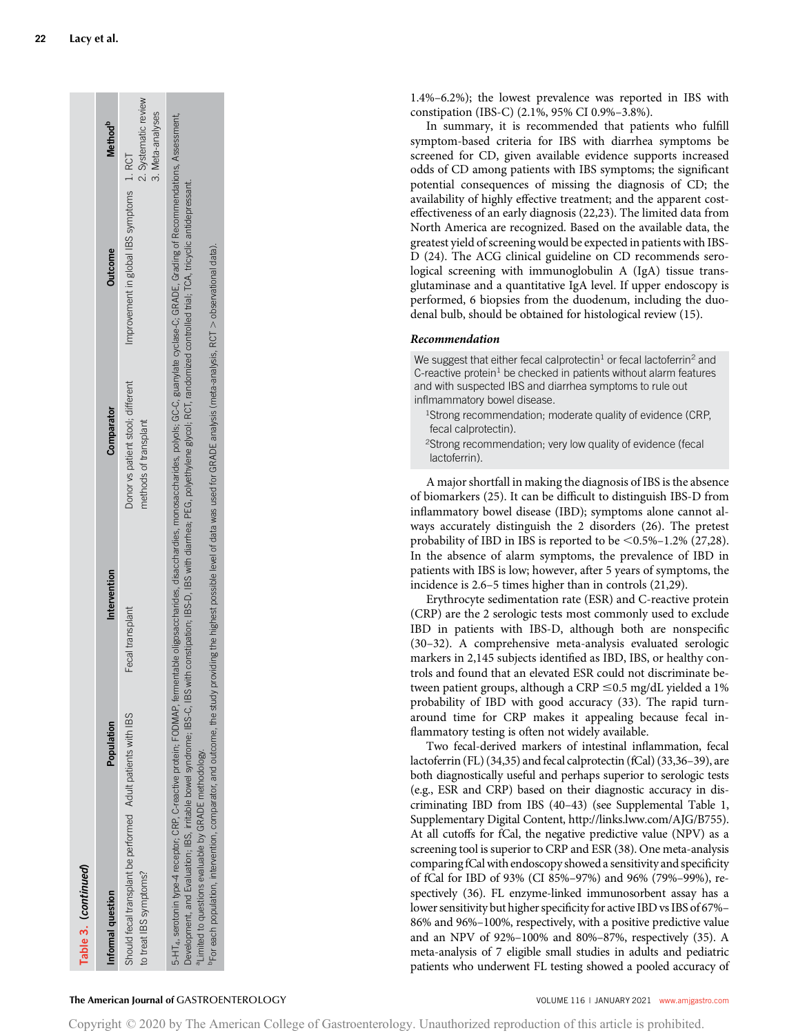| Table 3. (continued)                                                                                                                                                                                                                                                                                                                                                                                                                                                                                                                                                                                                                                                                                  |            |                  |                                                            |                                           |                                          |
|-------------------------------------------------------------------------------------------------------------------------------------------------------------------------------------------------------------------------------------------------------------------------------------------------------------------------------------------------------------------------------------------------------------------------------------------------------------------------------------------------------------------------------------------------------------------------------------------------------------------------------------------------------------------------------------------------------|------------|------------------|------------------------------------------------------------|-------------------------------------------|------------------------------------------|
| Informal question                                                                                                                                                                                                                                                                                                                                                                                                                                                                                                                                                                                                                                                                                     | Population | Intervention     | Comparator                                                 | <b>Outcome</b>                            | <b>Method</b> <sup>b</sup>               |
| Should fecal transplant be performed Adult patients with IBS<br>to treat IBS symptoms?                                                                                                                                                                                                                                                                                                                                                                                                                                                                                                                                                                                                                |            | Fecal transplant | Donor vs patient stool; different<br>methods of transplant | Improvement in global IBS symptoms 1. RCT | 2. Systematic review<br>3. Meta-analyses |
| 5-HT4, serotonin type-4 receptor; CRP, C-reactive protein; FODMAP, fermentable oilgosaccharides, monosaccharides, polyols; GC-C, guanylate cyclase-C; GRADE, Grading of Recommendations, Assessment,<br>Development, and Evaluation; IBS, irritable bowel syndrome; IBS-C, IBS with constipation; IBS-D, IBS with diarrhea; PEG, polyethylene glycol; RCT, randomized controlled trial; TCA, tricyclic antidepressant.<br><sup>p</sup> For each population, intervention, comparator, and outcome, the study providing the highest possible level of data was used for GRADE analysis (meta-analysis, RCT > observational data).<br><sup>1</sup> Limited to questions evaluable by GRADE methodology. |            |                  |                                                            |                                           |                                          |
|                                                                                                                                                                                                                                                                                                                                                                                                                                                                                                                                                                                                                                                                                                       |            |                  |                                                            |                                           |                                          |

1.4%–6.2%); the lowest prevalence was reported in IBS with constipation (IBS-C) (2.1%, 95% CI 0.9%–3.8%).

In summary, it is recommended that patients who fulfill symptom-based criteria for IBS with diarrhea symptoms be screened for CD, given available evidence supports increased odds of CD among patients with IBS symptoms; the significant potential consequences of missing the diagnosis of CD; the availability of highly effective treatment; and the apparent costeffectiveness of an early diagnosis (22,23). The limited data from North America are recognized. Based on the available data, the greatest yield of screening would be expected in patients with IBS-D (24). The ACG clinical guideline on CD recommends serological screening with immunoglobulin A (IgA) tissue transglutaminase and a quantitative IgA level. If upper endoscopy is performed, 6 biopsies from the duodenum, including the duodenal bulb, should be obtained for histological review (15).

# Recommendation

We suggest that either fecal calprotectin<sup>1</sup> or fecal lactoferrin<sup>2</sup> and C-reactive protein<sup>1</sup> be checked in patients without alarm features and with suspected IBS and diarrhea symptoms to rule out inflmammatory bowel disease.

- <sup>1</sup>Strong recommendation; moderate quality of evidence (CRP, fecal calprotectin).
- <sup>2</sup>Strong recommendation; very low quality of evidence (fecal lactoferrin).

A major shortfall in making the diagnosis of IBS is the absence of biomarkers (25). It can be difficult to distinguish IBS-D from inflammatory bowel disease (IBD); symptoms alone cannot always accurately distinguish the 2 disorders (26). The pretest probability of IBD in IBS is reported to be  $\leq 0.5\%$ –1.2% (27,28). In the absence of alarm symptoms, the prevalence of IBD in patients with IBS is low; however, after 5 years of symptoms, the incidence is 2.6–5 times higher than in controls (21,29).

Erythrocyte sedimentation rate (ESR) and C-reactive protein (CRP) are the 2 serologic tests most commonly used to exclude IBD in patients with IBS-D, although both are nonspecific (30–32). A comprehensive meta-analysis evaluated serologic markers in 2,145 subjects identified as IBD, IBS, or healthy controls and found that an elevated ESR could not discriminate between patient groups, although a CRP  $\leq$ 0.5 mg/dL yielded a 1% probability of IBD with good accuracy (33). The rapid turnaround time for CRP makes it appealing because fecal inflammatory testing is often not widely available.

Two fecal-derived markers of intestinal inflammation, fecal lactoferrin (FL) (34,35) and fecal calprotectin (fCal) (33,36–39), are both diagnostically useful and perhaps superior to serologic tests (e.g., ESR and CRP) based on their diagnostic accuracy in discriminating IBD from IBS (40–43) (see Supplemental Table 1, Supplementary Digital Content,<http://links.lww.com/AJG/B755>). At all cutoffs for fCal, the negative predictive value (NPV) as a screening tool is superior to CRP and ESR (38). One meta-analysis comparingfCal with endoscopy showed a sensitivity and specificity of fCal for IBD of 93% (CI 85%–97%) and 96% (79%–99%), respectively (36). FL enzyme-linked immunosorbent assay has a lower sensitivity but higher specificity for active IBD vs IBS of 67%– 86% and 96%–100%, respectively, with a positive predictive value and an NPV of 92%–100% and 80%–87%, respectively (35). A meta-analysis of 7 eligible small studies in adults and pediatric patients who underwent FL testing showed a pooled accuracy of

#### The American Journal of GASTROENTEROLOGY **And American Journal of GASTROENTEROLOGY VOLUME 116 | JANUARY 2021 [www.amjgastro.com](http://www.amjgastro.com)**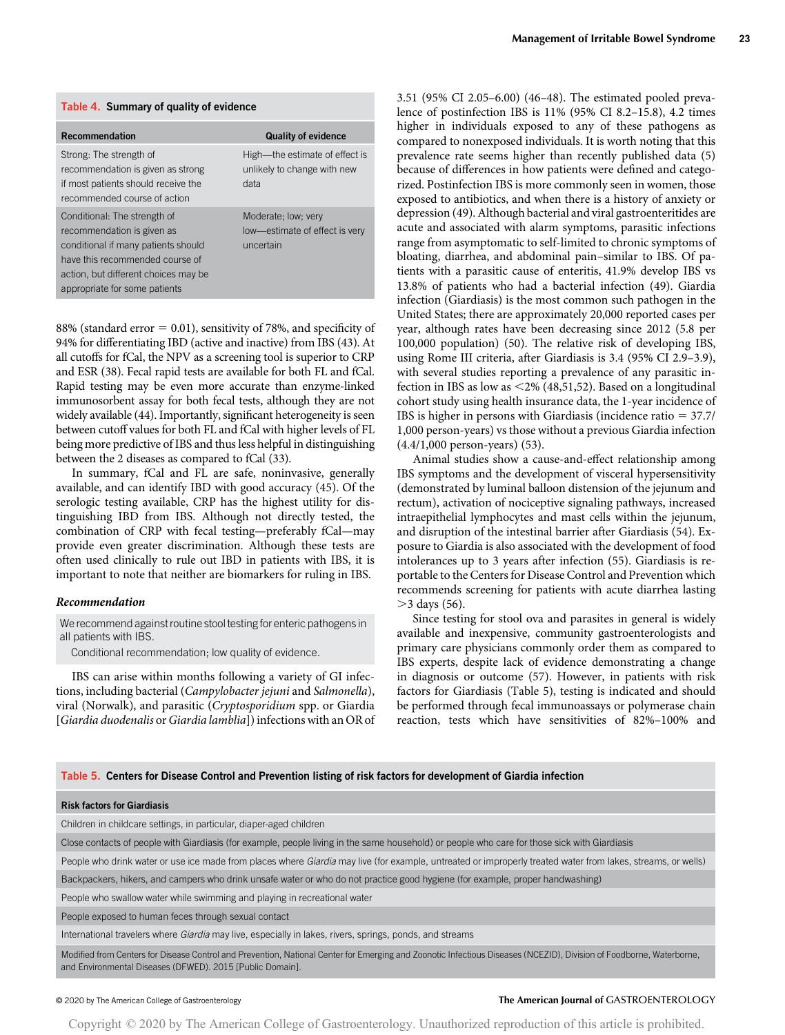| Table 4. Summary of quality of evidence                                                                                                                                                                       |                                                                       |  |  |  |  |
|---------------------------------------------------------------------------------------------------------------------------------------------------------------------------------------------------------------|-----------------------------------------------------------------------|--|--|--|--|
| <b>Recommendation</b>                                                                                                                                                                                         | <b>Quality of evidence</b>                                            |  |  |  |  |
| Strong: The strength of<br>recommendation is given as strong<br>if most patients should receive the<br>recommended course of action                                                                           | High-the estimate of effect is<br>unlikely to change with new<br>data |  |  |  |  |
| Conditional: The strength of<br>recommendation is given as<br>conditional if many patients should<br>have this recommended course of<br>action, but different choices may be<br>appropriate for some patients | Moderate; low; very<br>low-estimate of effect is very<br>uncertain    |  |  |  |  |

88% (standard error  $= 0.01$ ), sensitivity of 78%, and specificity of 94% for differentiating IBD (active and inactive) from IBS (43). At all cutoffs for fCal, the NPV as a screening tool is superior to CRP and ESR (38). Fecal rapid tests are available for both FL and fCal. Rapid testing may be even more accurate than enzyme-linked immunosorbent assay for both fecal tests, although they are not widely available (44). Importantly, significant heterogeneity is seen between cutoff values for both FL and fCal with higher levels of FL being more predictive of IBS and thus less helpful in distinguishing between the 2 diseases as compared to fCal (33).

In summary, fCal and FL are safe, noninvasive, generally available, and can identify IBD with good accuracy (45). Of the serologic testing available, CRP has the highest utility for distinguishing IBD from IBS. Although not directly tested, the combination of CRP with fecal testing—preferably fCal—may provide even greater discrimination. Although these tests are often used clinically to rule out IBD in patients with IBS, it is important to note that neither are biomarkers for ruling in IBS.

#### Recommendation

We recommend against routine stool testing for enteric pathogens in all patients with IBS.

Conditional recommendation; low quality of evidence.

IBS can arise within months following a variety of GI infections, including bacterial (Campylobacter jejuni and Salmonella), viral (Norwalk), and parasitic (Cryptosporidium spp. or Giardia [Giardia duodenalis or Giardia lamblia]) infections with an OR of

3.51 (95% CI 2.05–6.00) (46–48). The estimated pooled prevalence of postinfection IBS is 11% (95% CI 8.2–15.8), 4.2 times higher in individuals exposed to any of these pathogens as compared to nonexposed individuals. It is worth noting that this prevalence rate seems higher than recently published data (5) because of differences in how patients were defined and categorized. Postinfection IBS is more commonly seen in women, those exposed to antibiotics, and when there is a history of anxiety or depression (49). Although bacterial and viral gastroenteritides are acute and associated with alarm symptoms, parasitic infections range from asymptomatic to self-limited to chronic symptoms of bloating, diarrhea, and abdominal pain–similar to IBS. Of patients with a parasitic cause of enteritis, 41.9% develop IBS vs 13.8% of patients who had a bacterial infection (49). Giardia infection (Giardiasis) is the most common such pathogen in the United States; there are approximately 20,000 reported cases per year, although rates have been decreasing since 2012 (5.8 per 100,000 population) (50). The relative risk of developing IBS, using Rome III criteria, after Giardiasis is 3.4 (95% CI 2.9–3.9), with several studies reporting a prevalence of any parasitic infection in IBS as low as  $\leq$ 2% (48,51,52). Based on a longitudinal cohort study using health insurance data, the 1-year incidence of IBS is higher in persons with Giardiasis (incidence ratio  $= 37.7/$ 1,000 person-years) vs those without a previous Giardia infection (4.4/1,000 person-years) (53).

Animal studies show a cause-and-effect relationship among IBS symptoms and the development of visceral hypersensitivity (demonstrated by luminal balloon distension of the jejunum and rectum), activation of nociceptive signaling pathways, increased intraepithelial lymphocytes and mast cells within the jejunum, and disruption of the intestinal barrier after Giardiasis (54). Exposure to Giardia is also associated with the development of food intolerances up to 3 years after infection (55). Giardiasis is reportable to the Centers for Disease Control and Prevention which recommends screening for patients with acute diarrhea lasting  $>$ 3 days (56).

Since testing for stool ova and parasites in general is widely available and inexpensive, community gastroenterologists and primary care physicians commonly order them as compared to IBS experts, despite lack of evidence demonstrating a change in diagnosis or outcome (57). However, in patients with risk factors for Giardiasis (Table 5), testing is indicated and should be performed through fecal immunoassays or polymerase chain reaction, tests which have sensitivities of 82%–100% and

#### Table 5. Centers for Disease Control and Prevention listing of risk factors for development of Giardia infection

#### Risk factors for Giardiasis

Children in childcare settings, in particular, diaper-aged children

Close contacts of people with Giardiasis (for example, people living in the same household) or people who care for those sick with Giardiasis

People who drink water or use ice made from places where Giardia may live (for example, untreated or improperly treated water from lakes, streams, or wells)

Backpackers, hikers, and campers who drink unsafe water or who do not practice good hygiene (for example, proper handwashing)

People who swallow water while swimming and playing in recreational water

People exposed to human feces through sexual contact

International travelers where Giardia may live, especially in lakes, rivers, springs, ponds, and streams

Modified from Centers for Disease Control and Prevention, National Center for Emerging and Zoonotic Infectious Diseases (NCEZID), Division of Foodborne, Waterborne, and Environmental Diseases (DFWED). 2015 [Public Domain].

### © 2020 by The American College of Gastroenterology The American Journal of GASTROENTEROLOGY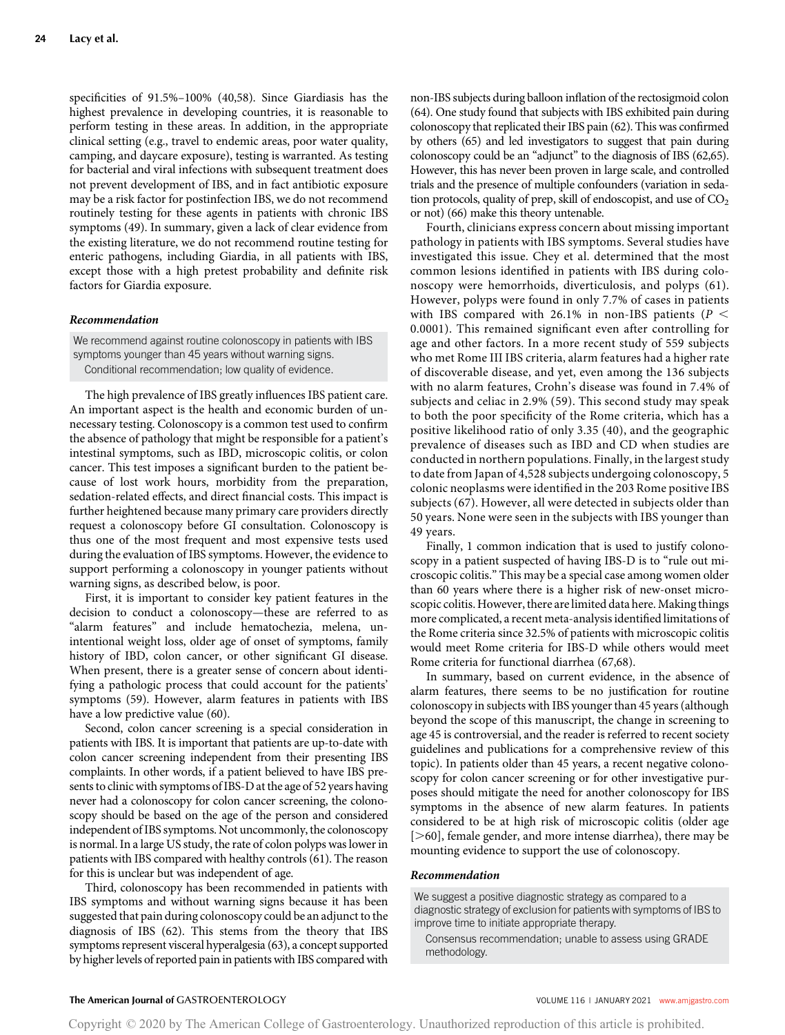specificities of 91.5%–100% (40,58). Since Giardiasis has the highest prevalence in developing countries, it is reasonable to perform testing in these areas. In addition, in the appropriate clinical setting (e.g., travel to endemic areas, poor water quality, camping, and daycare exposure), testing is warranted. As testing for bacterial and viral infections with subsequent treatment does not prevent development of IBS, and in fact antibiotic exposure may be a risk factor for postinfection IBS, we do not recommend routinely testing for these agents in patients with chronic IBS symptoms (49). In summary, given a lack of clear evidence from the existing literature, we do not recommend routine testing for enteric pathogens, including Giardia, in all patients with IBS, except those with a high pretest probability and definite risk factors for Giardia exposure.

#### Recommendation

We recommend against routine colonoscopy in patients with IBS symptoms younger than 45 years without warning signs. Conditional recommendation; low quality of evidence.

The high prevalence of IBS greatly influences IBS patient care. An important aspect is the health and economic burden of unnecessary testing. Colonoscopy is a common test used to confirm the absence of pathology that might be responsible for a patient's intestinal symptoms, such as IBD, microscopic colitis, or colon cancer. This test imposes a significant burden to the patient because of lost work hours, morbidity from the preparation, sedation-related effects, and direct financial costs. This impact is further heightened because many primary care providers directly request a colonoscopy before GI consultation. Colonoscopy is thus one of the most frequent and most expensive tests used during the evaluation of IBS symptoms. However, the evidence to support performing a colonoscopy in younger patients without warning signs, as described below, is poor.

First, it is important to consider key patient features in the decision to conduct a colonoscopy—these are referred to as "alarm features" and include hematochezia, melena, unintentional weight loss, older age of onset of symptoms, family history of IBD, colon cancer, or other significant GI disease. When present, there is a greater sense of concern about identifying a pathologic process that could account for the patients' symptoms (59). However, alarm features in patients with IBS have a low predictive value (60).

Second, colon cancer screening is a special consideration in patients with IBS. It is important that patients are up-to-date with colon cancer screening independent from their presenting IBS complaints. In other words, if a patient believed to have IBS presents to clinic with symptoms of IBS-D at the age of 52 years having never had a colonoscopy for colon cancer screening, the colonoscopy should be based on the age of the person and considered independent of IBS symptoms. Not uncommonly, the colonoscopy is normal. In a large US study, the rate of colon polyps was lower in patients with IBS compared with healthy controls (61). The reason for this is unclear but was independent of age.

Third, colonoscopy has been recommended in patients with IBS symptoms and without warning signs because it has been suggested that pain during colonoscopy could be an adjunct to the diagnosis of IBS (62). This stems from the theory that IBS symptoms represent visceral hyperalgesia (63), a concept supported by higher levels of reported pain in patients with IBS compared with non-IBS subjects during balloon inflation of the rectosigmoid colon (64). One study found that subjects with IBS exhibited pain during colonoscopy that replicated their IBS pain (62). This was confirmed by others (65) and led investigators to suggest that pain during colonoscopy could be an "adjunct" to the diagnosis of IBS (62,65). However, this has never been proven in large scale, and controlled trials and the presence of multiple confounders (variation in sedation protocols, quality of prep, skill of endoscopist, and use of  $CO<sub>2</sub>$ or not) (66) make this theory untenable.

Fourth, clinicians express concern about missing important pathology in patients with IBS symptoms. Several studies have investigated this issue. Chey et al. determined that the most common lesions identified in patients with IBS during colonoscopy were hemorrhoids, diverticulosis, and polyps (61). However, polyps were found in only 7.7% of cases in patients with IBS compared with 26.1% in non-IBS patients ( $P <$ 0.0001). This remained significant even after controlling for age and other factors. In a more recent study of 559 subjects who met Rome III IBS criteria, alarm features had a higher rate of discoverable disease, and yet, even among the 136 subjects with no alarm features, Crohn's disease was found in 7.4% of subjects and celiac in 2.9% (59). This second study may speak to both the poor specificity of the Rome criteria, which has a positive likelihood ratio of only 3.35 (40), and the geographic prevalence of diseases such as IBD and CD when studies are conducted in northern populations. Finally, in the largest study to date from Japan of 4,528 subjects undergoing colonoscopy, 5 colonic neoplasms were identified in the 203 Rome positive IBS subjects (67). However, all were detected in subjects older than 50 years. None were seen in the subjects with IBS younger than 49 years.

Finally, 1 common indication that is used to justify colonoscopy in a patient suspected of having IBS-D is to "rule out microscopic colitis." This may be a special case among women older than 60 years where there is a higher risk of new-onset microscopic colitis. However, there are limited data here. Making things more complicated, a recent meta-analysis identified limitations of the Rome criteria since 32.5% of patients with microscopic colitis would meet Rome criteria for IBS-D while others would meet Rome criteria for functional diarrhea (67,68).

In summary, based on current evidence, in the absence of alarm features, there seems to be no justification for routine colonoscopy in subjects with IBS younger than 45 years (although beyond the scope of this manuscript, the change in screening to age 45 is controversial, and the reader is referred to recent society guidelines and publications for a comprehensive review of this topic). In patients older than 45 years, a recent negative colonoscopy for colon cancer screening or for other investigative purposes should mitigate the need for another colonoscopy for IBS symptoms in the absence of new alarm features. In patients considered to be at high risk of microscopic colitis (older age [ $>60$ ], female gender, and more intense diarrhea), there may be mounting evidence to support the use of colonoscopy.

#### Recommendation

We suggest a positive diagnostic strategy as compared to a diagnostic strategy of exclusion for patients with symptoms of IBS to improve time to initiate appropriate therapy.

Consensus recommendation; unable to assess using GRADE methodology.

#### The American Journal of GASTROENTEROLOGY **Annual American Journal of GASTROENTEROLOGY VOLUME 116 | JANUARY 2021 [www.amjgastro.com](http://www.amjgastro.com)**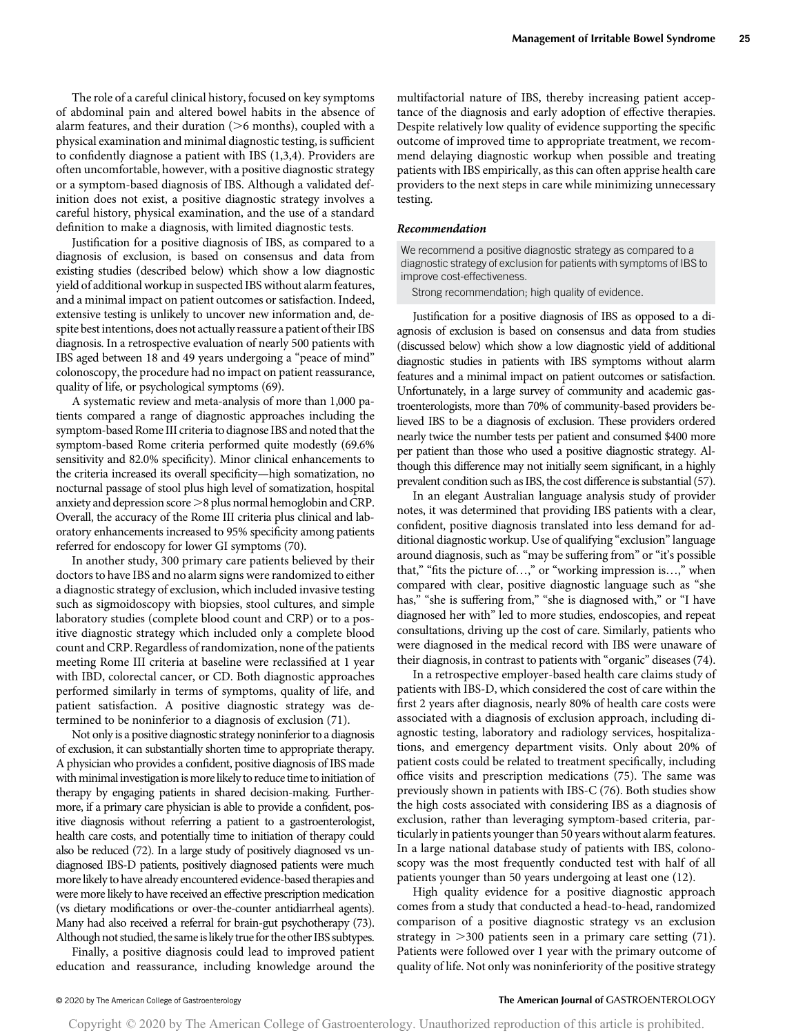The role of a careful clinical history, focused on key symptoms of abdominal pain and altered bowel habits in the absence of alarm features, and their duration  $(>6$  months), coupled with a physical examination and minimal diagnostic testing, is sufficient to confidently diagnose a patient with IBS (1,3,4). Providers are often uncomfortable, however, with a positive diagnostic strategy or a symptom-based diagnosis of IBS. Although a validated definition does not exist, a positive diagnostic strategy involves a careful history, physical examination, and the use of a standard definition to make a diagnosis, with limited diagnostic tests.

Justification for a positive diagnosis of IBS, as compared to a diagnosis of exclusion, is based on consensus and data from existing studies (described below) which show a low diagnostic yield of additional workup in suspected IBS without alarm features, and a minimal impact on patient outcomes or satisfaction. Indeed, extensive testing is unlikely to uncover new information and, despite best intentions, does not actually reassure a patient of their IBS diagnosis. In a retrospective evaluation of nearly 500 patients with IBS aged between 18 and 49 years undergoing a "peace of mind" colonoscopy, the procedure had no impact on patient reassurance, quality of life, or psychological symptoms (69).

A systematic review and meta-analysis of more than 1,000 patients compared a range of diagnostic approaches including the symptom-based Rome III criteria to diagnose IBS and noted that the symptom-based Rome criteria performed quite modestly (69.6% sensitivity and 82.0% specificity). Minor clinical enhancements to the criteria increased its overall specificity—high somatization, no nocturnal passage of stool plus high level of somatization, hospital anxiety and depression score  $>8$  plus normal hemoglobin and CRP. Overall, the accuracy of the Rome III criteria plus clinical and laboratory enhancements increased to 95% specificity among patients referred for endoscopy for lower GI symptoms (70).

In another study, 300 primary care patients believed by their doctors to have IBS and no alarm signs were randomized to either a diagnostic strategy of exclusion, which included invasive testing such as sigmoidoscopy with biopsies, stool cultures, and simple laboratory studies (complete blood count and CRP) or to a positive diagnostic strategy which included only a complete blood count and CRP. Regardless of randomization, none of the patients meeting Rome III criteria at baseline were reclassified at 1 year with IBD, colorectal cancer, or CD. Both diagnostic approaches performed similarly in terms of symptoms, quality of life, and patient satisfaction. A positive diagnostic strategy was determined to be noninferior to a diagnosis of exclusion (71).

Not only is a positive diagnostic strategy noninferior to a diagnosis of exclusion, it can substantially shorten time to appropriate therapy. A physician who provides a confident, positive diagnosis of IBS made with minimal investigation is more likely to reduce time to initiation of therapy by engaging patients in shared decision-making. Furthermore, if a primary care physician is able to provide a confident, positive diagnosis without referring a patient to a gastroenterologist, health care costs, and potentially time to initiation of therapy could also be reduced (72). In a large study of positively diagnosed vs undiagnosed IBS-D patients, positively diagnosed patients were much more likely to have already encountered evidence-based therapies and were more likely to have received an effective prescription medication (vs dietary modifications or over-the-counter antidiarrheal agents). Many had also received a referral for brain-gut psychotherapy (73). Although not studied, the same is likely true for the other IBS subtypes.

Finally, a positive diagnosis could lead to improved patient education and reassurance, including knowledge around the multifactorial nature of IBS, thereby increasing patient acceptance of the diagnosis and early adoption of effective therapies. Despite relatively low quality of evidence supporting the specific outcome of improved time to appropriate treatment, we recommend delaying diagnostic workup when possible and treating patients with IBS empirically, as this can often apprise health care providers to the next steps in care while minimizing unnecessary testing.

#### Recommendation

We recommend a positive diagnostic strategy as compared to a diagnostic strategy of exclusion for patients with symptoms of IBS to improve cost-effectiveness.

Strong recommendation; high quality of evidence.

Justification for a positive diagnosis of IBS as opposed to a diagnosis of exclusion is based on consensus and data from studies (discussed below) which show a low diagnostic yield of additional diagnostic studies in patients with IBS symptoms without alarm features and a minimal impact on patient outcomes or satisfaction. Unfortunately, in a large survey of community and academic gastroenterologists, more than 70% of community-based providers believed IBS to be a diagnosis of exclusion. These providers ordered nearly twice the number tests per patient and consumed \$400 more per patient than those who used a positive diagnostic strategy. Although this difference may not initially seem significant, in a highly prevalent condition such as IBS, the cost difference is substantial (57).

In an elegant Australian language analysis study of provider notes, it was determined that providing IBS patients with a clear, confident, positive diagnosis translated into less demand for additional diagnostic workup. Use of qualifying "exclusion"language around diagnosis, such as "may be suffering from" or "it's possible that," "fits the picture of…," or "working impression is…," when compared with clear, positive diagnostic language such as "she has," "she is suffering from," "she is diagnosed with," or "I have diagnosed her with" led to more studies, endoscopies, and repeat consultations, driving up the cost of care. Similarly, patients who were diagnosed in the medical record with IBS were unaware of their diagnosis, in contrast to patients with "organic" diseases (74).

In a retrospective employer-based health care claims study of patients with IBS-D, which considered the cost of care within the first 2 years after diagnosis, nearly 80% of health care costs were associated with a diagnosis of exclusion approach, including diagnostic testing, laboratory and radiology services, hospitalizations, and emergency department visits. Only about 20% of patient costs could be related to treatment specifically, including office visits and prescription medications (75). The same was previously shown in patients with IBS-C (76). Both studies show the high costs associated with considering IBS as a diagnosis of exclusion, rather than leveraging symptom-based criteria, particularly in patients younger than 50 years without alarm features. In a large national database study of patients with IBS, colonoscopy was the most frequently conducted test with half of all patients younger than 50 years undergoing at least one (12).

High quality evidence for a positive diagnostic approach comes from a study that conducted a head-to-head, randomized comparison of a positive diagnostic strategy vs an exclusion strategy in  $>300$  patients seen in a primary care setting (71). Patients were followed over 1 year with the primary outcome of quality of life. Not only was noninferiority of the positive strategy

#### © 2020 by The American College of Gastroenterology The American Journal of GASTROENTEROLOGY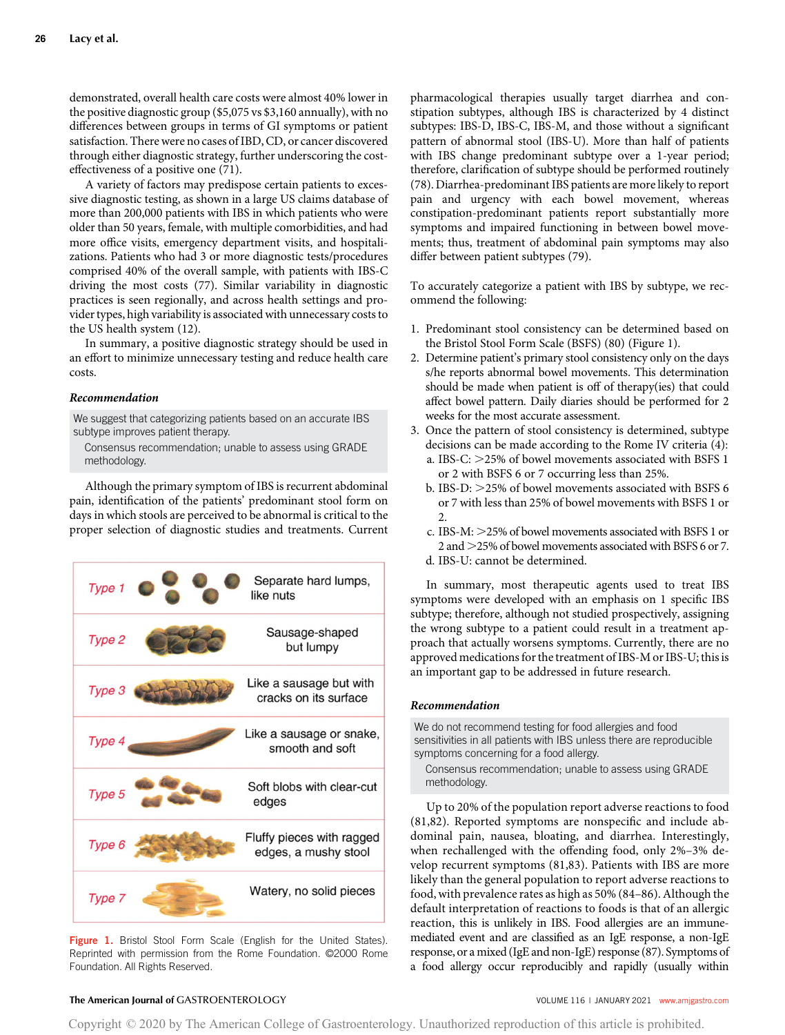demonstrated, overall health care costs were almost 40% lower in the positive diagnostic group (\$5,075 vs \$3,160 annually), with no differences between groups in terms of GI symptoms or patient satisfaction. There were no cases of IBD, CD, or cancer discovered through either diagnostic strategy, further underscoring the costeffectiveness of a positive one (71).

A variety of factors may predispose certain patients to excessive diagnostic testing, as shown in a large US claims database of more than 200,000 patients with IBS in which patients who were older than 50 years, female, with multiple comorbidities, and had more office visits, emergency department visits, and hospitalizations. Patients who had 3 or more diagnostic tests/procedures comprised 40% of the overall sample, with patients with IBS-C driving the most costs (77). Similar variability in diagnostic practices is seen regionally, and across health settings and provider types, high variability is associated with unnecessary costs to the US health system (12).

In summary, a positive diagnostic strategy should be used in an effort to minimize unnecessary testing and reduce health care costs.

# Recommendation

We suggest that categorizing patients based on an accurate IBS subtype improves patient therapy.

Consensus recommendation; unable to assess using GRADE methodology.

Although the primary symptom of IBS is recurrent abdominal pain, identification of the patients' predominant stool form on days in which stools are perceived to be abnormal is critical to the proper selection of diagnostic studies and treatments. Current



Figure 1. Bristol Stool Form Scale (English for the United States). Reprinted with permission from the Rome Foundation. ©2000 Rome Foundation. All Rights Reserved.

pharmacological therapies usually target diarrhea and constipation subtypes, although IBS is characterized by 4 distinct subtypes: IBS-D, IBS-C, IBS-M, and those without a significant pattern of abnormal stool (IBS-U). More than half of patients with IBS change predominant subtype over a 1-year period; therefore, clarification of subtype should be performed routinely (78). Diarrhea-predominant IBS patients are more likely to report pain and urgency with each bowel movement, whereas constipation-predominant patients report substantially more symptoms and impaired functioning in between bowel movements; thus, treatment of abdominal pain symptoms may also differ between patient subtypes (79).

To accurately categorize a patient with IBS by subtype, we recommend the following:

- 1. Predominant stool consistency can be determined based on the Bristol Stool Form Scale (BSFS) (80) (Figure 1).
- 2. Determine patient's primary stool consistency only on the days s/he reports abnormal bowel movements. This determination should be made when patient is off of therapy(ies) that could affect bowel pattern. Daily diaries should be performed for 2 weeks for the most accurate assessment.
- 3. Once the pattern of stool consistency is determined, subtype decisions can be made according to the Rome IV criteria (4):
	- a. IBS-C:  $>$  25% of bowel movements associated with BSFS 1 or 2 with BSFS 6 or 7 occurring less than 25%.
	- b. IBS-D:  $>$  25% of bowel movements associated with BSFS 6 or 7 with less than 25% of bowel movements with BSFS 1 or 2.
	- c. IBS-M:  $>$  25% of bowel movements associated with BSFS 1 or 2 and  $>$  25% of bowel movements associated with BSFS 6 or 7. d. IBS-U: cannot be determined.
	-

In summary, most therapeutic agents used to treat IBS symptoms were developed with an emphasis on 1 specific IBS subtype; therefore, although not studied prospectively, assigning the wrong subtype to a patient could result in a treatment approach that actually worsens symptoms. Currently, there are no approved medications for the treatment of IBS-M or IBS-U; this is an important gap to be addressed in future research.

#### Recommendation

We do not recommend testing for food allergies and food sensitivities in all patients with IBS unless there are reproducible symptoms concerning for a food allergy.

Consensus recommendation; unable to assess using GRADE methodology.

Up to 20% of the population report adverse reactions to food (81,82). Reported symptoms are nonspecific and include abdominal pain, nausea, bloating, and diarrhea. Interestingly, when rechallenged with the offending food, only 2%–3% develop recurrent symptoms (81,83). Patients with IBS are more likely than the general population to report adverse reactions to food, with prevalence rates as high as 50% (84–86). Although the default interpretation of reactions to foods is that of an allergic reaction, this is unlikely in IBS. Food allergies are an immunemediated event and are classified as an IgE response, a non-IgE response, or a mixed (IgE and non-IgE) response (87). Symptoms of a food allergy occur reproducibly and rapidly (usually within

# The American Journal of GASTROENTEROLOGY **And American Journal of GASTROENTEROLOGY VOLUME 116 | JANUARY 2021 [www.amjgastro.com](http://www.amjgastro.com)**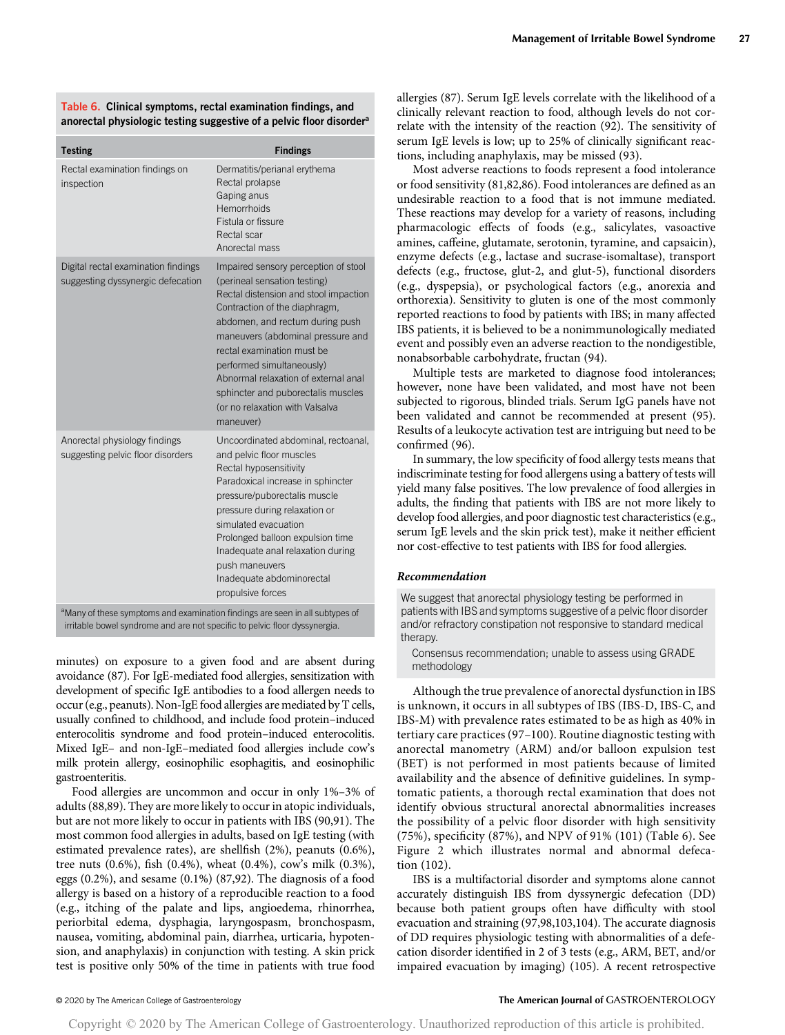Table 6. Clinical symptoms, rectal examination findings, and anorectal physiologic testing suggestive of a pelvic floor disorder<sup>a</sup>

| <b>Testing</b>                                                           | <b>Findings</b>                                                                                                                                                                                                                                                                                                                                                                                                 |
|--------------------------------------------------------------------------|-----------------------------------------------------------------------------------------------------------------------------------------------------------------------------------------------------------------------------------------------------------------------------------------------------------------------------------------------------------------------------------------------------------------|
| Rectal examination findings on<br>inspection                             | Dermatitis/perianal erythema<br>Rectal prolapse<br>Gaping anus<br>Hemorrhoids<br>Fistula or fissure<br>Rectal scar<br>Anorectal mass                                                                                                                                                                                                                                                                            |
| Digital rectal examination findings<br>suggesting dyssynergic defecation | Impaired sensory perception of stool<br>(perineal sensation testing)<br>Rectal distension and stool impaction<br>Contraction of the diaphragm,<br>abdomen, and rectum during push<br>maneuvers (abdominal pressure and<br>rectal examination must be<br>performed simultaneously)<br>Abnormal relaxation of external anal<br>sphincter and puborectalis muscles<br>(or no relaxation with Valsalva<br>maneuver) |
| Anorectal physiology findings<br>suggesting pelvic floor disorders       | Uncoordinated abdominal, rectoanal,<br>and pelvic floor muscles<br>Rectal hyposensitivity<br>Paradoxical increase in sphincter<br>pressure/puborectalis muscle<br>pressure during relaxation or<br>simulated evacuation<br>Prolonged balloon expulsion time<br>Inadequate anal relaxation during<br>push maneuvers<br>Inadequate abdominorectal<br>propulsive forces                                            |

en in all subtype irritable bowel syndrome and are not specific to pelvic floor dyssynergia.

minutes) on exposure to a given food and are absent during avoidance (87). For IgE-mediated food allergies, sensitization with development of specific IgE antibodies to a food allergen needs to occur (e.g., peanuts). Non-IgE food allergies are mediated by T cells, usually confined to childhood, and include food protein–induced enterocolitis syndrome and food protein–induced enterocolitis. Mixed IgE– and non-IgE–mediated food allergies include cow's milk protein allergy, eosinophilic esophagitis, and eosinophilic gastroenteritis.

Food allergies are uncommon and occur in only 1%–3% of adults (88,89). They are more likely to occur in atopic individuals, but are not more likely to occur in patients with IBS (90,91). The most common food allergies in adults, based on IgE testing (with estimated prevalence rates), are shellfish (2%), peanuts (0.6%), tree nuts (0.6%), fish (0.4%), wheat (0.4%), cow's milk (0.3%), eggs (0.2%), and sesame (0.1%) (87,92). The diagnosis of a food allergy is based on a history of a reproducible reaction to a food (e.g., itching of the palate and lips, angioedema, rhinorrhea, periorbital edema, dysphagia, laryngospasm, bronchospasm, nausea, vomiting, abdominal pain, diarrhea, urticaria, hypotension, and anaphylaxis) in conjunction with testing. A skin prick test is positive only 50% of the time in patients with true food allergies (87). Serum IgE levels correlate with the likelihood of a clinically relevant reaction to food, although levels do not correlate with the intensity of the reaction (92). The sensitivity of serum IgE levels is low; up to 25% of clinically significant reactions, including anaphylaxis, may be missed (93).

Most adverse reactions to foods represent a food intolerance or food sensitivity (81,82,86). Food intolerances are defined as an undesirable reaction to a food that is not immune mediated. These reactions may develop for a variety of reasons, including pharmacologic effects of foods (e.g., salicylates, vasoactive amines, caffeine, glutamate, serotonin, tyramine, and capsaicin), enzyme defects (e.g., lactase and sucrase-isomaltase), transport defects (e.g., fructose, glut-2, and glut-5), functional disorders (e.g., dyspepsia), or psychological factors (e.g., anorexia and orthorexia). Sensitivity to gluten is one of the most commonly reported reactions to food by patients with IBS; in many affected IBS patients, it is believed to be a nonimmunologically mediated event and possibly even an adverse reaction to the nondigestible, nonabsorbable carbohydrate, fructan (94).

Multiple tests are marketed to diagnose food intolerances; however, none have been validated, and most have not been subjected to rigorous, blinded trials. Serum IgG panels have not been validated and cannot be recommended at present (95). Results of a leukocyte activation test are intriguing but need to be confirmed (96).

In summary, the low specificity of food allergy tests means that indiscriminate testing for food allergens using a battery of tests will yield many false positives. The low prevalence of food allergies in adults, the finding that patients with IBS are not more likely to develop food allergies, and poor diagnostic test characteristics (e.g., serum IgE levels and the skin prick test), make it neither efficient nor cost-effective to test patients with IBS for food allergies.

#### Recommendation

We suggest that anorectal physiology testing be performed in patients with IBS and symptoms suggestive of a pelvic floor disorder and/or refractory constipation not responsive to standard medical therapy.

Consensus recommendation; unable to assess using GRADE methodology

Although the true prevalence of anorectal dysfunction in IBS is unknown, it occurs in all subtypes of IBS (IBS-D, IBS-C, and IBS-M) with prevalence rates estimated to be as high as 40% in tertiary care practices (97–100). Routine diagnostic testing with anorectal manometry (ARM) and/or balloon expulsion test (BET) is not performed in most patients because of limited availability and the absence of definitive guidelines. In symptomatic patients, a thorough rectal examination that does not identify obvious structural anorectal abnormalities increases the possibility of a pelvic floor disorder with high sensitivity (75%), specificity (87%), and NPV of 91% (101) (Table 6). See Figure 2 which illustrates normal and abnormal defecation (102).

IBS is a multifactorial disorder and symptoms alone cannot accurately distinguish IBS from dyssynergic defecation (DD) because both patient groups often have difficulty with stool evacuation and straining (97,98,103,104). The accurate diagnosis of DD requires physiologic testing with abnormalities of a defecation disorder identified in 2 of 3 tests (e.g., ARM, BET, and/or impaired evacuation by imaging) (105). A recent retrospective

### © 2020 by The American College of Gastroenterology The American Journal of GASTROENTEROLOGY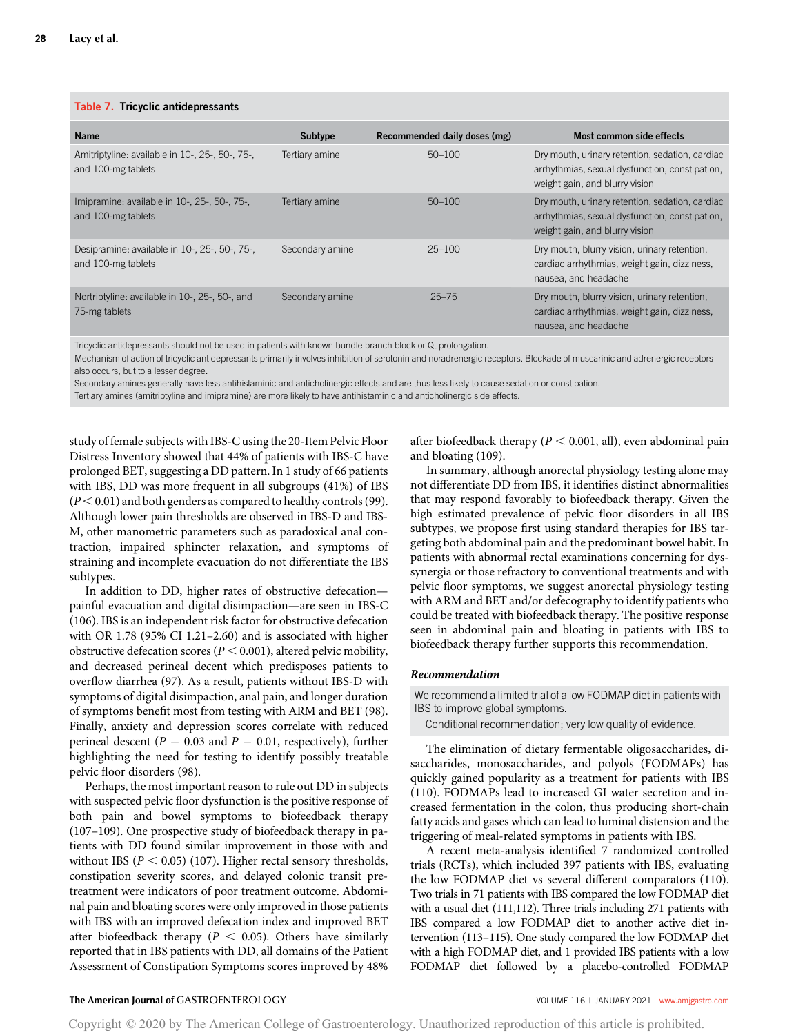#### Table 7. Tricyclic antidepressants

| <b>Name</b>                                                           | Subtype         | Recommended daily doses (mg) | Most common side effects                                                                                                            |
|-----------------------------------------------------------------------|-----------------|------------------------------|-------------------------------------------------------------------------------------------------------------------------------------|
| Amitriptyline: available in 10-, 25-, 50-, 75-,<br>and 100-mg tablets | Tertiary amine  | $50 - 100$                   | Dry mouth, urinary retention, sedation, cardiac<br>arrhythmias, sexual dysfunction, constipation,<br>weight gain, and blurry vision |
| Imipramine: available in 10-, 25-, 50-, 75-,<br>and 100-mg tablets    | Tertiary amine  | $50 - 100$                   | Dry mouth, urinary retention, sedation, cardiac<br>arrhythmias, sexual dysfunction, constipation,<br>weight gain, and blurry vision |
| Desipramine: available in 10-, 25-, 50-, 75-,<br>and 100-mg tablets   | Secondary amine | $25 - 100$                   | Dry mouth, blurry vision, urinary retention,<br>cardiac arrhythmias, weight gain, dizziness,<br>nausea, and headache                |
| Nortriptyline: available in 10-, 25-, 50-, and<br>75-mg tablets       | Secondary amine | $25 - 75$                    | Dry mouth, blurry vision, urinary retention,<br>cardiac arrhythmias, weight gain, dizziness,<br>nausea, and headache                |

Tricyclic antidepressants should not be used in patients with known bundle branch block or Qt prolongation.

Mechanism of action of tricyclic antidepressants primarily involves inhibition of serotonin and noradrenergic receptors. Blockade of muscarinic and adrenergic receptors also occurs, but to a lesser degree.

Secondary amines generally have less antihistaminic and anticholinergic effects and are thus less likely to cause sedation or constipation.

Tertiary amines (amitriptyline and imipramine) are more likely to have antihistaminic and anticholinergic side effects.

study of female subjects with IBS-C using the 20-Item Pelvic Floor Distress Inventory showed that 44% of patients with IBS-C have prolonged BET, suggesting a DD pattern. In 1 study of 66 patients with IBS, DD was more frequent in all subgroups (41%) of IBS  $(P < 0.01)$  and both genders as compared to healthy controls (99). Although lower pain thresholds are observed in IBS-D and IBS-M, other manometric parameters such as paradoxical anal contraction, impaired sphincter relaxation, and symptoms of straining and incomplete evacuation do not differentiate the IBS subtypes.

In addition to DD, higher rates of obstructive defecation painful evacuation and digital disimpaction—are seen in IBS-C (106). IBS is an independent risk factor for obstructive defecation with OR 1.78 (95% CI 1.21–2.60) and is associated with higher obstructive defecation scores ( $P < 0.001$ ), altered pelvic mobility, and decreased perineal decent which predisposes patients to overflow diarrhea (97). As a result, patients without IBS-D with symptoms of digital disimpaction, anal pain, and longer duration of symptoms benefit most from testing with ARM and BET (98). Finally, anxiety and depression scores correlate with reduced perineal descent ( $P = 0.03$  and  $P = 0.01$ , respectively), further highlighting the need for testing to identify possibly treatable pelvic floor disorders (98).

Perhaps, the most important reason to rule out DD in subjects with suspected pelvic floor dysfunction is the positive response of both pain and bowel symptoms to biofeedback therapy (107–109). One prospective study of biofeedback therapy in patients with DD found similar improvement in those with and without IBS ( $P < 0.05$ ) (107). Higher rectal sensory thresholds, constipation severity scores, and delayed colonic transit pretreatment were indicators of poor treatment outcome. Abdominal pain and bloating scores were only improved in those patients with IBS with an improved defecation index and improved BET after biofeedback therapy ( $P < 0.05$ ). Others have similarly reported that in IBS patients with DD, all domains of the Patient Assessment of Constipation Symptoms scores improved by 48%

after biofeedback therapy ( $P < 0.001$ , all), even abdominal pain and bloating (109).

In summary, although anorectal physiology testing alone may not differentiate DD from IBS, it identifies distinct abnormalities that may respond favorably to biofeedback therapy. Given the high estimated prevalence of pelvic floor disorders in all IBS subtypes, we propose first using standard therapies for IBS targeting both abdominal pain and the predominant bowel habit. In patients with abnormal rectal examinations concerning for dyssynergia or those refractory to conventional treatments and with pelvic floor symptoms, we suggest anorectal physiology testing with ARM and BET and/or defecography to identify patients who could be treated with biofeedback therapy. The positive response seen in abdominal pain and bloating in patients with IBS to biofeedback therapy further supports this recommendation.

#### Recommendation

We recommend a limited trial of a low FODMAP diet in patients with IBS to improve global symptoms.

Conditional recommendation; very low quality of evidence.

The elimination of dietary fermentable oligosaccharides, disaccharides, monosaccharides, and polyols (FODMAPs) has quickly gained popularity as a treatment for patients with IBS (110). FODMAPs lead to increased GI water secretion and increased fermentation in the colon, thus producing short-chain fatty acids and gases which can lead to luminal distension and the triggering of meal-related symptoms in patients with IBS.

A recent meta-analysis identified 7 randomized controlled trials (RCTs), which included 397 patients with IBS, evaluating the low FODMAP diet vs several different comparators (110). Two trials in 71 patients with IBS compared the low FODMAP diet with a usual diet (111,112). Three trials including 271 patients with IBS compared a low FODMAP diet to another active diet intervention (113–115). One study compared the low FODMAP diet with a high FODMAP diet, and 1 provided IBS patients with a low FODMAP diet followed by a placebo-controlled FODMAP

### The American Journal of GASTROENTEROLOGY **And American Journal of GASTROENTEROLOGY VOLUME 116 | JANUARY 2021 [www.amjgastro.com](http://www.amjgastro.com)**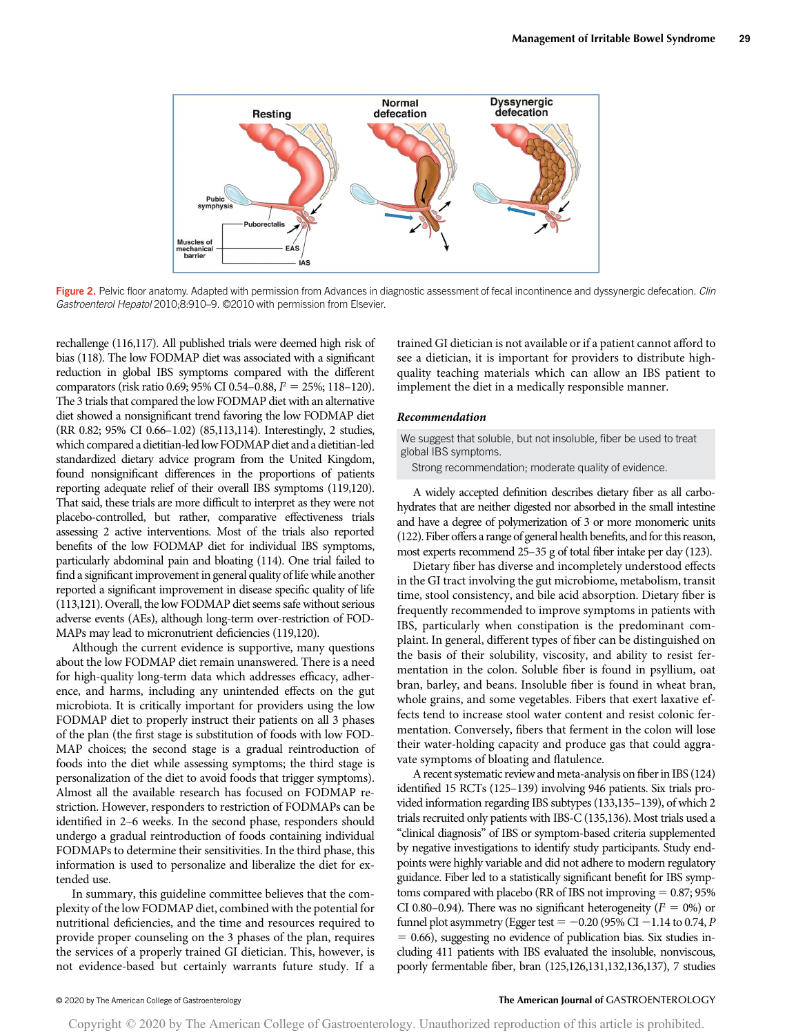

Figure 2. Pelvic floor anatomy. Adapted with permission from Advances in diagnostic assessment of fecal incontinence and dyssynergic defecation. Clin Gastroenterol Hepatol 2010;8:910–9. ©2010 with permission from Elsevier.

rechallenge (116,117). All published trials were deemed high risk of bias (118). The low FODMAP diet was associated with a significant reduction in global IBS symptoms compared with the different comparators (risk ratio 0.69; 95% CI 0.54-0.88,  $P = 25\%$ ; 118-120). The 3 trials that compared the low FODMAP diet with an alternative diet showed a nonsignificant trend favoring the low FODMAP diet (RR 0.82; 95% CI 0.66–1.02) (85,113,114). Interestingly, 2 studies, which compared a dietitian-led low FODMAP diet and a dietitian-led standardized dietary advice program from the United Kingdom, found nonsignificant differences in the proportions of patients reporting adequate relief of their overall IBS symptoms (119,120). That said, these trials are more difficult to interpret as they were not placebo-controlled, but rather, comparative effectiveness trials assessing 2 active interventions. Most of the trials also reported benefits of the low FODMAP diet for individual IBS symptoms, particularly abdominal pain and bloating (114). One trial failed to find a significant improvement in general quality of life while another reported a significant improvement in disease specific quality of life (113,121). Overall, the low FODMAP diet seems safe without serious adverse events (AEs), although long-term over-restriction of FOD-MAPs may lead to micronutrient deficiencies (119,120).

Although the current evidence is supportive, many questions about the low FODMAP diet remain unanswered. There is a need for high-quality long-term data which addresses efficacy, adherence, and harms, including any unintended effects on the gut microbiota. It is critically important for providers using the low FODMAP diet to properly instruct their patients on all 3 phases of the plan (the first stage is substitution of foods with low FOD-MAP choices; the second stage is a gradual reintroduction of foods into the diet while assessing symptoms; the third stage is personalization of the diet to avoid foods that trigger symptoms). Almost all the available research has focused on FODMAP restriction. However, responders to restriction of FODMAPs can be identified in 2–6 weeks. In the second phase, responders should undergo a gradual reintroduction of foods containing individual FODMAPs to determine their sensitivities. In the third phase, this information is used to personalize and liberalize the diet for extended use.

In summary, this guideline committee believes that the complexity of the low FODMAP diet, combined with the potential for nutritional deficiencies, and the time and resources required to provide proper counseling on the 3 phases of the plan, requires the services of a properly trained GI dietician. This, however, is not evidence-based but certainly warrants future study. If a trained GI dietician is not available or if a patient cannot afford to see a dietician, it is important for providers to distribute highquality teaching materials which can allow an IBS patient to implement the diet in a medically responsible manner.

#### Recommendation

We suggest that soluble, but not insoluble, fiber be used to treat global IBS symptoms.

Strong recommendation; moderate quality of evidence.

A widely accepted definition describes dietary fiber as all carbohydrates that are neither digested nor absorbed in the small intestine and have a degree of polymerization of 3 or more monomeric units (122). Fiber offers a range of general health benefits, and for this reason, most experts recommend 25–35 g of total fiber intake per day (123).

Dietary fiber has diverse and incompletely understood effects in the GI tract involving the gut microbiome, metabolism, transit time, stool consistency, and bile acid absorption. Dietary fiber is frequently recommended to improve symptoms in patients with IBS, particularly when constipation is the predominant complaint. In general, different types of fiber can be distinguished on the basis of their solubility, viscosity, and ability to resist fermentation in the colon. Soluble fiber is found in psyllium, oat bran, barley, and beans. Insoluble fiber is found in wheat bran, whole grains, and some vegetables. Fibers that exert laxative effects tend to increase stool water content and resist colonic fermentation. Conversely, fibers that ferment in the colon will lose their water-holding capacity and produce gas that could aggravate symptoms of bloating and flatulence.

A recent systematic review and meta-analysis on fiber in IBS (124) identified 15 RCTs (125–139) involving 946 patients. Six trials provided information regarding IBS subtypes (133,135–139), of which 2 trials recruited only patients with IBS-C (135,136). Most trials used a "clinical diagnosis" of IBS or symptom-based criteria supplemented by negative investigations to identify study participants. Study endpoints were highly variable and did not adhere to modern regulatory guidance. Fiber led to a statistically significant benefit for IBS symptoms compared with placebo (RR of IBS not improving  $= 0.87; 95\%$ CI 0.80–0.94). There was no significant heterogeneity ( $P = 0\%$ ) or funnel plot asymmetry (Egger test  $= -0.20$  (95% CI  $-1.14$  to 0.74, P  $= 0.66$ ), suggesting no evidence of publication bias. Six studies including 411 patients with IBS evaluated the insoluble, nonviscous, poorly fermentable fiber, bran (125,126,131,132,136,137), 7 studies

### © 2020 by The American College of Gastroenterology The American Journal of GASTROENTEROLOGY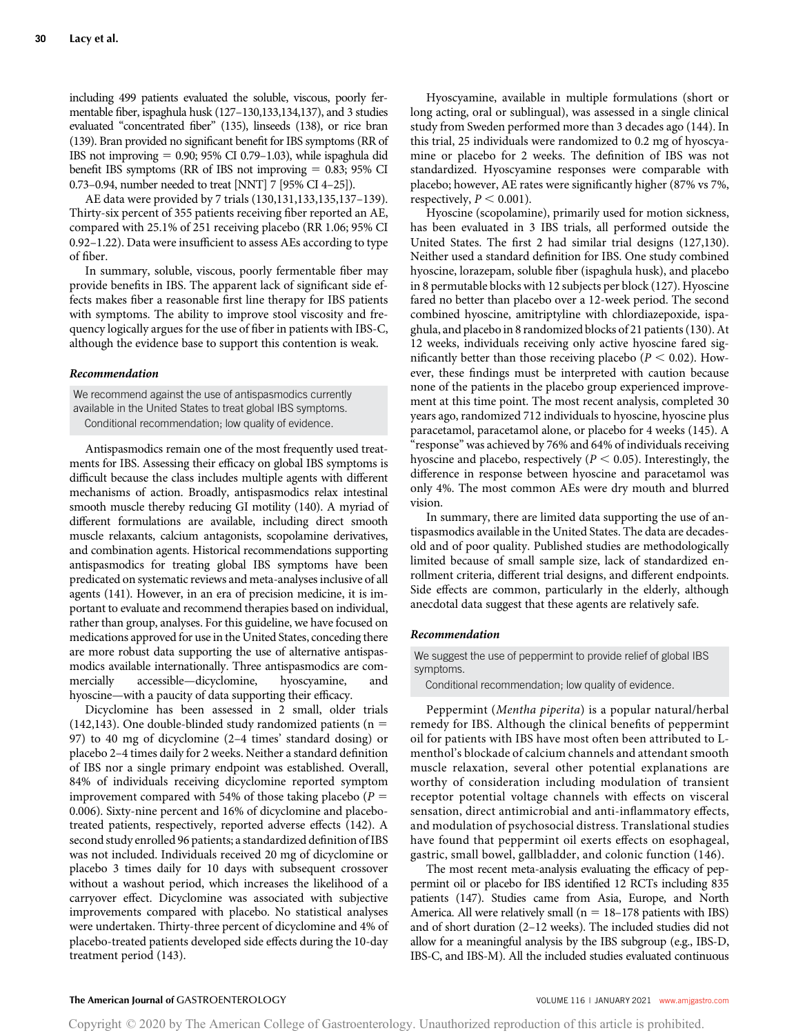including 499 patients evaluated the soluble, viscous, poorly fermentable fiber, ispaghula husk (127–130,133,134,137), and 3 studies evaluated "concentrated fiber" (135), linseeds (138), or rice bran (139). Bran provided no significant benefit for IBS symptoms (RR of IBS not improving  $= 0.90$ ; 95% CI 0.79–1.03), while ispaghula did benefit IBS symptoms (RR of IBS not improving  $= 0.83$ ; 95% CI 0.73–0.94, number needed to treat [NNT] 7 [95% CI 4–25]).

AE data were provided by 7 trials (130,131,133,135,137–139). Thirty-six percent of 355 patients receiving fiber reported an AE, compared with 25.1% of 251 receiving placebo (RR 1.06; 95% CI 0.92–1.22). Data were insufficient to assess AEs according to type of fiber.

In summary, soluble, viscous, poorly fermentable fiber may provide benefits in IBS. The apparent lack of significant side effects makes fiber a reasonable first line therapy for IBS patients with symptoms. The ability to improve stool viscosity and frequency logically argues for the use of fiber in patients with IBS-C, although the evidence base to support this contention is weak.

#### Recommendation

We recommend against the use of antispasmodics currently available in the United States to treat global IBS symptoms. Conditional recommendation; low quality of evidence.

Antispasmodics remain one of the most frequently used treatments for IBS. Assessing their efficacy on global IBS symptoms is difficult because the class includes multiple agents with different mechanisms of action. Broadly, antispasmodics relax intestinal smooth muscle thereby reducing GI motility (140). A myriad of different formulations are available, including direct smooth muscle relaxants, calcium antagonists, scopolamine derivatives, and combination agents. Historical recommendations supporting antispasmodics for treating global IBS symptoms have been predicated on systematic reviews and meta-analyses inclusive of all agents (141). However, in an era of precision medicine, it is important to evaluate and recommend therapies based on individual, rather than group, analyses. For this guideline, we have focused on medications approved for use in the United States, conceding there are more robust data supporting the use of alternative antispasmodics available internationally. Three antispasmodics are commercially accessible—dicyclomine, hyoscyamine, and hyoscine—with a paucity of data supporting their efficacy.

Dicyclomine has been assessed in 2 small, older trials (142,143). One double-blinded study randomized patients ( $n =$ 97) to 40 mg of dicyclomine (2–4 times' standard dosing) or placebo 2–4 times daily for 2 weeks. Neither a standard definition of IBS nor a single primary endpoint was established. Overall, 84% of individuals receiving dicyclomine reported symptom improvement compared with 54% of those taking placebo ( $P =$ 0.006). Sixty-nine percent and 16% of dicyclomine and placebotreated patients, respectively, reported adverse effects (142). A second study enrolled 96 patients; a standardized definition of IBS was not included. Individuals received 20 mg of dicyclomine or placebo 3 times daily for 10 days with subsequent crossover without a washout period, which increases the likelihood of a carryover effect. Dicyclomine was associated with subjective improvements compared with placebo. No statistical analyses were undertaken. Thirty-three percent of dicyclomine and 4% of placebo-treated patients developed side effects during the 10-day treatment period (143).

Hyoscyamine, available in multiple formulations (short or long acting, oral or sublingual), was assessed in a single clinical study from Sweden performed more than 3 decades ago (144). In this trial, 25 individuals were randomized to 0.2 mg of hyoscyamine or placebo for 2 weeks. The definition of IBS was not standardized. Hyoscyamine responses were comparable with placebo; however, AE rates were significantly higher (87% vs 7%, respectively,  $P < 0.001$ ).

Hyoscine (scopolamine), primarily used for motion sickness, has been evaluated in 3 IBS trials, all performed outside the United States. The first 2 had similar trial designs (127,130). Neither used a standard definition for IBS. One study combined hyoscine, lorazepam, soluble fiber (ispaghula husk), and placebo in 8 permutable blocks with 12 subjects per block (127). Hyoscine fared no better than placebo over a 12-week period. The second combined hyoscine, amitriptyline with chlordiazepoxide, ispaghula, and placebo in 8 randomized blocks of 21 patients (130). At 12 weeks, individuals receiving only active hyoscine fared significantly better than those receiving placebo ( $P < 0.02$ ). However, these findings must be interpreted with caution because none of the patients in the placebo group experienced improvement at this time point. The most recent analysis, completed 30 years ago, randomized 712 individuals to hyoscine, hyoscine plus paracetamol, paracetamol alone, or placebo for 4 weeks (145). A "response" was achieved by 76% and 64% of individuals receiving hyoscine and placebo, respectively ( $P < 0.05$ ). Interestingly, the difference in response between hyoscine and paracetamol was only 4%. The most common AEs were dry mouth and blurred vision.

In summary, there are limited data supporting the use of antispasmodics available in the United States. The data are decadesold and of poor quality. Published studies are methodologically limited because of small sample size, lack of standardized enrollment criteria, different trial designs, and different endpoints. Side effects are common, particularly in the elderly, although anecdotal data suggest that these agents are relatively safe.

# Recommendation

We suggest the use of peppermint to provide relief of global IBS symptoms.

Conditional recommendation; low quality of evidence.

Peppermint (Mentha piperita) is a popular natural/herbal remedy for IBS. Although the clinical benefits of peppermint oil for patients with IBS have most often been attributed to Lmenthol's blockade of calcium channels and attendant smooth muscle relaxation, several other potential explanations are worthy of consideration including modulation of transient receptor potential voltage channels with effects on visceral sensation, direct antimicrobial and anti-inflammatory effects, and modulation of psychosocial distress. Translational studies have found that peppermint oil exerts effects on esophageal, gastric, small bowel, gallbladder, and colonic function (146).

The most recent meta-analysis evaluating the efficacy of peppermint oil or placebo for IBS identified 12 RCTs including 835 patients (147). Studies came from Asia, Europe, and North America. All were relatively small ( $n = 18-178$  patients with IBS) and of short duration (2–12 weeks). The included studies did not allow for a meaningful analysis by the IBS subgroup (e.g., IBS-D, IBS-C, and IBS-M). All the included studies evaluated continuous

# The American Journal of GASTROENTEROLOGY **Annual American Journal of GASTROENTEROLOGY VOLUME 116 | JANUARY 2021 [www.amjgastro.com](http://www.amjgastro.com)**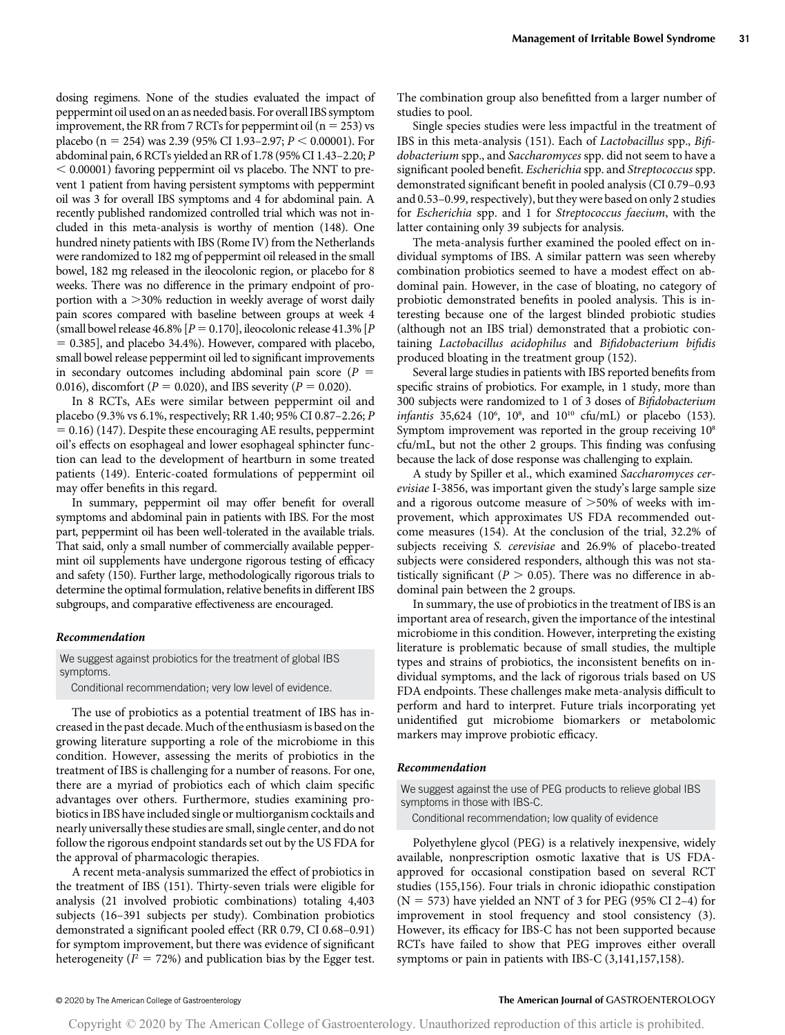dosing regimens. None of the studies evaluated the impact of peppermint oil used on an as needed basis. For overall IBS symptom improvement, the RR from 7 RCTs for peppermint oil ( $n = 253$ ) vs placebo (n = 254) was 2.39 (95% CI 1.93–2.97;  $P \le 0.00001$ ). For abdominal pain, 6 RCTs yielded an RR of 1.78 (95% CI 1.43–2.20; P  $<$  0.00001) favoring peppermint oil vs placebo. The NNT to prevent 1 patient from having persistent symptoms with peppermint oil was 3 for overall IBS symptoms and 4 for abdominal pain. A recently published randomized controlled trial which was not included in this meta-analysis is worthy of mention (148). One hundred ninety patients with IBS (Rome IV) from the Netherlands were randomized to 182 mg of peppermint oil released in the small bowel, 182 mg released in the ileocolonic region, or placebo for 8 weeks. There was no difference in the primary endpoint of proportion with a  $>30\%$  reduction in weekly average of worst daily pain scores compared with baseline between groups at week 4 (small bowel release 46.8% [ $P = 0.170$ ], ileocolonic release 41.3% [ $P$  $= 0.385$ ], and placebo 34.4%). However, compared with placebo, small bowel release peppermint oil led to significant improvements in secondary outcomes including abdominal pain score ( $P =$ 0.016), discomfort ( $P = 0.020$ ), and IBS severity ( $P = 0.020$ ).

In 8 RCTs, AEs were similar between peppermint oil and placebo (9.3% vs 6.1%, respectively; RR 1.40; 95% CI 0.87–2.26; P  $= 0.16$ ) (147). Despite these encouraging AE results, peppermint oil's effects on esophageal and lower esophageal sphincter function can lead to the development of heartburn in some treated patients (149). Enteric-coated formulations of peppermint oil may offer benefits in this regard.

In summary, peppermint oil may offer benefit for overall symptoms and abdominal pain in patients with IBS. For the most part, peppermint oil has been well-tolerated in the available trials. That said, only a small number of commercially available peppermint oil supplements have undergone rigorous testing of efficacy and safety (150). Further large, methodologically rigorous trials to determine the optimal formulation, relative benefits in different IBS subgroups, and comparative effectiveness are encouraged.

#### Recommendation

We suggest against probiotics for the treatment of global IBS symptoms.

Conditional recommendation; very low level of evidence.

The use of probiotics as a potential treatment of IBS has increased in the past decade. Much of the enthusiasm is based on the growing literature supporting a role of the microbiome in this condition. However, assessing the merits of probiotics in the treatment of IBS is challenging for a number of reasons. For one, there are a myriad of probiotics each of which claim specific advantages over others. Furthermore, studies examining probiotics in IBS have included single or multiorganism cocktails and nearly universally these studies are small, single center, and do not follow the rigorous endpoint standards set out by the US FDA for the approval of pharmacologic therapies.

A recent meta-analysis summarized the effect of probiotics in the treatment of IBS (151). Thirty-seven trials were eligible for analysis (21 involved probiotic combinations) totaling 4,403 subjects (16–391 subjects per study). Combination probiotics demonstrated a significant pooled effect (RR 0.79, CI 0.68–0.91) for symptom improvement, but there was evidence of significant heterogeneity ( $I^2 = 72\%$ ) and publication bias by the Egger test. The combination group also benefitted from a larger number of studies to pool.

Single species studies were less impactful in the treatment of IBS in this meta-analysis (151). Each of Lactobacillus spp., Bifidobacterium spp., and Saccharomyces spp. did not seem to have a significant pooled benefit. Escherichia spp. and Streptococcus spp. demonstrated significant benefit in pooled analysis (CI 0.79–0.93 and 0.53–0.99, respectively), but they were based on only 2 studies for Escherichia spp. and 1 for Streptococcus faecium, with the latter containing only 39 subjects for analysis.

The meta-analysis further examined the pooled effect on individual symptoms of IBS. A similar pattern was seen whereby combination probiotics seemed to have a modest effect on abdominal pain. However, in the case of bloating, no category of probiotic demonstrated benefits in pooled analysis. This is interesting because one of the largest blinded probiotic studies (although not an IBS trial) demonstrated that a probiotic containing Lactobacillus acidophilus and Bifidobacterium bifidis produced bloating in the treatment group (152).

Several large studies in patients with IBS reported benefits from specific strains of probiotics. For example, in 1 study, more than 300 subjects were randomized to 1 of 3 doses of Bifidobacterium infantis 35,624 ( $10^6$ ,  $10^8$ , and  $10^{10}$  cfu/mL) or placebo (153). Symptom improvement was reported in the group receiving  $10^8$ cfu/mL, but not the other 2 groups. This finding was confusing because the lack of dose response was challenging to explain.

A study by Spiller et al., which examined Saccharomyces cerevisiae I-3856, was important given the study's large sample size and a rigorous outcome measure of  $>50\%$  of weeks with improvement, which approximates US FDA recommended outcome measures (154). At the conclusion of the trial, 32.2% of subjects receiving S. cerevisiae and 26.9% of placebo-treated subjects were considered responders, although this was not statistically significant ( $P > 0.05$ ). There was no difference in abdominal pain between the 2 groups.

In summary, the use of probiotics in the treatment of IBS is an important area of research, given the importance of the intestinal microbiome in this condition. However, interpreting the existing literature is problematic because of small studies, the multiple types and strains of probiotics, the inconsistent benefits on individual symptoms, and the lack of rigorous trials based on US FDA endpoints. These challenges make meta-analysis difficult to perform and hard to interpret. Future trials incorporating yet unidentified gut microbiome biomarkers or metabolomic markers may improve probiotic efficacy.

#### Recommendation

We suggest against the use of PEG products to relieve global IBS symptoms in those with IBS-C.

Conditional recommendation; low quality of evidence

Polyethylene glycol (PEG) is a relatively inexpensive, widely available, nonprescription osmotic laxative that is US FDAapproved for occasional constipation based on several RCT studies (155,156). Four trials in chronic idiopathic constipation  $(N = 573)$  have yielded an NNT of 3 for PEG (95% CI 2-4) for improvement in stool frequency and stool consistency (3). However, its efficacy for IBS-C has not been supported because RCTs have failed to show that PEG improves either overall symptoms or pain in patients with IBS-C (3,141,157,158).

### © 2020 by The American College of Gastroenterology The American Journal of GASTROENTEROLOGY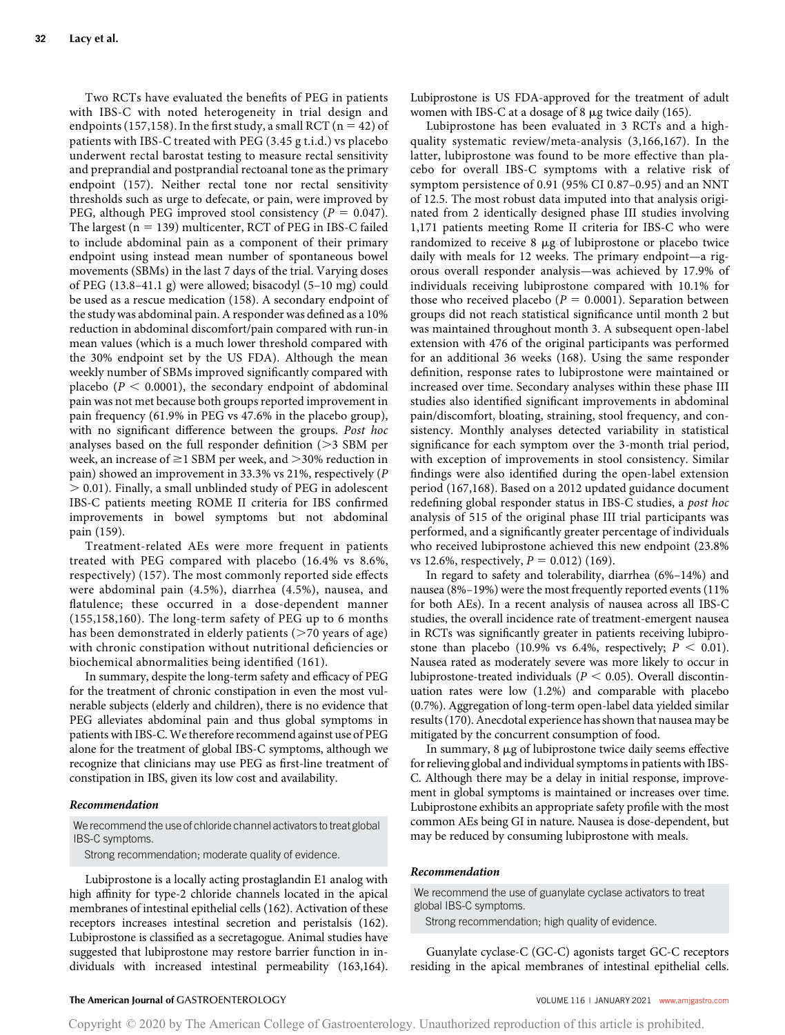Two RCTs have evaluated the benefits of PEG in patients with IBS-C with noted heterogeneity in trial design and endpoints (157,158). In the first study, a small RCT ( $n = 42$ ) of patients with IBS-C treated with PEG (3.45 g t.i.d.) vs placebo underwent rectal barostat testing to measure rectal sensitivity and preprandial and postprandial rectoanal tone as the primary endpoint (157). Neither rectal tone nor rectal sensitivity thresholds such as urge to defecate, or pain, were improved by PEG, although PEG improved stool consistency ( $P = 0.047$ ). The largest ( $n = 139$ ) multicenter, RCT of PEG in IBS-C failed to include abdominal pain as a component of their primary endpoint using instead mean number of spontaneous bowel movements (SBMs) in the last 7 days of the trial. Varying doses of PEG (13.8–41.1 g) were allowed; bisacodyl (5–10 mg) could be used as a rescue medication (158). A secondary endpoint of the study was abdominal pain. A responder was defined as a 10% reduction in abdominal discomfort/pain compared with run-in mean values (which is a much lower threshold compared with the 30% endpoint set by the US FDA). Although the mean weekly number of SBMs improved significantly compared with placebo ( $P < 0.0001$ ), the secondary endpoint of abdominal pain was not met because both groups reported improvement in pain frequency (61.9% in PEG vs 47.6% in the placebo group), with no significant difference between the groups. Post hoc analyses based on the full responder definition  $(>= 3$  SBM per week, an increase of  $\geq$ 1 SBM per week, and  $>$ 30% reduction in pain) showed an improvement in 33.3% vs 21%, respectively (P  $> 0.01$ ). Finally, a small unblinded study of PEG in adolescent IBS-C patients meeting ROME II criteria for IBS confirmed improvements in bowel symptoms but not abdominal pain (159).

Treatment-related AEs were more frequent in patients treated with PEG compared with placebo (16.4% vs 8.6%, respectively) (157). The most commonly reported side effects were abdominal pain (4.5%), diarrhea (4.5%), nausea, and flatulence; these occurred in a dose-dependent manner (155,158,160). The long-term safety of PEG up to 6 months has been demonstrated in elderly patients  $($ >70 years of age) with chronic constipation without nutritional deficiencies or biochemical abnormalities being identified (161).

In summary, despite the long-term safety and efficacy of PEG for the treatment of chronic constipation in even the most vulnerable subjects (elderly and children), there is no evidence that PEG alleviates abdominal pain and thus global symptoms in patients with IBS-C.We therefore recommend against use of PEG alone for the treatment of global IBS-C symptoms, although we recognize that clinicians may use PEG as first-line treatment of constipation in IBS, given its low cost and availability.

#### Recommendation

We recommend the use of chloride channel activators to treat global IBS-C symptoms.

Strong recommendation; moderate quality of evidence.

Lubiprostone is a locally acting prostaglandin E1 analog with high affinity for type-2 chloride channels located in the apical membranes of intestinal epithelial cells (162). Activation of these receptors increases intestinal secretion and peristalsis (162). Lubiprostone is classified as a secretagogue. Animal studies have suggested that lubiprostone may restore barrier function in individuals with increased intestinal permeability (163,164). Lubiprostone is US FDA-approved for the treatment of adult women with IBS-C at a dosage of 8  $\mu$ g twice daily (165).

Lubiprostone has been evaluated in 3 RCTs and a highquality systematic review/meta-analysis (3,166,167). In the latter, lubiprostone was found to be more effective than placebo for overall IBS-C symptoms with a relative risk of symptom persistence of 0.91 (95% CI 0.87–0.95) and an NNT of 12.5. The most robust data imputed into that analysis originated from 2 identically designed phase III studies involving 1,171 patients meeting Rome II criteria for IBS-C who were randomized to receive 8 µg of lubiprostone or placebo twice daily with meals for 12 weeks. The primary endpoint—a rigorous overall responder analysis—was achieved by 17.9% of individuals receiving lubiprostone compared with 10.1% for those who received placebo ( $P = 0.0001$ ). Separation between groups did not reach statistical significance until month 2 but was maintained throughout month 3. A subsequent open-label extension with 476 of the original participants was performed for an additional 36 weeks (168). Using the same responder definition, response rates to lubiprostone were maintained or increased over time. Secondary analyses within these phase III studies also identified significant improvements in abdominal pain/discomfort, bloating, straining, stool frequency, and consistency. Monthly analyses detected variability in statistical significance for each symptom over the 3-month trial period, with exception of improvements in stool consistency. Similar findings were also identified during the open-label extension period (167,168). Based on a 2012 updated guidance document redefining global responder status in IBS-C studies, a post hoc analysis of 515 of the original phase III trial participants was performed, and a significantly greater percentage of individuals who received lubiprostone achieved this new endpoint (23.8% vs 12.6%, respectively,  $P = 0.012$ ) (169).

In regard to safety and tolerability, diarrhea (6%–14%) and nausea (8%–19%) were the most frequently reported events (11% for both AEs). In a recent analysis of nausea across all IBS-C studies, the overall incidence rate of treatment-emergent nausea in RCTs was significantly greater in patients receiving lubiprostone than placebo (10.9% vs 6.4%, respectively;  $P < 0.01$ ). Nausea rated as moderately severe was more likely to occur in lubiprostone-treated individuals ( $P < 0.05$ ). Overall discontinuation rates were low (1.2%) and comparable with placebo (0.7%). Aggregation of long-term open-label data yielded similar results (170). Anecdotal experience has shown that nausea may be mitigated by the concurrent consumption of food.

In summary,  $8 \mu g$  of lubiprostone twice daily seems effective for relieving global and individual symptoms in patients with IBS-C. Although there may be a delay in initial response, improvement in global symptoms is maintained or increases over time. Lubiprostone exhibits an appropriate safety profile with the most common AEs being GI in nature. Nausea is dose-dependent, but may be reduced by consuming lubiprostone with meals.

#### Recommendation

We recommend the use of guanylate cyclase activators to treat global IBS-C symptoms.

Strong recommendation; high quality of evidence.

Guanylate cyclase-C (GC-C) agonists target GC-C receptors residing in the apical membranes of intestinal epithelial cells.

#### The American Journal of GASTROENTEROLOGY **And American Journal of GASTROENTEROLOGY VOLUME 116 | JANUARY 2021 [www.amjgastro.com](http://www.amjgastro.com)**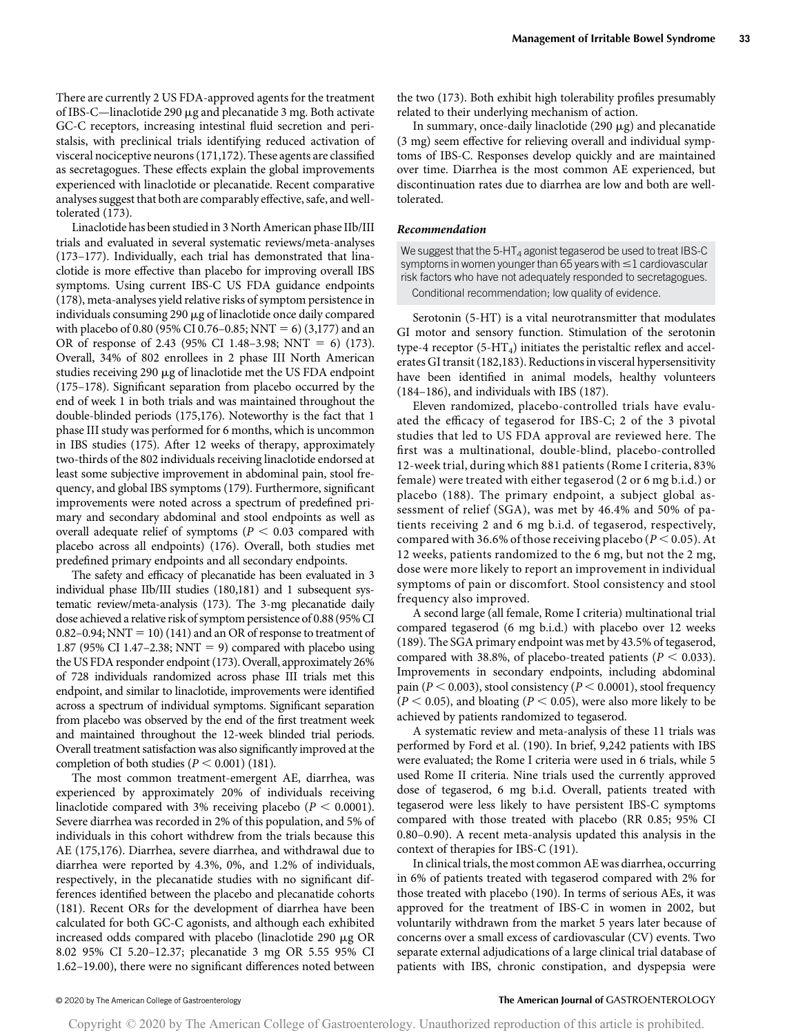There are currently 2 US FDA-approved agents for the treatment of IBS-C—linaclotide 290 µg and plecanatide 3 mg. Both activate GC-C receptors, increasing intestinal fluid secretion and peristalsis, with preclinical trials identifying reduced activation of visceral nociceptive neurons (171,172). These agents are classified as secretagogues. These effects explain the global improvements experienced with linaclotide or plecanatide. Recent comparative analyses suggest that both are comparably effective, safe, and welltolerated (173).

Linaclotide has been studied in 3 North American phase IIb/III trials and evaluated in several systematic reviews/meta-analyses (173–177). Individually, each trial has demonstrated that linaclotide is more effective than placebo for improving overall IBS symptoms. Using current IBS-C US FDA guidance endpoints (178), meta-analyses yield relative risks of symptom persistence in individuals consuming 290  $\mu$ g of linaclotide once daily compared with placebo of 0.80 (95% CI 0.76–0.85; NNT = 6) (3,177) and an OR of response of 2.43 (95% CI 1.48–3.98; NNT = 6) (173). Overall, 34% of 802 enrollees in 2 phase III North American studies receiving 290 µg of linaclotide met the US FDA endpoint (175–178). Significant separation from placebo occurred by the end of week 1 in both trials and was maintained throughout the double-blinded periods (175,176). Noteworthy is the fact that 1 phase III study was performed for 6 months, which is uncommon in IBS studies (175). After 12 weeks of therapy, approximately two-thirds of the 802 individuals receiving linaclotide endorsed at least some subjective improvement in abdominal pain, stool frequency, and global IBS symptoms (179). Furthermore, significant improvements were noted across a spectrum of predefined primary and secondary abdominal and stool endpoints as well as overall adequate relief of symptoms ( $P < 0.03$  compared with placebo across all endpoints) (176). Overall, both studies met predefined primary endpoints and all secondary endpoints.

The safety and efficacy of plecanatide has been evaluated in 3 individual phase IIb/III studies (180,181) and 1 subsequent systematic review/meta-analysis (173). The 3-mg plecanatide daily dose achieved a relative risk of symptom persistence of 0.88 (95% CI  $0.82-0.94$ ; NNT = 10) (141) and an OR of response to treatment of 1.87 (95% CI 1.47–2.38; NNT = 9) compared with placebo using the US FDA responder endpoint (173). Overall, approximately 26% of 728 individuals randomized across phase III trials met this endpoint, and similar to linaclotide, improvements were identified across a spectrum of individual symptoms. Significant separation from placebo was observed by the end of the first treatment week and maintained throughout the 12-week blinded trial periods. Overall treatment satisfaction was also significantly improved at the completion of both studies ( $P < 0.001$ ) (181).

The most common treatment-emergent AE, diarrhea, was experienced by approximately 20% of individuals receiving linaclotide compared with 3% receiving placebo ( $P < 0.0001$ ). Severe diarrhea was recorded in 2% of this population, and 5% of individuals in this cohort withdrew from the trials because this AE (175,176). Diarrhea, severe diarrhea, and withdrawal due to diarrhea were reported by 4.3%, 0%, and 1.2% of individuals, respectively, in the plecanatide studies with no significant differences identified between the placebo and plecanatide cohorts (181). Recent ORs for the development of diarrhea have been calculated for both GC-C agonists, and although each exhibited increased odds compared with placebo (linaclotide 290 mg OR 8.02 95% CI 5.20–12.37; plecanatide 3 mg OR 5.55 95% CI 1.62–19.00), there were no significant differences noted between the two (173). Both exhibit high tolerability profiles presumably related to their underlying mechanism of action.

In summary, once-daily linaclotide  $(290 \mu g)$  and plecanatide (3 mg) seem effective for relieving overall and individual symptoms of IBS-C. Responses develop quickly and are maintained over time. Diarrhea is the most common AE experienced, but discontinuation rates due to diarrhea are low and both are welltolerated.

#### Recommendation

We suggest that the  $5-HT_4$  agonist tegaserod be used to treat IBS-C symptoms in women younger than 65 years with  $\leq$  1 cardiovascular risk factors who have not adequately responded to secretagogues. Conditional recommendation; low quality of evidence.

Serotonin (5-HT) is a vital neurotransmitter that modulates GI motor and sensory function. Stimulation of the serotonin type-4 receptor  $(5-HT_4)$  initiates the peristaltic reflex and accelerates GI transit (182,183). Reductions in visceral hypersensitivity have been identified in animal models, healthy volunteers (184–186), and individuals with IBS (187).

Eleven randomized, placebo-controlled trials have evaluated the efficacy of tegaserod for IBS-C; 2 of the 3 pivotal studies that led to US FDA approval are reviewed here. The first was a multinational, double-blind, placebo-controlled 12-week trial, during which 881 patients (Rome I criteria, 83% female) were treated with either tegaserod (2 or 6 mg b.i.d.) or placebo (188). The primary endpoint, a subject global assessment of relief (SGA), was met by 46.4% and 50% of patients receiving 2 and 6 mg b.i.d. of tegaserod, respectively, compared with 36.6% of those receiving placebo ( $P < 0.05$ ). At 12 weeks, patients randomized to the 6 mg, but not the 2 mg, dose were more likely to report an improvement in individual symptoms of pain or discomfort. Stool consistency and stool frequency also improved.

A second large (all female, Rome I criteria) multinational trial compared tegaserod (6 mg b.i.d.) with placebo over 12 weeks (189). The SGA primary endpoint was met by 43.5% of tegaserod, compared with 38.8%, of placebo-treated patients ( $P < 0.033$ ). Improvements in secondary endpoints, including abdominal pain ( $P < 0.003$ ), stool consistency ( $P < 0.0001$ ), stool frequency  $(P < 0.05)$ , and bloating  $(P < 0.05)$ , were also more likely to be achieved by patients randomized to tegaserod.

A systematic review and meta-analysis of these 11 trials was performed by Ford et al. (190). In brief, 9,242 patients with IBS were evaluated; the Rome I criteria were used in 6 trials, while 5 used Rome II criteria. Nine trials used the currently approved dose of tegaserod, 6 mg b.i.d. Overall, patients treated with tegaserod were less likely to have persistent IBS-C symptoms compared with those treated with placebo (RR 0.85; 95% CI 0.80–0.90). A recent meta-analysis updated this analysis in the context of therapies for IBS-C (191).

In clinical trials, the most common AE was diarrhea, occurring in 6% of patients treated with tegaserod compared with 2% for those treated with placebo (190). In terms of serious AEs, it was approved for the treatment of IBS-C in women in 2002, but voluntarily withdrawn from the market 5 years later because of concerns over a small excess of cardiovascular (CV) events. Two separate external adjudications of a large clinical trial database of patients with IBS, chronic constipation, and dyspepsia were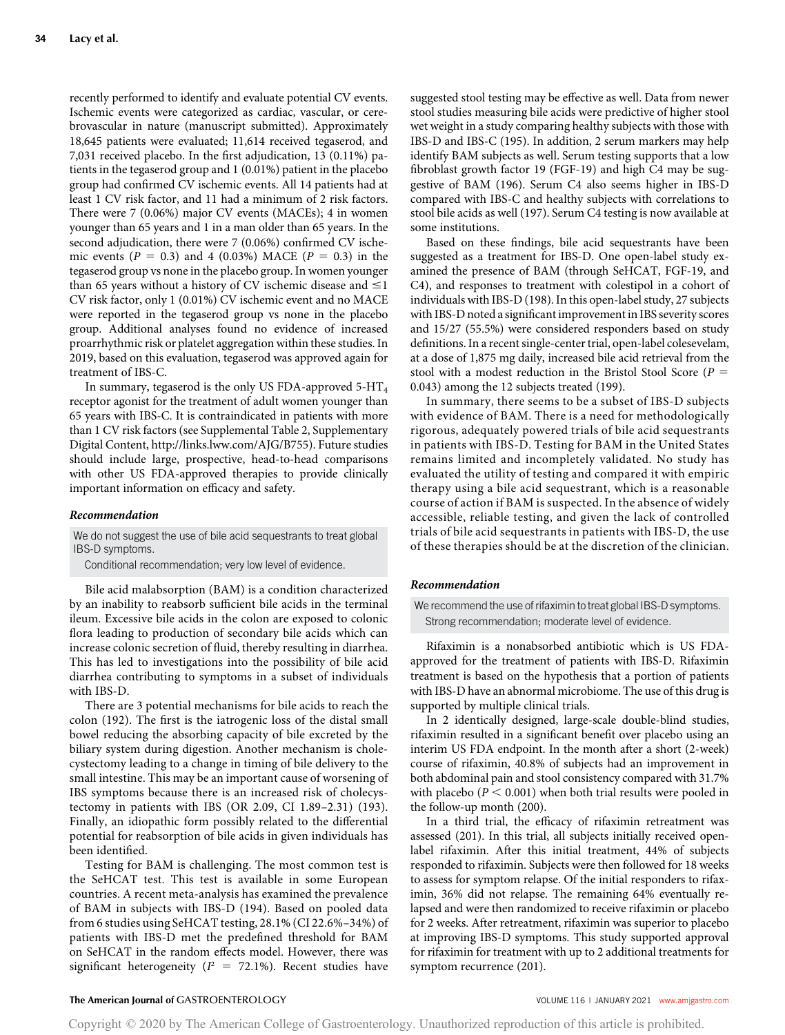recently performed to identify and evaluate potential CV events. Ischemic events were categorized as cardiac, vascular, or cerebrovascular in nature (manuscript submitted). Approximately 18,645 patients were evaluated; 11,614 received tegaserod, and 7,031 received placebo. In the first adjudication, 13 (0.11%) patients in the tegaserod group and 1 (0.01%) patient in the placebo group had confirmed CV ischemic events. All 14 patients had at least 1 CV risk factor, and 11 had a minimum of 2 risk factors. There were 7 (0.06%) major CV events (MACEs); 4 in women younger than 65 years and 1 in a man older than 65 years. In the second adjudication, there were 7 (0.06%) confirmed CV ischemic events ( $P = 0.3$ ) and 4 (0.03%) MACE ( $P = 0.3$ ) in the tegaserod group vs none in the placebo group. In women younger than 65 years without a history of CV ischemic disease and  $\leq$ 1 CV risk factor, only 1 (0.01%) CV ischemic event and no MACE were reported in the tegaserod group vs none in the placebo group. Additional analyses found no evidence of increased proarrhythmic risk or platelet aggregation within these studies. In 2019, based on this evaluation, tegaserod was approved again for treatment of IBS-C.

In summary, tegaserod is the only US FDA-approved  $5-HT_4$ receptor agonist for the treatment of adult women younger than 65 years with IBS-C. It is contraindicated in patients with more than 1 CV risk factors (see Supplemental Table 2, Supplementary Digital Content, [http://links.lww.com/AJG/B755\)](http://links.lww.com/AJG/B755). Future studies should include large, prospective, head-to-head comparisons with other US FDA-approved therapies to provide clinically important information on efficacy and safety.

#### Recommendation

We do not suggest the use of bile acid sequestrants to treat global IBS-D symptoms.

Conditional recommendation; very low level of evidence.

Bile acid malabsorption (BAM) is a condition characterized by an inability to reabsorb sufficient bile acids in the terminal ileum. Excessive bile acids in the colon are exposed to colonic flora leading to production of secondary bile acids which can increase colonic secretion of fluid, thereby resulting in diarrhea. This has led to investigations into the possibility of bile acid diarrhea contributing to symptoms in a subset of individuals with IBS-D.

There are 3 potential mechanisms for bile acids to reach the colon (192). The first is the iatrogenic loss of the distal small bowel reducing the absorbing capacity of bile excreted by the biliary system during digestion. Another mechanism is cholecystectomy leading to a change in timing of bile delivery to the small intestine. This may be an important cause of worsening of IBS symptoms because there is an increased risk of cholecystectomy in patients with IBS (OR 2.09, CI 1.89–2.31) (193). Finally, an idiopathic form possibly related to the differential potential for reabsorption of bile acids in given individuals has been identified.

Testing for BAM is challenging. The most common test is the SeHCAT test. This test is available in some European countries. A recent meta-analysis has examined the prevalence of BAM in subjects with IBS-D (194). Based on pooled data from 6 studies using SeHCAT testing, 28.1% (CI 22.6%–34%) of patients with IBS-D met the predefined threshold for BAM on SeHCAT in the random effects model. However, there was significant heterogeneity ( $I^2$  = 72.1%). Recent studies have

suggested stool testing may be effective as well. Data from newer stool studies measuring bile acids were predictive of higher stool wet weight in a study comparing healthy subjects with those with IBS-D and IBS-C (195). In addition, 2 serum markers may help identify BAM subjects as well. Serum testing supports that a low fibroblast growth factor 19 (FGF-19) and high C4 may be suggestive of BAM (196). Serum C4 also seems higher in IBS-D compared with IBS-C and healthy subjects with correlations to stool bile acids as well (197). Serum C4 testing is now available at some institutions.

Based on these findings, bile acid sequestrants have been suggested as a treatment for IBS-D. One open-label study examined the presence of BAM (through SeHCAT, FGF-19, and C4), and responses to treatment with colestipol in a cohort of individuals with IBS-D (198). In this open-label study, 27 subjects with IBS-D noted a significant improvement in IBS severity scores and 15/27 (55.5%) were considered responders based on study definitions. In a recent single-center trial, open-label colesevelam, at a dose of 1,875 mg daily, increased bile acid retrieval from the stool with a modest reduction in the Bristol Stool Score ( $P =$ 0.043) among the 12 subjects treated (199).

In summary, there seems to be a subset of IBS-D subjects with evidence of BAM. There is a need for methodologically rigorous, adequately powered trials of bile acid sequestrants in patients with IBS-D. Testing for BAM in the United States remains limited and incompletely validated. No study has evaluated the utility of testing and compared it with empiric therapy using a bile acid sequestrant, which is a reasonable course of action if BAM is suspected. In the absence of widely accessible, reliable testing, and given the lack of controlled trials of bile acid sequestrants in patients with IBS-D, the use of these therapies should be at the discretion of the clinician.

#### Recommendation

We recommend the use of rifaximin to treat global IBS-D symptoms. Strong recommendation; moderate level of evidence.

Rifaximin is a nonabsorbed antibiotic which is US FDAapproved for the treatment of patients with IBS-D. Rifaximin treatment is based on the hypothesis that a portion of patients with IBS-D have an abnormal microbiome. The use of this drug is supported by multiple clinical trials.

In 2 identically designed, large-scale double-blind studies, rifaximin resulted in a significant benefit over placebo using an interim US FDA endpoint. In the month after a short (2-week) course of rifaximin, 40.8% of subjects had an improvement in both abdominal pain and stool consistency compared with 31.7% with placebo ( $P < 0.001$ ) when both trial results were pooled in the follow-up month (200).

In a third trial, the efficacy of rifaximin retreatment was assessed (201). In this trial, all subjects initially received openlabel rifaximin. After this initial treatment, 44% of subjects responded to rifaximin. Subjects were then followed for 18 weeks to assess for symptom relapse. Of the initial responders to rifaximin, 36% did not relapse. The remaining 64% eventually relapsed and were then randomized to receive rifaximin or placebo for 2 weeks. After retreatment, rifaximin was superior to placebo at improving IBS-D symptoms. This study supported approval for rifaximin for treatment with up to 2 additional treatments for symptom recurrence (201).

#### The American Journal of GASTROENTEROLOGY **Annual American Journal of GASTROENTEROLOGY VOLUME 116 | JANUARY 2021 [www.amjgastro.com](http://www.amjgastro.com)**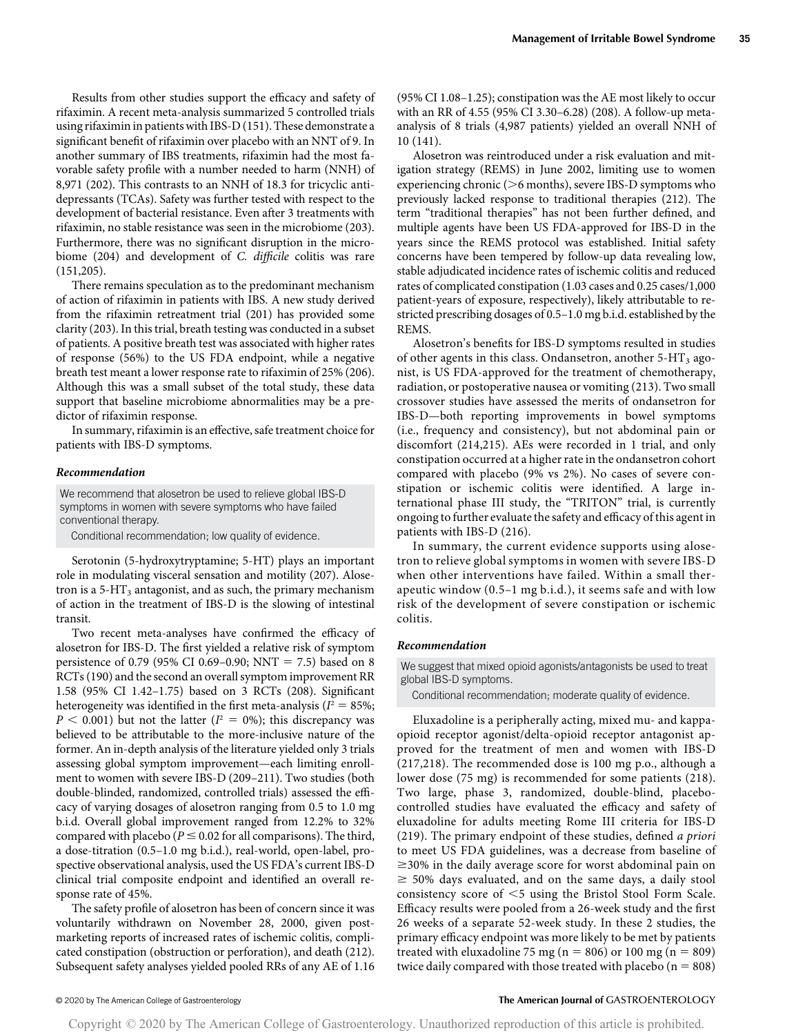Results from other studies support the efficacy and safety of rifaximin. A recent meta-analysis summarized 5 controlled trials using rifaximin in patients with IBS-D (151). These demonstrate a significant benefit of rifaximin over placebo with an NNT of 9. In another summary of IBS treatments, rifaximin had the most favorable safety profile with a number needed to harm (NNH) of 8,971 (202). This contrasts to an NNH of 18.3 for tricyclic antidepressants (TCAs). Safety was further tested with respect to the development of bacterial resistance. Even after 3 treatments with rifaximin, no stable resistance was seen in the microbiome (203). Furthermore, there was no significant disruption in the microbiome (204) and development of C. difficile colitis was rare (151,205).

There remains speculation as to the predominant mechanism of action of rifaximin in patients with IBS. A new study derived from the rifaximin retreatment trial (201) has provided some clarity (203). In this trial, breath testing was conducted in a subset of patients. A positive breath test was associated with higher rates of response (56%) to the US FDA endpoint, while a negative breath test meant a lower response rate to rifaximin of 25% (206). Although this was a small subset of the total study, these data support that baseline microbiome abnormalities may be a predictor of rifaximin response.

In summary, rifaximin is an effective, safe treatment choice for patients with IBS-D symptoms.

#### Recommendation

We recommend that alosetron be used to relieve global IBS-D symptoms in women with severe symptoms who have failed conventional therapy.

Conditional recommendation; low quality of evidence.

Serotonin (5-hydroxytryptamine; 5-HT) plays an important role in modulating visceral sensation and motility (207). Alosetron is a  $5-HT<sub>3</sub>$  antagonist, and as such, the primary mechanism of action in the treatment of IBS-D is the slowing of intestinal transit.

Two recent meta-analyses have confirmed the efficacy of alosetron for IBS-D. The first yielded a relative risk of symptom persistence of 0.79 (95% CI 0.69–0.90; NNT = 7.5) based on 8 RCTs (190) and the second an overall symptom improvement RR 1.58 (95% CI 1.42–1.75) based on 3 RCTs (208). Significant heterogeneity was identified in the first meta-analysis ( $I^2 = 85\%$ ;  $P < 0.001$ ) but not the latter ( $I^2 = 0\%$ ); this discrepancy was believed to be attributable to the more-inclusive nature of the former. An in-depth analysis of the literature yielded only 3 trials assessing global symptom improvement—each limiting enrollment to women with severe IBS-D (209–211). Two studies (both double-blinded, randomized, controlled trials) assessed the efficacy of varying dosages of alosetron ranging from 0.5 to 1.0 mg b.i.d. Overall global improvement ranged from 12.2% to 32% compared with placebo ( $P \le 0.02$  for all comparisons). The third, a dose-titration (0.5–1.0 mg b.i.d.), real-world, open-label, prospective observational analysis, used the US FDA's current IBS-D clinical trial composite endpoint and identified an overall response rate of 45%.

The safety profile of alosetron has been of concern since it was voluntarily withdrawn on November 28, 2000, given postmarketing reports of increased rates of ischemic colitis, complicated constipation (obstruction or perforation), and death (212). Subsequent safety analyses yielded pooled RRs of any AE of 1.16

(95% CI 1.08–1.25); constipation was the AE most likely to occur with an RR of 4.55 (95% CI 3.30–6.28) (208). A follow-up metaanalysis of 8 trials (4,987 patients) yielded an overall NNH of 10 (141).

Alosetron was reintroduced under a risk evaluation and mitigation strategy (REMS) in June 2002, limiting use to women experiencing chronic ( $>6$  months), severe IBS-D symptoms who previously lacked response to traditional therapies (212). The term "traditional therapies" has not been further defined, and multiple agents have been US FDA-approved for IBS-D in the years since the REMS protocol was established. Initial safety concerns have been tempered by follow-up data revealing low, stable adjudicated incidence rates of ischemic colitis and reduced rates of complicated constipation (1.03 cases and 0.25 cases/1,000 patient-years of exposure, respectively), likely attributable to restricted prescribing dosages of 0.5–1.0 mg b.i.d. established by the **REMS**.

Alosetron's benefits for IBS-D symptoms resulted in studies of other agents in this class. Ondansetron, another  $5-HT_3$  agonist, is US FDA-approved for the treatment of chemotherapy, radiation, or postoperative nausea or vomiting (213). Two small crossover studies have assessed the merits of ondansetron for IBS-D—both reporting improvements in bowel symptoms (i.e., frequency and consistency), but not abdominal pain or discomfort (214,215). AEs were recorded in 1 trial, and only constipation occurred at a higher rate in the ondansetron cohort compared with placebo (9% vs 2%). No cases of severe constipation or ischemic colitis were identified. A large international phase III study, the "TRITON" trial, is currently ongoing to further evaluate the safety and efficacy of this agent in patients with IBS-D (216).

In summary, the current evidence supports using alosetron to relieve global symptoms in women with severe IBS-D when other interventions have failed. Within a small therapeutic window (0.5–1 mg b.i.d.), it seems safe and with low risk of the development of severe constipation or ischemic colitis.

#### Recommendation

We suggest that mixed opioid agonists/antagonists be used to treat global IBS-D symptoms.

Conditional recommendation; moderate quality of evidence.

Eluxadoline is a peripherally acting, mixed mu- and kappaopioid receptor agonist/delta-opioid receptor antagonist approved for the treatment of men and women with IBS-D (217,218). The recommended dose is 100 mg p.o., although a lower dose (75 mg) is recommended for some patients (218). Two large, phase 3, randomized, double-blind, placebocontrolled studies have evaluated the efficacy and safety of eluxadoline for adults meeting Rome III criteria for IBS-D (219). The primary endpoint of these studies, defined a priori to meet US FDA guidelines, was a decrease from baseline of  $\geq$ 30% in the daily average score for worst abdominal pain on  $\geq$  50% days evaluated, and on the same days, a daily stool consistency score of  $<$ 5 using the Bristol Stool Form Scale. Efficacy results were pooled from a 26-week study and the first 26 weeks of a separate 52-week study. In these 2 studies, the primary efficacy endpoint was more likely to be met by patients treated with eluxadoline 75 mg (n = 806) or 100 mg (n = 809) twice daily compared with those treated with placebo ( $n = 808$ )

### © 2020 by The American College of Gastroenterology The American Journal of GASTROENTEROLOGY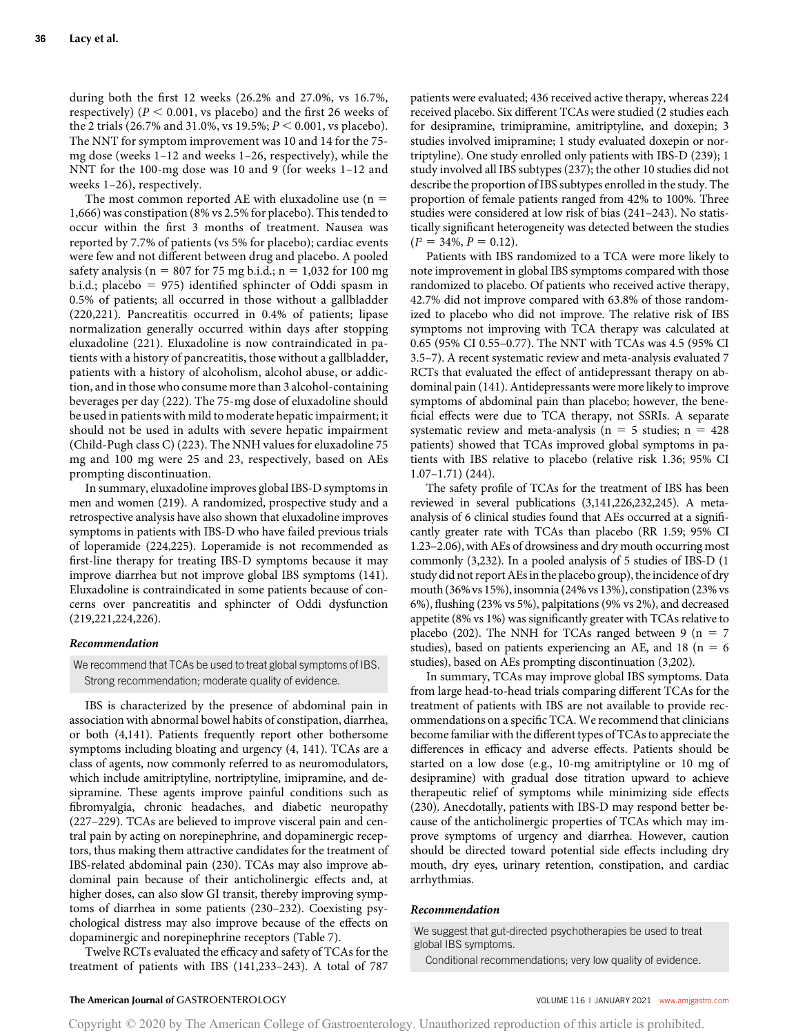during both the first 12 weeks (26.2% and 27.0%, vs 16.7%, respectively) ( $P < 0.001$ , vs placebo) and the first 26 weeks of the 2 trials (26.7% and 31.0%, vs 19.5%;  $P < 0.001$ , vs placebo). The NNT for symptom improvement was 10 and 14 for the 75 mg dose (weeks 1–12 and weeks 1–26, respectively), while the NNT for the 100-mg dose was 10 and 9 (for weeks 1–12 and weeks 1–26), respectively.

The most common reported AE with eluxadoline use  $(n = 1)$ 1,666) was constipation (8% vs 2.5% for placebo). This tended to occur within the first 3 months of treatment. Nausea was reported by 7.7% of patients (vs 5% for placebo); cardiac events were few and not different between drug and placebo. A pooled safety analysis ( $n = 807$  for 75 mg b.i.d.;  $n = 1,032$  for 100 mg b.i.d.; placebo = 975) identified sphincter of Oddi spasm in 0.5% of patients; all occurred in those without a gallbladder (220,221). Pancreatitis occurred in 0.4% of patients; lipase normalization generally occurred within days after stopping eluxadoline (221). Eluxadoline is now contraindicated in patients with a history of pancreatitis, those without a gallbladder, patients with a history of alcoholism, alcohol abuse, or addiction, and in those who consume more than 3 alcohol-containing beverages per day (222). The 75-mg dose of eluxadoline should be used in patients with mild to moderate hepatic impairment; it should not be used in adults with severe hepatic impairment (Child-Pugh class C) (223). The NNH values for eluxadoline 75 mg and 100 mg were 25 and 23, respectively, based on AEs prompting discontinuation.

In summary, eluxadoline improves global IBS-D symptoms in men and women (219). A randomized, prospective study and a retrospective analysis have also shown that eluxadoline improves symptoms in patients with IBS-D who have failed previous trials of loperamide (224,225). Loperamide is not recommended as first-line therapy for treating IBS-D symptoms because it may improve diarrhea but not improve global IBS symptoms (141). Eluxadoline is contraindicated in some patients because of concerns over pancreatitis and sphincter of Oddi dysfunction (219,221,224,226).

#### Recommendation

We recommend that TCAs be used to treat global symptoms of IBS. Strong recommendation; moderate quality of evidence.

IBS is characterized by the presence of abdominal pain in association with abnormal bowel habits of constipation, diarrhea, or both (4,141). Patients frequently report other bothersome symptoms including bloating and urgency (4, 141). TCAs are a class of agents, now commonly referred to as neuromodulators, which include amitriptyline, nortriptyline, imipramine, and desipramine. These agents improve painful conditions such as fibromyalgia, chronic headaches, and diabetic neuropathy (227–229). TCAs are believed to improve visceral pain and central pain by acting on norepinephrine, and dopaminergic receptors, thus making them attractive candidates for the treatment of IBS-related abdominal pain (230). TCAs may also improve abdominal pain because of their anticholinergic effects and, at higher doses, can also slow GI transit, thereby improving symptoms of diarrhea in some patients (230–232). Coexisting psychological distress may also improve because of the effects on dopaminergic and norepinephrine receptors (Table 7).

Twelve RCTs evaluated the efficacy and safety of TCAs for the treatment of patients with IBS (141,233–243). A total of 787 patients were evaluated; 436 received active therapy, whereas 224 received placebo. Six different TCAs were studied (2 studies each for desipramine, trimipramine, amitriptyline, and doxepin; 3 studies involved imipramine; 1 study evaluated doxepin or nortriptyline). One study enrolled only patients with IBS-D (239); 1 study involved all IBS subtypes (237); the other 10 studies did not describe the proportion of IBS subtypes enrolled in the study. The proportion of female patients ranged from 42% to 100%. Three studies were considered at low risk of bias (241–243). No statistically significant heterogeneity was detected between the studies  $(I^2 = 34\%, P = 0.12).$ 

Patients with IBS randomized to a TCA were more likely to note improvement in global IBS symptoms compared with those randomized to placebo. Of patients who received active therapy, 42.7% did not improve compared with 63.8% of those randomized to placebo who did not improve. The relative risk of IBS symptoms not improving with TCA therapy was calculated at 0.65 (95% CI 0.55–0.77). The NNT with TCAs was 4.5 (95% CI 3.5–7). A recent systematic review and meta-analysis evaluated 7 RCTs that evaluated the effect of antidepressant therapy on abdominal pain (141). Antidepressants were more likely to improve symptoms of abdominal pain than placebo; however, the beneficial effects were due to TCA therapy, not SSRIs. A separate systematic review and meta-analysis ( $n = 5$  studies;  $n = 428$ patients) showed that TCAs improved global symptoms in patients with IBS relative to placebo (relative risk 1.36; 95% CI 1.07–1.71) (244).

The safety profile of TCAs for the treatment of IBS has been reviewed in several publications (3,141,226,232,245). A metaanalysis of 6 clinical studies found that AEs occurred at a significantly greater rate with TCAs than placebo (RR 1.59; 95% CI 1.23–2.06), with AEs of drowsiness and dry mouth occurring most commonly (3,232). In a pooled analysis of 5 studies of IBS-D (1 study did not report AEs in the placebo group), the incidence of dry mouth (36% vs 15%), insomnia (24% vs 13%), constipation (23% vs 6%), flushing (23% vs 5%), palpitations (9% vs 2%), and decreased appetite (8% vs 1%) was significantly greater with TCAs relative to placebo (202). The NNH for TCAs ranged between 9 ( $n = 7$ studies), based on patients experiencing an AE, and 18 ( $n = 6$ ) studies), based on AEs prompting discontinuation (3,202).

In summary, TCAs may improve global IBS symptoms. Data from large head-to-head trials comparing different TCAs for the treatment of patients with IBS are not available to provide recommendations on a specific TCA. We recommend that clinicians become familiar with the different types of TCAs to appreciate the differences in efficacy and adverse effects. Patients should be started on a low dose (e.g., 10-mg amitriptyline or 10 mg of desipramine) with gradual dose titration upward to achieve therapeutic relief of symptoms while minimizing side effects (230). Anecdotally, patients with IBS-D may respond better because of the anticholinergic properties of TCAs which may improve symptoms of urgency and diarrhea. However, caution should be directed toward potential side effects including dry mouth, dry eyes, urinary retention, constipation, and cardiac arrhythmias.

#### Recommendation

We suggest that gut-directed psychotherapies be used to treat global IBS symptoms.

Conditional recommendations; very low quality of evidence.

#### The American Journal of GASTROENTEROLOGY **Annual American Journal of GASTROENTEROLOGY VOLUME 116 | JANUARY 2021 [www.amjgastro.com](http://www.amjgastro.com)**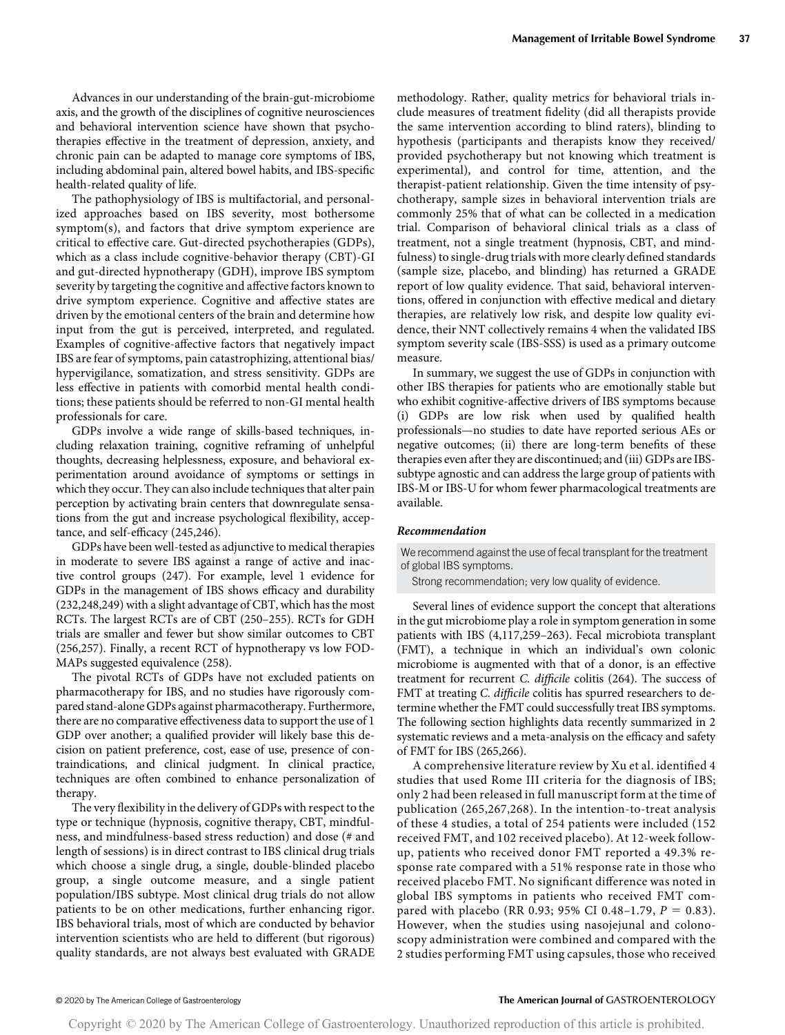Advances in our understanding of the brain-gut-microbiome axis, and the growth of the disciplines of cognitive neurosciences and behavioral intervention science have shown that psychotherapies effective in the treatment of depression, anxiety, and chronic pain can be adapted to manage core symptoms of IBS, including abdominal pain, altered bowel habits, and IBS-specific health-related quality of life.

The pathophysiology of IBS is multifactorial, and personalized approaches based on IBS severity, most bothersome symptom(s), and factors that drive symptom experience are critical to effective care. Gut-directed psychotherapies (GDPs), which as a class include cognitive-behavior therapy (CBT)-GI and gut-directed hypnotherapy (GDH), improve IBS symptom severity by targeting the cognitive and affective factors known to drive symptom experience. Cognitive and affective states are driven by the emotional centers of the brain and determine how input from the gut is perceived, interpreted, and regulated. Examples of cognitive-affective factors that negatively impact IBS are fear of symptoms, pain catastrophizing, attentional bias/ hypervigilance, somatization, and stress sensitivity. GDPs are less effective in patients with comorbid mental health conditions; these patients should be referred to non-GI mental health professionals for care.

GDPs involve a wide range of skills-based techniques, including relaxation training, cognitive reframing of unhelpful thoughts, decreasing helplessness, exposure, and behavioral experimentation around avoidance of symptoms or settings in which they occur. They can also include techniques that alter pain perception by activating brain centers that downregulate sensations from the gut and increase psychological flexibility, acceptance, and self-efficacy (245,246).

GDPs have been well-tested as adjunctive to medical therapies in moderate to severe IBS against a range of active and inactive control groups (247). For example, level 1 evidence for GDPs in the management of IBS shows efficacy and durability (232,248,249) with a slight advantage of CBT, which has the most RCTs. The largest RCTs are of CBT (250–255). RCTs for GDH trials are smaller and fewer but show similar outcomes to CBT (256,257). Finally, a recent RCT of hypnotherapy vs low FOD-MAPs suggested equivalence (258).

The pivotal RCTs of GDPs have not excluded patients on pharmacotherapy for IBS, and no studies have rigorously compared stand-alone GDPs against pharmacotherapy. Furthermore, there are no comparative effectiveness data to support the use of 1 GDP over another; a qualified provider will likely base this decision on patient preference, cost, ease of use, presence of contraindications, and clinical judgment. In clinical practice, techniques are often combined to enhance personalization of therapy.

The very flexibility in the delivery of GDPs with respect to the type or technique (hypnosis, cognitive therapy, CBT, mindfulness, and mindfulness-based stress reduction) and dose (# and length of sessions) is in direct contrast to IBS clinical drug trials which choose a single drug, a single, double-blinded placebo group, a single outcome measure, and a single patient population/IBS subtype. Most clinical drug trials do not allow patients to be on other medications, further enhancing rigor. IBS behavioral trials, most of which are conducted by behavior intervention scientists who are held to different (but rigorous) quality standards, are not always best evaluated with GRADE methodology. Rather, quality metrics for behavioral trials include measures of treatment fidelity (did all therapists provide the same intervention according to blind raters), blinding to hypothesis (participants and therapists know they received/ provided psychotherapy but not knowing which treatment is experimental), and control for time, attention, and the therapist-patient relationship. Given the time intensity of psychotherapy, sample sizes in behavioral intervention trials are commonly 25% that of what can be collected in a medication trial. Comparison of behavioral clinical trials as a class of treatment, not a single treatment (hypnosis, CBT, and mindfulness) to single-drug trials with more clearly defined standards (sample size, placebo, and blinding) has returned a GRADE report of low quality evidence. That said, behavioral interventions, offered in conjunction with effective medical and dietary therapies, are relatively low risk, and despite low quality evidence, their NNT collectively remains 4 when the validated IBS symptom severity scale (IBS-SSS) is used as a primary outcome measure.

In summary, we suggest the use of GDPs in conjunction with other IBS therapies for patients who are emotionally stable but who exhibit cognitive-affective drivers of IBS symptoms because (i) GDPs are low risk when used by qualified health professionals—no studies to date have reported serious AEs or negative outcomes; (ii) there are long-term benefits of these therapies even after they are discontinued; and (iii) GDPs are IBSsubtype agnostic and can address the large group of patients with IBS-M or IBS-U for whom fewer pharmacological treatments are available.

### Recommendation

We recommend against the use of fecal transplant for the treatment of global IBS symptoms.

Strong recommendation; very low quality of evidence.

Several lines of evidence support the concept that alterations in the gut microbiome play a role in symptom generation in some patients with IBS (4,117,259–263). Fecal microbiota transplant (FMT), a technique in which an individual's own colonic microbiome is augmented with that of a donor, is an effective treatment for recurrent C. difficile colitis (264). The success of FMT at treating *C. difficile* colitis has spurred researchers to determine whether the FMT could successfully treat IBS symptoms. The following section highlights data recently summarized in 2 systematic reviews and a meta-analysis on the efficacy and safety of FMT for IBS (265,266).

A comprehensive literature review by Xu et al. identified 4 studies that used Rome III criteria for the diagnosis of IBS; only 2 had been released in full manuscript form at the time of publication (265,267,268). In the intention-to-treat analysis of these 4 studies, a total of 254 patients were included (152 received FMT, and 102 received placebo). At 12-week followup, patients who received donor FMT reported a 49.3% response rate compared with a 51% response rate in those who received placebo FMT. No significant difference was noted in global IBS symptoms in patients who received FMT compared with placebo (RR 0.93; 95% CI 0.48–1.79,  $P = 0.83$ ). However, when the studies using nasojejunal and colonoscopy administration were combined and compared with the 2 studies performing FMT using capsules, those who received

### © 2020 by The American College of Gastroenterology The American Journal of GASTROENTEROLOGY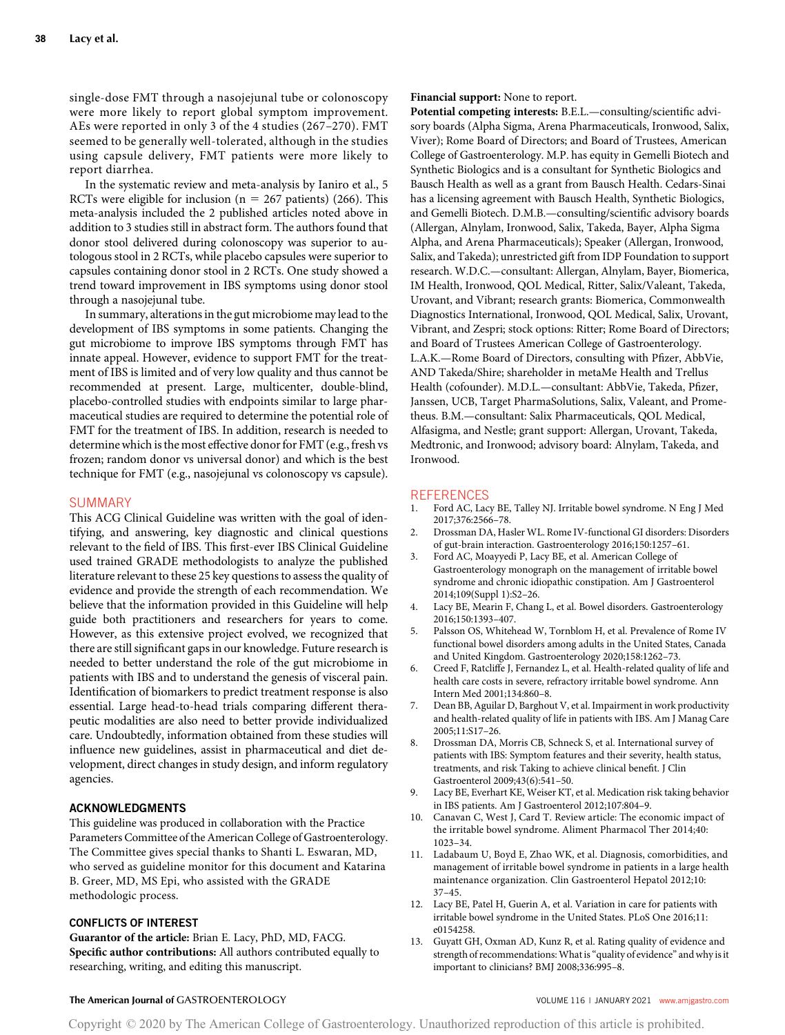single-dose FMT through a nasojejunal tube or colonoscopy were more likely to report global symptom improvement. AEs were reported in only 3 of the 4 studies (267–270). FMT seemed to be generally well-tolerated, although in the studies using capsule delivery, FMT patients were more likely to report diarrhea.

In the systematic review and meta-analysis by Ianiro et al., 5 RCTs were eligible for inclusion ( $n = 267$  patients) (266). This meta-analysis included the 2 published articles noted above in addition to 3 studies still in abstract form. The authors found that donor stool delivered during colonoscopy was superior to autologous stool in 2 RCTs, while placebo capsules were superior to capsules containing donor stool in 2 RCTs. One study showed a trend toward improvement in IBS symptoms using donor stool through a nasojejunal tube.

In summary, alterations in the gut microbiome may lead to the development of IBS symptoms in some patients. Changing the gut microbiome to improve IBS symptoms through FMT has innate appeal. However, evidence to support FMT for the treatment of IBS is limited and of very low quality and thus cannot be recommended at present. Large, multicenter, double-blind, placebo-controlled studies with endpoints similar to large pharmaceutical studies are required to determine the potential role of FMT for the treatment of IBS. In addition, research is needed to determine which is the most effective donor for FMT (e.g., fresh vs frozen; random donor vs universal donor) and which is the best technique for FMT (e.g., nasojejunal vs colonoscopy vs capsule).

# SUMMARY

This ACG Clinical Guideline was written with the goal of identifying, and answering, key diagnostic and clinical questions relevant to the field of IBS. This first-ever IBS Clinical Guideline used trained GRADE methodologists to analyze the published literature relevant to these 25 key questions to assess the quality of evidence and provide the strength of each recommendation. We believe that the information provided in this Guideline will help guide both practitioners and researchers for years to come. However, as this extensive project evolved, we recognized that there are still significant gaps in our knowledge. Future research is needed to better understand the role of the gut microbiome in patients with IBS and to understand the genesis of visceral pain. Identification of biomarkers to predict treatment response is also essential. Large head-to-head trials comparing different therapeutic modalities are also need to better provide individualized care. Undoubtedly, information obtained from these studies will influence new guidelines, assist in pharmaceutical and diet development, direct changes in study design, and inform regulatory agencies.

# ACKNOWLEDGMENTS

This guideline was produced in collaboration with the Practice Parameters Committee of the American College of Gastroenterology. The Committee gives special thanks to Shanti L. Eswaran, MD, who served as guideline monitor for this document and Katarina B. Greer, MD, MS Epi, who assisted with the GRADE methodologic process.

### CONFLICTS OF INTEREST

Guarantor of the article: Brian E. Lacy, PhD, MD, FACG. Specific author contributions: All authors contributed equally to researching, writing, and editing this manuscript.

#### Financial support: None to report.

Potential competing interests: B.E.L.—consulting/scientific advisory boards (Alpha Sigma, Arena Pharmaceuticals, Ironwood, Salix, Viver); Rome Board of Directors; and Board of Trustees, American College of Gastroenterology. M.P. has equity in Gemelli Biotech and Synthetic Biologics and is a consultant for Synthetic Biologics and Bausch Health as well as a grant from Bausch Health. Cedars-Sinai has a licensing agreement with Bausch Health, Synthetic Biologics, and Gemelli Biotech. D.M.B.—consulting/scientific advisory boards (Allergan, Alnylam, Ironwood, Salix, Takeda, Bayer, Alpha Sigma Alpha, and Arena Pharmaceuticals); Speaker (Allergan, Ironwood, Salix, and Takeda); unrestricted gift from IDP Foundation to support research. W.D.C.—consultant: Allergan, Alnylam, Bayer, Biomerica, IM Health, Ironwood, QOL Medical, Ritter, Salix/Valeant, Takeda, Urovant, and Vibrant; research grants: Biomerica, Commonwealth Diagnostics International, Ironwood, QOL Medical, Salix, Urovant, Vibrant, and Zespri; stock options: Ritter; Rome Board of Directors; and Board of Trustees American College of Gastroenterology. L.A.K.—Rome Board of Directors, consulting with Pfizer, AbbVie, AND Takeda/Shire; shareholder in metaMe Health and Trellus Health (cofounder). M.D.L.—consultant: AbbVie, Takeda, Pfizer, Janssen, UCB, Target PharmaSolutions, Salix, Valeant, and Prometheus. B.M.—consultant: Salix Pharmaceuticals, QOL Medical, Alfasigma, and Nestle; grant support: Allergan, Urovant, Takeda, Medtronic, and Ironwood; advisory board: Alnylam, Takeda, and Ironwood.

# **REFERENCES**

- 1. Ford AC, Lacy BE, Talley NJ. Irritable bowel syndrome. N Eng J Med 2017;376:2566–78.
- 2. Drossman DA, Hasler WL. Rome IV-functional GI disorders: Disorders of gut-brain interaction. Gastroenterology 2016;150:1257–61.
- 3. Ford AC, Moayyedi P, Lacy BE, et al. American College of Gastroenterology monograph on the management of irritable bowel syndrome and chronic idiopathic constipation. Am J Gastroenterol 2014;109(Suppl 1):S2–26.
- 4. Lacy BE, Mearin F, Chang L, et al. Bowel disorders. Gastroenterology 2016;150:1393–407.
- 5. Palsson OS, Whitehead W, Tornblom H, et al. Prevalence of Rome IV functional bowel disorders among adults in the United States, Canada and United Kingdom. Gastroenterology 2020;158:1262–73.
- 6. Creed F, Ratcliffe J, Fernandez L, et al. Health-related quality of life and health care costs in severe, refractory irritable bowel syndrome. Ann Intern Med 2001;134:860–8.
- 7. Dean BB, Aguilar D, Barghout V, et al. Impairment in work productivity and health-related quality of life in patients with IBS. Am J Manag Care 2005;11:S17–26.
- 8. Drossman DA, Morris CB, Schneck S, et al. International survey of patients with IBS: Symptom features and their severity, health status, treatments, and risk Taking to achieve clinical benefit. J Clin Gastroenterol 2009;43(6):541–50.
- 9. Lacy BE, Everhart KE, Weiser KT, et al. Medication risk taking behavior in IBS patients. Am J Gastroenterol 2012;107:804–9.
- Canavan C, West J, Card T. Review article: The economic impact of the irritable bowel syndrome. Aliment Pharmacol Ther 2014;40: 1023–34.
- 11. Ladabaum U, Boyd E, Zhao WK, et al. Diagnosis, comorbidities, and management of irritable bowel syndrome in patients in a large health maintenance organization. Clin Gastroenterol Hepatol 2012;10: 37–45.
- 12. Lacy BE, Patel H, Guerin A, et al. Variation in care for patients with irritable bowel syndrome in the United States. PLoS One 2016;11: e0154258.
- 13. Guyatt GH, Oxman AD, Kunz R, et al. Rating quality of evidence and strength of recommendations:What is"quality of evidence" and why is it important to clinicians? BMJ 2008;336:995–8.

# The American Journal of GASTROENTEROLOGY **And American Journal of GASTROENTEROLOGY VOLUME 116 | JANUARY 2021 [www.amjgastro.com](http://www.amjgastro.com)**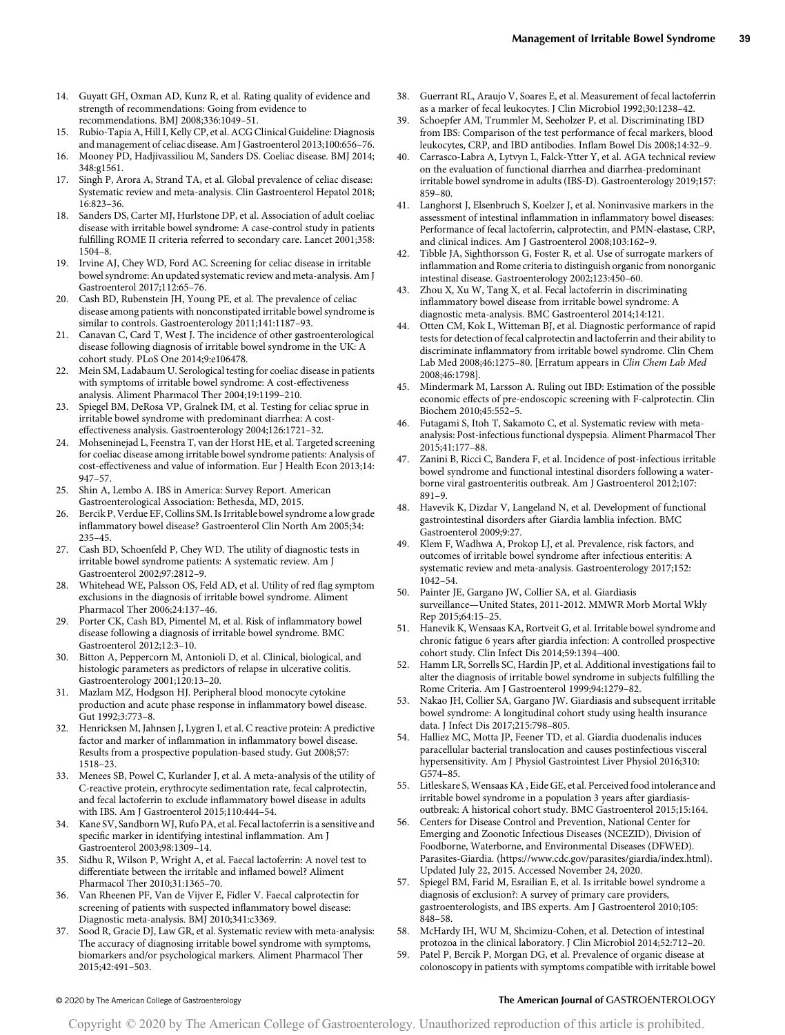- 14. Guyatt GH, Oxman AD, Kunz R, et al. Rating quality of evidence and strength of recommendations: Going from evidence to recommendations. BMJ 2008;336:1049–51.
- 15. Rubio-Tapia A, Hill I, Kelly CP, et al. ACG Clinical Guideline: Diagnosis and management of celiac disease. Am J Gastroenterol 2013;100:656–76.
- 16. Mooney PD, Hadjivassiliou M, Sanders DS. Coeliac disease. BMJ 2014; 348:g1561.
- 17. Singh P, Arora A, Strand TA, et al. Global prevalence of celiac disease: Systematic review and meta-analysis. Clin Gastroenterol Hepatol 2018; 16:823–36.
- 18. Sanders DS, Carter MJ, Hurlstone DP, et al. Association of adult coeliac disease with irritable bowel syndrome: A case-control study in patients fulfilling ROME II criteria referred to secondary care. Lancet 2001;358: 1504–8.
- 19. Irvine AJ, Chey WD, Ford AC. Screening for celiac disease in irritable bowel syndrome: An updated systematic review and meta-analysis. Am J Gastroenterol 2017;112:65–76.
- 20. Cash BD, Rubenstein JH, Young PE, et al. The prevalence of celiac disease among patients with nonconstipated irritable bowel syndrome is similar to controls. Gastroenterology 2011;141:1187–93.
- 21. Canavan C, Card T, West J. The incidence of other gastroenterological disease following diagnosis of irritable bowel syndrome in the UK: A cohort study. PLoS One 2014;9:e106478.
- 22. Mein SM, Ladabaum U. Serological testing for coeliac disease in patients with symptoms of irritable bowel syndrome: A cost-effectiveness analysis. Aliment Pharmacol Ther 2004;19:1199–210.
- 23. Spiegel BM, DeRosa VP, Gralnek IM, et al. Testing for celiac sprue in irritable bowel syndrome with predominant diarrhea: A costeffectiveness analysis. Gastroenterology 2004;126:1721–32.
- 24. Mohseninejad L, Feenstra T, van der Horst HE, et al. Targeted screening for coeliac disease among irritable bowel syndrome patients: Analysis of cost-effectiveness and value of information. Eur J Health Econ 2013;14: 947–57.
- 25. Shin A, Lembo A. IBS in America: Survey Report. American Gastroenterological Association: Bethesda, MD, 2015.
- 26. Bercik P, Verdue EF, Collins SM. Is Irritable bowel syndrome a low grade inflammatory bowel disease? Gastroenterol Clin North Am 2005;34: 235–45.
- 27. Cash BD, Schoenfeld P, Chey WD. The utility of diagnostic tests in irritable bowel syndrome patients: A systematic review. Am J Gastroenterol 2002;97:2812–9.
- 28. Whitehead WE, Palsson OS, Feld AD, et al. Utility of red flag symptom exclusions in the diagnosis of irritable bowel syndrome. Aliment Pharmacol Ther 2006;24:137–46.
- 29. Porter CK, Cash BD, Pimentel M, et al. Risk of inflammatory bowel disease following a diagnosis of irritable bowel syndrome. BMC Gastroenterol 2012;12:3–10.
- 30. Bitton A, Peppercorn M, Antonioli D, et al. Clinical, biological, and histologic parameters as predictors of relapse in ulcerative colitis. Gastroenterology 2001;120:13–20.
- 31. Mazlam MZ, Hodgson HJ. Peripheral blood monocyte cytokine production and acute phase response in inflammatory bowel disease. Gut 1992;3:773–8.
- 32. Henricksen M, Jahnsen J, Lygren I, et al. C reactive protein: A predictive factor and marker of inflammation in inflammatory bowel disease. Results from a prospective population-based study. Gut 2008;57: 1518–23.
- 33. Menees SB, Powel C, Kurlander J, et al. A meta-analysis of the utility of C-reactive protein, erythrocyte sedimentation rate, fecal calprotectin, and fecal lactoferrin to exclude inflammatory bowel disease in adults with IBS. Am J Gastroenterol 2015;110:444–54.
- 34. Kane SV, Sandborn WJ, Rufo PA, et al. Fecal lactoferrin is a sensitive and specific marker in identifying intestinal inflammation. Am J Gastroenterol 2003;98:1309–14.
- 35. Sidhu R, Wilson P, Wright A, et al. Faecal lactoferrin: A novel test to differentiate between the irritable and inflamed bowel? Aliment Pharmacol Ther 2010;31:1365–70.
- 36. Van Rheenen PF, Van de Vijver E, Fidler V. Faecal calprotectin for screening of patients with suspected inflammatory bowel disease: Diagnostic meta-analysis. BMJ 2010;341:c3369.
- 37. Sood R, Gracie DJ, Law GR, et al. Systematic review with meta-analysis: The accuracy of diagnosing irritable bowel syndrome with symptoms, biomarkers and/or psychological markers. Aliment Pharmacol Ther 2015;42:491–503.
- 38. Guerrant RL, Araujo V, Soares E, et al. Measurement of fecal lactoferrin as a marker of fecal leukocytes. J Clin Microbiol 1992;30:1238–42.
- Schoepfer AM, Trummler M, Seeholzer P, et al. Discriminating IBD from IBS: Comparison of the test performance of fecal markers, blood leukocytes, CRP, and IBD antibodies. Inflam Bowel Dis 2008;14:32–9.
- Carrasco-Labra A, Lytvyn L, Falck-Ytter Y, et al. AGA technical review on the evaluation of functional diarrhea and diarrhea-predominant irritable bowel syndrome in adults (IBS-D). Gastroenterology 2019;157: 859–80.
- 41. Langhorst J, Elsenbruch S, Koelzer J, et al. Noninvasive markers in the assessment of intestinal inflammation in inflammatory bowel diseases: Performance of fecal lactoferrin, calprotectin, and PMN-elastase, CRP, and clinical indices. Am J Gastroenterol 2008;103:162–9.
- 42. Tibble JA, Sighthorsson G, Foster R, et al. Use of surrogate markers of inflammation and Rome criteria to distinguish organic from nonorganic intestinal disease. Gastroenterology 2002;123:450–60.
- 43. Zhou X, Xu W, Tang X, et al. Fecal lactoferrin in discriminating inflammatory bowel disease from irritable bowel syndrome: A diagnostic meta-analysis. BMC Gastroenterol 2014;14:121.
- Otten CM, Kok L, Witteman BJ, et al. Diagnostic performance of rapid tests for detection of fecal calprotectin and lactoferrin and their ability to discriminate inflammatory from irritable bowel syndrome. Clin Chem Lab Med 2008;46:1275–80. [Erratum appears in Clin Chem Lab Med 2008;46:1798].
- 45. Mindermark M, Larsson A. Ruling out IBD: Estimation of the possible economic effects of pre-endoscopic screening with F-calprotectin. Clin Biochem 2010;45:552–5.
- Futagami S, Itoh T, Sakamoto C, et al. Systematic review with metaanalysis: Post-infectious functional dyspepsia. Aliment Pharmacol Ther 2015;41:177–88.
- 47. Zanini B, Ricci C, Bandera F, et al. Incidence of post-infectious irritable bowel syndrome and functional intestinal disorders following a waterborne viral gastroenteritis outbreak. Am J Gastroenterol 2012;107: 891–9.
- 48. Havevik K, Dizdar V, Langeland N, et al. Development of functional gastrointestinal disorders after Giardia lamblia infection. BMC Gastroenterol 2009;9:27.
- Klem F, Wadhwa A, Prokop LJ, et al. Prevalence, risk factors, and outcomes of irritable bowel syndrome after infectious enteritis: A systematic review and meta-analysis. Gastroenterology 2017;152: 1042–54.
- 50. Painter JE, Gargano JW, Collier SA, et al. Giardiasis surveillance—United States, 2011-2012. MMWR Morb Mortal Wkly Rep 2015;64:15–25.
- 51. Hanevik K, Wensaas KA, Rortveit G, et al. Irritable bowel syndrome and chronic fatigue 6 years after giardia infection: A controlled prospective cohort study. Clin Infect Dis 2014;59:1394–400.
- 52. Hamm LR, Sorrells SC, Hardin JP, et al. Additional investigations fail to alter the diagnosis of irritable bowel syndrome in subjects fulfilling the Rome Criteria. Am J Gastroenterol 1999;94:1279–82.
- 53. Nakao JH, Collier SA, Gargano JW. Giardiasis and subsequent irritable bowel syndrome: A longitudinal cohort study using health insurance data. J Infect Dis 2017;215:798–805.
- 54. Halliez MC, Motta JP, Feener TD, et al. Giardia duodenalis induces paracellular bacterial translocation and causes postinfectious visceral hypersensitivity. Am J Physiol Gastrointest Liver Physiol 2016;310: G574–85.
- 55. Litleskare S, Wensaas KA , Eide GE, et al. Perceived food intolerance and irritable bowel syndrome in a population 3 years after giardiasisoutbreak: A historical cohort study. BMC Gastroenterol 2015;15:164.
- 56. Centers for Disease Control and Prevention, National Center for Emerging and Zoonotic Infectious Diseases (NCEZID), Division of Foodborne, Waterborne, and Environmental Diseases (DFWED). Parasites-Giardia. [\(https://www.cdc.gov/parasites/giardia/index.html\)]((https://www.cdc.gov/parasites/giardia/index.html)). Updated July 22, 2015. Accessed November 24, 2020.
- 57. Spiegel BM, Farid M, Esrailian E, et al. Is irritable bowel syndrome a diagnosis of exclusion?: A survey of primary care providers, gastroenterologists, and IBS experts. Am J Gastroenterol 2010;105: 848–58.
- 58. McHardy IH, WU M, Shcimizu-Cohen, et al. Detection of intestinal protozoa in the clinical laboratory. J Clin Microbiol 2014;52:712–20.
- Patel P, Bercik P, Morgan DG, et al. Prevalence of organic disease at colonoscopy in patients with symptoms compatible with irritable bowel

# © 2020 by The American College of Gastroenterology The American Journal of GASTROENTEROLOGY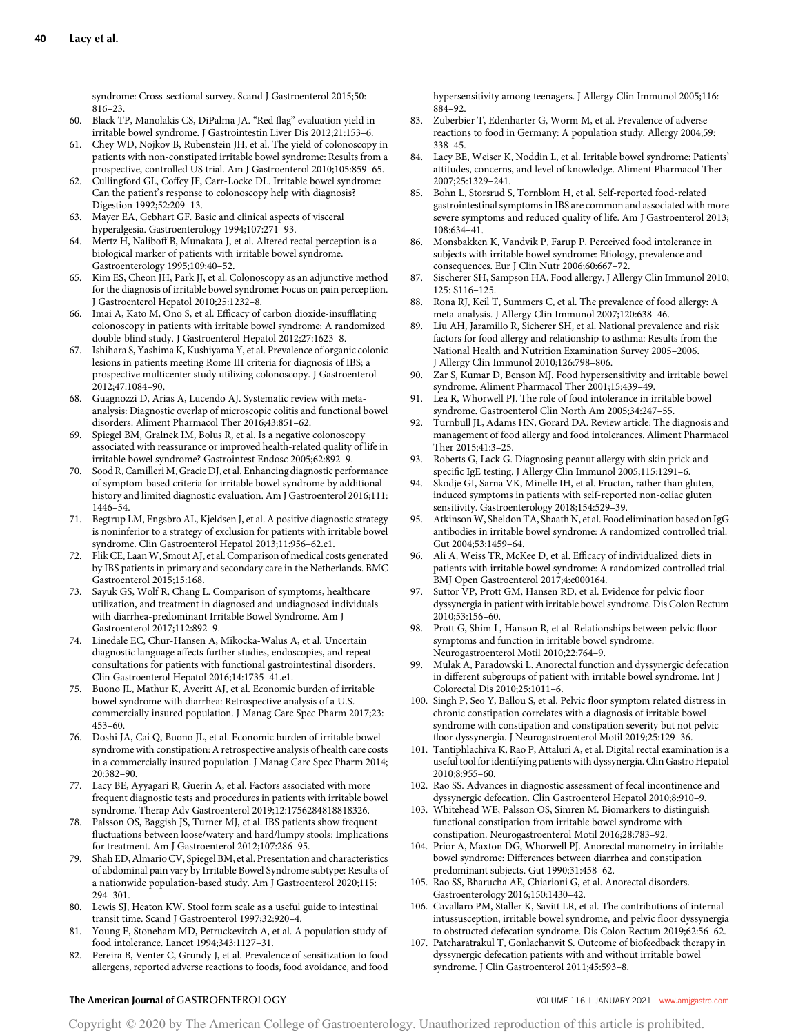syndrome: Cross-sectional survey. Scand J Gastroenterol 2015;50: 816–23.

- 60. Black TP, Manolakis CS, DiPalma JA. "Red flag" evaluation yield in irritable bowel syndrome. J Gastrointestin Liver Dis 2012;21:153–6.
- 61. Chey WD, Nojkov B, Rubenstein JH, et al. The yield of colonoscopy in patients with non-constipated irritable bowel syndrome: Results from a prospective, controlled US trial. Am J Gastroenterol 2010;105:859–65.
- 62. Cullingford GL, Coffey JF, Carr-Locke DL. Irritable bowel syndrome: Can the patient's response to colonoscopy help with diagnosis? Digestion 1992;52:209–13.
- 63. Mayer EA, Gebhart GF. Basic and clinical aspects of visceral hyperalgesia. Gastroenterology 1994;107:271–93.
- 64. Mertz H, Naliboff B, Munakata J, et al. Altered rectal perception is a biological marker of patients with irritable bowel syndrome. Gastroenterology 1995;109:40–52.
- 65. Kim ES, Cheon JH, Park JJ, et al. Colonoscopy as an adjunctive method for the diagnosis of irritable bowel syndrome: Focus on pain perception. J Gastroenterol Hepatol 2010;25:1232–8.
- 66. Imai A, Kato M, Ono S, et al. Efficacy of carbon dioxide-insufflating colonoscopy in patients with irritable bowel syndrome: A randomized double-blind study. J Gastroenterol Hepatol 2012;27:1623–8.
- 67. Ishihara S, Yashima K, Kushiyama Y, et al. Prevalence of organic colonic lesions in patients meeting Rome III criteria for diagnosis of IBS; a prospective multicenter study utilizing colonoscopy. J Gastroenterol 2012;47:1084–90.
- 68. Guagnozzi D, Arias A, Lucendo AJ. Systematic review with metaanalysis: Diagnostic overlap of microscopic colitis and functional bowel disorders. Aliment Pharmacol Ther 2016;43:851–62.
- 69. Spiegel BM, Gralnek IM, Bolus R, et al. Is a negative colonoscopy associated with reassurance or improved health-related quality of life in irritable bowel syndrome? Gastrointest Endosc 2005;62:892–9.
- 70. Sood R, Camilleri M, Gracie DJ, et al. Enhancing diagnostic performance of symptom-based criteria for irritable bowel syndrome by additional history and limited diagnostic evaluation. Am J Gastroenterol 2016;111: 1446–54.
- 71. Begtrup LM, Engsbro AL, Kjeldsen J, et al. A positive diagnostic strategy is noninferior to a strategy of exclusion for patients with irritable bowel syndrome. Clin Gastroenterol Hepatol 2013;11:956–62.e1.
- 72. Flik CE, LaanW, Smout AJ, et al. Comparison of medical costs generated by IBS patients in primary and secondary care in the Netherlands. BMC Gastroenterol 2015;15:168.
- 73. Sayuk GS, Wolf R, Chang L. Comparison of symptoms, healthcare utilization, and treatment in diagnosed and undiagnosed individuals with diarrhea-predominant Irritable Bowel Syndrome. Am J Gastroenterol 2017;112:892–9.
- 74. Linedale EC, Chur-Hansen A, Mikocka-Walus A, et al. Uncertain diagnostic language affects further studies, endoscopies, and repeat consultations for patients with functional gastrointestinal disorders. Clin Gastroenterol Hepatol 2016;14:1735–41.e1.
- 75. Buono JL, Mathur K, Averitt AJ, et al. Economic burden of irritable bowel syndrome with diarrhea: Retrospective analysis of a U.S. commercially insured population. J Manag Care Spec Pharm 2017;23: 453–60.
- 76. Doshi JA, Cai Q, Buono JL, et al. Economic burden of irritable bowel syndrome with constipation: A retrospective analysis of health care costs in a commercially insured population. J Manag Care Spec Pharm 2014; 20:382–90.
- 77. Lacy BE, Ayyagari R, Guerin A, et al. Factors associated with more frequent diagnostic tests and procedures in patients with irritable bowel syndrome. Therap Adv Gastroenterol 2019;12:1756284818818326.
- 78. Palsson OS, Baggish JS, Turner MJ, et al. IBS patients show frequent fluctuations between loose/watery and hard/lumpy stools: Implications for treatment. Am J Gastroenterol 2012;107:286–95.
- 79. Shah ED, Almario CV, Spiegel BM, et al. Presentation and characteristics of abdominal pain vary by Irritable Bowel Syndrome subtype: Results of a nationwide population-based study. Am J Gastroenterol 2020;115: 294–301.
- 80. Lewis SJ, Heaton KW. Stool form scale as a useful guide to intestinal transit time. Scand J Gastroenterol 1997;32:920–4.
- 81. Young E, Stoneham MD, Petruckevitch A, et al. A population study of food intolerance. Lancet 1994;343:1127–31.
- 82. Pereira B, Venter C, Grundy J, et al. Prevalence of sensitization to food allergens, reported adverse reactions to foods, food avoidance, and food

hypersensitivity among teenagers. J Allergy Clin Immunol 2005;116: 884–92.

- 83. Zuberbier T, Edenharter G, Worm M, et al. Prevalence of adverse reactions to food in Germany: A population study. Allergy 2004;59: 338–45.
- 84. Lacy BE, Weiser K, Noddin L, et al. Irritable bowel syndrome: Patients' attitudes, concerns, and level of knowledge. Aliment Pharmacol Ther 2007;25:1329–241.
- 85. Bohn L, Storsrud S, Tornblom H, et al. Self-reported food-related gastrointestinal symptoms in IBS are common and associated with more severe symptoms and reduced quality of life. Am J Gastroenterol 2013; 108:634–41.
- 86. Monsbakken K, Vandvik P, Farup P. Perceived food intolerance in subjects with irritable bowel syndrome: Etiology, prevalence and consequences. Eur J Clin Nutr 2006;60:667–72.
- 87. Sischerer SH, Sampson HA. Food allergy. J Allergy Clin Immunol 2010; 125: S116–125.
- 88. Rona RJ, Keil T, Summers C, et al. The prevalence of food allergy: A meta-analysis. J Allergy Clin Immunol 2007;120:638–46.
- 89. Liu AH, Jaramillo R, Sicherer SH, et al. National prevalence and risk factors for food allergy and relationship to asthma: Results from the National Health and Nutrition Examination Survey 2005–2006. J Allergy Clin Immunol 2010;126:798–806.
- 90. Zar S, Kumar D, Benson MJ. Food hypersensitivity and irritable bowel syndrome. Aliment Pharmacol Ther 2001;15:439–49.
- 91. Lea R, Whorwell PJ. The role of food intolerance in irritable bowel syndrome. Gastroenterol Clin North Am 2005;34:247–55.
- 92. Turnbull JL, Adams HN, Gorard DA. Review article: The diagnosis and management of food allergy and food intolerances. Aliment Pharmacol Ther 2015;41:3–25.
- 93. Roberts G, Lack G. Diagnosing peanut allergy with skin prick and specific IgE testing. J Allergy Clin Immunol 2005;115:1291–6.
- 94. Skodje GI, Sarna VK, Minelle IH, et al. Fructan, rather than gluten, induced symptoms in patients with self-reported non-celiac gluten sensitivity. Gastroenterology 2018;154:529–39.
- 95. AtkinsonW, Sheldon TA, Shaath N, et al. Food elimination based on IgG antibodies in irritable bowel syndrome: A randomized controlled trial. Gut 2004;53:1459–64.
- 96. Ali A, Weiss TR, McKee D, et al. Efficacy of individualized diets in patients with irritable bowel syndrome: A randomized controlled trial. BMJ Open Gastroenterol 2017;4:e000164.
- 97. Suttor VP, Prott GM, Hansen RD, et al. Evidence for pelvic floor dyssynergia in patient with irritable bowel syndrome. Dis Colon Rectum 2010;53:156–60.
- 98. Prott G, Shim L, Hanson R, et al. Relationships between pelvic floor symptoms and function in irritable bowel syndrome. Neurogastroenterol Motil 2010;22:764–9.
- 99. Mulak A, Paradowski L. Anorectal function and dyssynergic defecation in different subgroups of patient with irritable bowel syndrome. Int J Colorectal Dis 2010;25:1011–6.
- 100. Singh P, Seo Y, Ballou S, et al. Pelvic floor symptom related distress in chronic constipation correlates with a diagnosis of irritable bowel syndrome with constipation and constipation severity but not pelvic floor dyssynergia. J Neurogastroenterol Motil 2019;25:129–36.
- 101. Tantiphlachiva K, Rao P, Attaluri A, et al. Digital rectal examination is a useful tool for identifying patients with dyssynergia. Clin Gastro Hepatol 2010;8:955–60.
- 102. Rao SS. Advances in diagnostic assessment of fecal incontinence and dyssynergic defecation. Clin Gastroenterol Hepatol 2010;8:910–9.
- 103. Whitehead WE, Palsson OS, Simren M. Biomarkers to distinguish functional constipation from irritable bowel syndrome with constipation. Neurogastroenterol Motil 2016;28:783–92.
- 104. Prior A, Maxton DG, Whorwell PJ. Anorectal manometry in irritable bowel syndrome: Differences between diarrhea and constipation predominant subjects. Gut 1990;31:458–62.
- 105. Rao SS, Bharucha AE, Chiarioni G, et al. Anorectal disorders. Gastroenterology 2016;150:1430–42.
- 106. Cavallaro PM, Staller K, Savitt LR, et al. The contributions of internal intussusception, irritable bowel syndrome, and pelvic floor dyssynergia to obstructed defecation syndrome. Dis Colon Rectum 2019;62:56–62.
- 107. Patcharatrakul T, Gonlachanvit S. Outcome of biofeedback therapy in dyssynergic defecation patients with and without irritable bowel syndrome. J Clin Gastroenterol 2011;45:593–8.

# The American Journal of GASTROENTEROLOGY **And American Journal of GASTROENTEROLOGY VOLUME 116 | JANUARY 2021 [www.amjgastro.com](http://www.amjgastro.com)**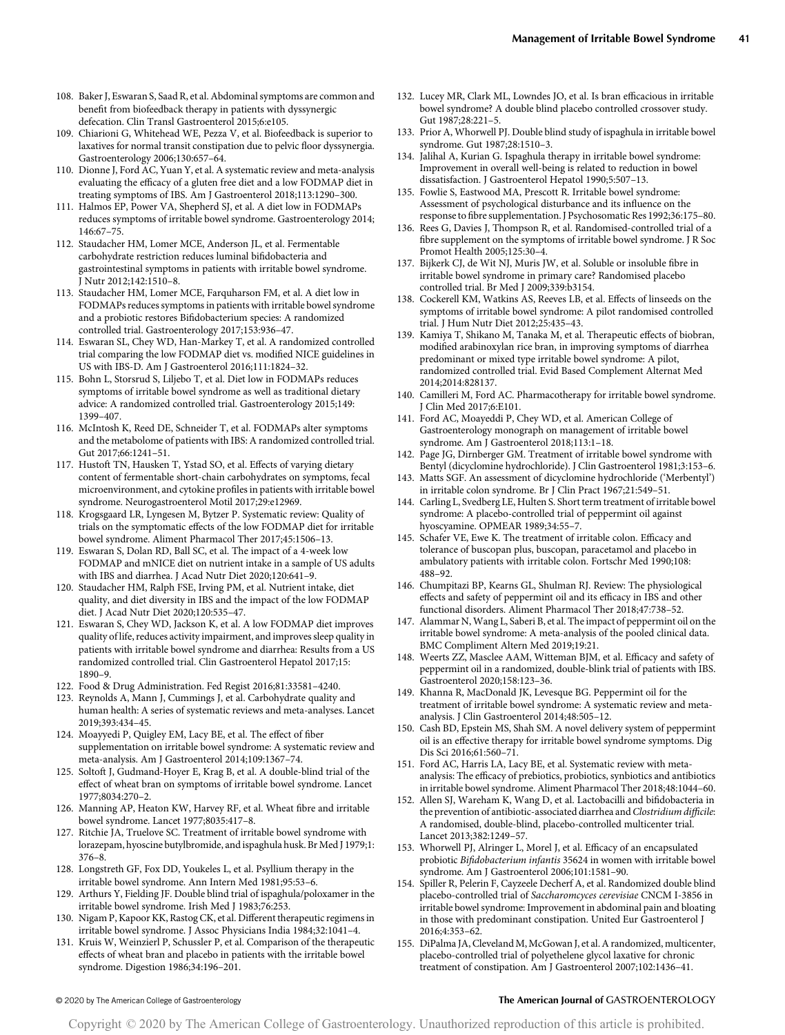- 108. Baker J, Eswaran S, Saad R, et al. Abdominal symptoms are common and benefit from biofeedback therapy in patients with dyssynergic defecation. Clin Transl Gastroenterol 2015;6:e105.
- 109. Chiarioni G, Whitehead WE, Pezza V, et al. Biofeedback is superior to laxatives for normal transit constipation due to pelvic floor dyssynergia. Gastroenterology 2006;130:657–64.
- 110. Dionne J, Ford AC, Yuan Y, et al. A systematic review and meta-analysis evaluating the efficacy of a gluten free diet and a low FODMAP diet in treating symptoms of IBS. Am J Gastroenterol 2018;113:1290–300.
- 111. Halmos EP, Power VA, Shepherd SJ, et al. A diet low in FODMAPs reduces symptoms of irritable bowel syndrome. Gastroenterology 2014; 146:67–75.
- 112. Staudacher HM, Lomer MCE, Anderson JL, et al. Fermentable carbohydrate restriction reduces luminal bifidobacteria and gastrointestinal symptoms in patients with irritable bowel syndrome. J Nutr 2012;142:1510–8.
- 113. Staudacher HM, Lomer MCE, Farquharson FM, et al. A diet low in FODMAPs reduces symptoms in patients with irritable bowel syndrome and a probiotic restores Bifidobacterium species: A randomized controlled trial. Gastroenterology 2017;153:936–47.
- 114. Eswaran SL, Chey WD, Han-Markey T, et al. A randomized controlled trial comparing the low FODMAP diet vs. modified NICE guidelines in US with IBS-D. Am J Gastroenterol 2016;111:1824–32.
- 115. Bohn L, Storsrud S, Liljebo T, et al. Diet low in FODMAPs reduces symptoms of irritable bowel syndrome as well as traditional dietary advice: A randomized controlled trial. Gastroenterology 2015;149: 1399–407.
- 116. McIntosh K, Reed DE, Schneider T, et al. FODMAPs alter symptoms and the metabolome of patients with IBS: A randomized controlled trial. Gut 2017;66:1241–51.
- 117. Hustoft TN, Hausken T, Ystad SO, et al. Effects of varying dietary content of fermentable short-chain carbohydrates on symptoms, fecal microenvironment, and cytokine profiles in patients with irritable bowel syndrome. Neurogastroenterol Motil 2017;29:e12969.
- 118. Krogsgaard LR, Lyngesen M, Bytzer P. Systematic review: Quality of trials on the symptomatic effects of the low FODMAP diet for irritable bowel syndrome. Aliment Pharmacol Ther 2017;45:1506–13.
- 119. Eswaran S, Dolan RD, Ball SC, et al. The impact of a 4-week low FODMAP and mNICE diet on nutrient intake in a sample of US adults with IBS and diarrhea. J Acad Nutr Diet 2020;120:641–9.
- 120. Staudacher HM, Ralph FSE, Irving PM, et al. Nutrient intake, diet quality, and diet diversity in IBS and the impact of the low FODMAP diet. J Acad Nutr Diet 2020;120:535–47.
- 121. Eswaran S, Chey WD, Jackson K, et al. A low FODMAP diet improves quality of life, reduces activity impairment, and improves sleep quality in patients with irritable bowel syndrome and diarrhea: Results from a US randomized controlled trial. Clin Gastroenterol Hepatol 2017;15: 1890–9.
- 122. Food & Drug Administration. Fed Regist 2016;81:33581–4240.
- 123. Reynolds A, Mann J, Cummings J, et al. Carbohydrate quality and human health: A series of systematic reviews and meta-analyses. Lancet 2019;393:434–45.
- 124. Moayyedi P, Quigley EM, Lacy BE, et al. The effect of fiber supplementation on irritable bowel syndrome: A systematic review and meta-analysis. Am J Gastroenterol 2014;109:1367–74.
- 125. Soltoft J, Gudmand-Hoyer E, Krag B, et al. A double-blind trial of the effect of wheat bran on symptoms of irritable bowel syndrome. Lancet 1977;8034:270–2.
- 126. Manning AP, Heaton KW, Harvey RF, et al. Wheat fibre and irritable bowel syndrome. Lancet 1977;8035:417–8.
- 127. Ritchie JA, Truelove SC. Treatment of irritable bowel syndrome with lorazepam, hyoscine butylbromide, and ispaghula husk. Br Med J 1979;1: 376–8.
- 128. Longstreth GF, Fox DD, Youkeles L, et al. Psyllium therapy in the irritable bowel syndrome. Ann Intern Med 1981;95:53–6.
- 129. Arthurs Y, Fielding JF. Double blind trial of ispaghula/poloxamer in the irritable bowel syndrome. Irish Med J 1983;76:253.
- 130. Nigam P, Kapoor KK, Rastog CK, et al. Different therapeutic regimens in irritable bowel syndrome. J Assoc Physicians India 1984;32:1041–4.
- 131. Kruis W, Weinzierl P, Schussler P, et al. Comparison of the therapeutic effects of wheat bran and placebo in patients with the irritable bowel syndrome. Digestion 1986;34:196–201.
- 132. Lucey MR, Clark ML, Lowndes JO, et al. Is bran efficacious in irritable bowel syndrome? A double blind placebo controlled crossover study. Gut 1987;28:221–5.
- 133. Prior A, Whorwell PJ. Double blind study of ispaghula in irritable bowel syndrome. Gut 1987;28:1510–3.
- 134. Jalihal A, Kurian G. Ispaghula therapy in irritable bowel syndrome: Improvement in overall well-being is related to reduction in bowel dissatisfaction. J Gastroenterol Hepatol 1990;5:507–13.
- 135. Fowlie S, Eastwood MA, Prescott R. Irritable bowel syndrome: Assessment of psychological disturbance and its influence on the response to fibre supplementation. J Psychosomatic Res 1992;36:175–80.
- 136. Rees G, Davies J, Thompson R, et al. Randomised-controlled trial of a fibre supplement on the symptoms of irritable bowel syndrome. J R Soc Promot Health 2005;125:30–4.
- 137. Bijkerk CJ, de Wit NJ, Muris JW, et al. Soluble or insoluble fibre in irritable bowel syndrome in primary care? Randomised placebo controlled trial. Br Med J 2009;339:b3154.
- 138. Cockerell KM, Watkins AS, Reeves LB, et al. Effects of linseeds on the symptoms of irritable bowel syndrome: A pilot randomised controlled trial. J Hum Nutr Diet 2012;25:435–43.
- 139. Kamiya T, Shikano M, Tanaka M, et al. Therapeutic effects of biobran, modified arabinoxylan rice bran, in improving symptoms of diarrhea predominant or mixed type irritable bowel syndrome: A pilot, randomized controlled trial. Evid Based Complement Alternat Med 2014;2014:828137.
- 140. Camilleri M, Ford AC. Pharmacotherapy for irritable bowel syndrome. J Clin Med 2017;6:E101.
- 141. Ford AC, Moayeddi P, Chey WD, et al. American College of Gastroenterology monograph on management of irritable bowel syndrome. Am J Gastroenterol 2018;113:1–18.
- 142. Page JG, Dirnberger GM. Treatment of irritable bowel syndrome with Bentyl (dicyclomine hydrochloride). J Clin Gastroenterol 1981;3:153–6.
- 143. Matts SGF. An assessment of dicyclomine hydrochloride ('Merbentyl') in irritable colon syndrome. Br J Clin Pract 1967;21:549–51.
- 144. Carling L, Svedberg LE, Hulten S. Short term treatment of irritable bowel syndrome: A placebo-controlled trial of peppermint oil against hyoscyamine. OPMEAR 1989;34:55–7.
- 145. Schafer VE, Ewe K. The treatment of irritable colon. Efficacy and tolerance of buscopan plus, buscopan, paracetamol and placebo in ambulatory patients with irritable colon. Fortschr Med 1990;108: 488–92.
- 146. Chumpitazi BP, Kearns GL, Shulman RJ. Review: The physiological effects and safety of peppermint oil and its efficacy in IBS and other functional disorders. Aliment Pharmacol Ther 2018;47:738–52.
- 147. Alammar N,Wang L, Saberi B, et al. The impact of peppermint oil on the irritable bowel syndrome: A meta-analysis of the pooled clinical data. BMC Compliment Altern Med 2019;19:21.
- 148. Weerts ZZ, Masclee AAM, Witteman BJM, et al. Efficacy and safety of peppermint oil in a randomized, double-blink trial of patients with IBS. Gastroenterol 2020;158:123–36.
- 149. Khanna R, MacDonald JK, Levesque BG. Peppermint oil for the treatment of irritable bowel syndrome: A systematic review and metaanalysis. J Clin Gastroenterol 2014;48:505–12.
- 150. Cash BD, Epstein MS, Shah SM. A novel delivery system of peppermint oil is an effective therapy for irritable bowel syndrome symptoms. Dig Dis Sci 2016;61:560–71.
- 151. Ford AC, Harris LA, Lacy BE, et al. Systematic review with metaanalysis: The efficacy of prebiotics, probiotics, synbiotics and antibiotics in irritable bowel syndrome. Aliment Pharmacol Ther 2018;48:1044–60.
- 152. Allen SJ, Wareham K, Wang D, et al. Lactobacilli and bifidobacteria in the prevention of antibiotic-associated diarrhea and Clostridium difficile: A randomised, double-blind, placebo-controlled multicenter trial. Lancet 2013;382:1249–57.
- 153. Whorwell PJ, Alringer L, Morel J, et al. Efficacy of an encapsulated probiotic Bifidobacterium infantis 35624 in women with irritable bowel syndrome. Am J Gastroenterol 2006;101:1581–90.
- 154. Spiller R, Pelerin F, Cayzeele Decherf A, et al. Randomized double blind placebo-controlled trial of Saccharomcyces cerevisiae CNCM I-3856 in irritable bowel syndrome: Improvement in abdominal pain and bloating in those with predominant constipation. United Eur Gastroenterol J 2016;4:353–62.
- 155. DiPalma JA, Cleveland M, McGowan J, et al. A randomized, multicenter, placebo-controlled trial of polyethelene glycol laxative for chronic treatment of constipation. Am J Gastroenterol 2007;102:1436–41.

# © 2020 by The American College of Gastroenterology The American Journal of GASTROENTEROLOGY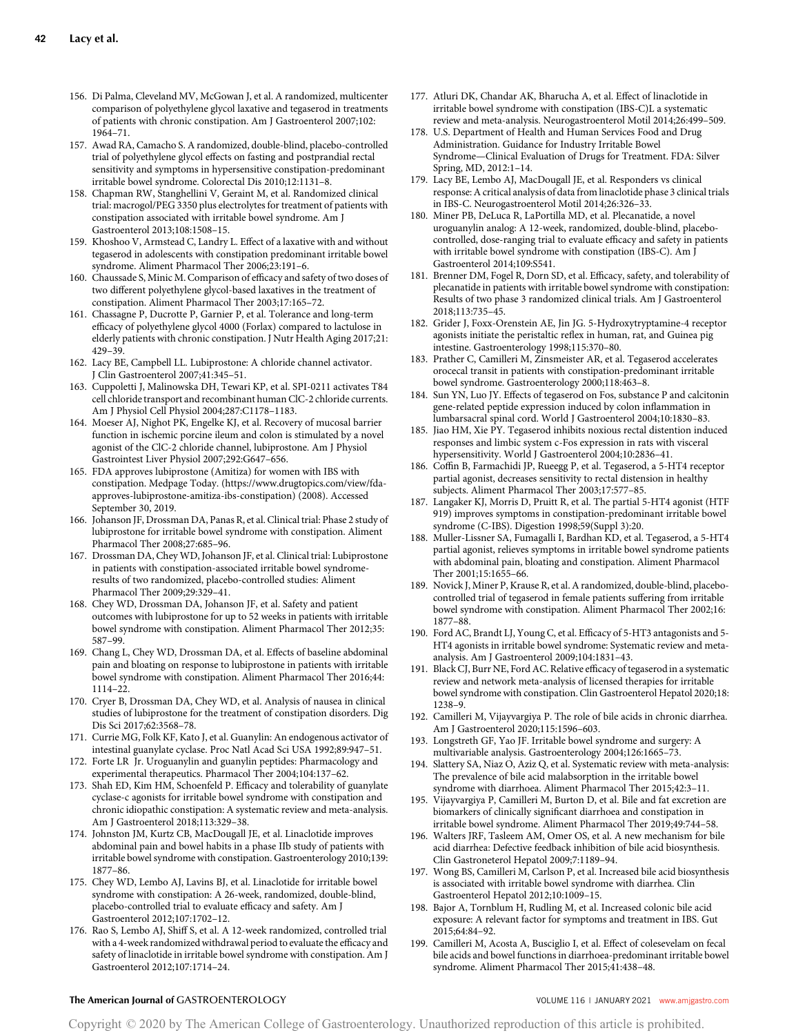- 156. Di Palma, Cleveland MV, McGowan J, et al. A randomized, multicenter comparison of polyethylene glycol laxative and tegaserod in treatments of patients with chronic constipation. Am J Gastroenterol 2007;102: 1964–71.
- 157. Awad RA, Camacho S. A randomized, double-blind, placebo-controlled trial of polyethylene glycol effects on fasting and postprandial rectal sensitivity and symptoms in hypersensitive constipation-predominant irritable bowel syndrome. Colorectal Dis 2010;12:1131–8.
- 158. Chapman RW, Stanghellini V, Geraint M, et al. Randomized clinical trial: macrogol/PEG 3350 plus electrolytes for treatment of patients with constipation associated with irritable bowel syndrome. Am J Gastroenterol 2013;108:1508–15.
- 159. Khoshoo V, Armstead C, Landry L. Effect of a laxative with and without tegaserod in adolescents with constipation predominant irritable bowel syndrome. Aliment Pharmacol Ther 2006;23:191–6.
- 160. Chaussade S, Minic M. Comparison of efficacy and safety of two doses of two different polyethylene glycol-based laxatives in the treatment of constipation. Aliment Pharmacol Ther 2003;17:165–72.
- 161. Chassagne P, Ducrotte P, Garnier P, et al. Tolerance and long-term efficacy of polyethylene glycol 4000 (Forlax) compared to lactulose in elderly patients with chronic constipation. J Nutr Health Aging 2017;21: 429–39.
- 162. Lacy BE, Campbell LL. Lubiprostone: A chloride channel activator. J Clin Gastroenterol 2007;41:345–51.
- 163. Cuppoletti J, Malinowska DH, Tewari KP, et al. SPI-0211 activates T84 cell chloride transport and recombinant human ClC-2 chloride currents. Am J Physiol Cell Physiol 2004;287:C1178–1183.
- 164. Moeser AJ, Nighot PK, Engelke KJ, et al. Recovery of mucosal barrier function in ischemic porcine ileum and colon is stimulated by a novel agonist of the ClC-2 chloride channel, lubiprostone. Am J Physiol Gastrointest Liver Physiol 2007;292:G647–656.
- 165. FDA approves lubiprostone (Amitiza) for women with IBS with constipation. Medpage Today. [\(https://www.drugtopics.com/view/fda]((https://www.drugtopics.com/view/fda-approves-lubiprostone-amitiza-ibs-constipation))[approves-lubiprostone-amitiza-ibs-constipation\)]((https://www.drugtopics.com/view/fda-approves-lubiprostone-amitiza-ibs-constipation)) (2008). Accessed September 30, 2019.
- 166. Johanson JF, Drossman DA, Panas R, et al. Clinical trial: Phase 2 study of lubiprostone for irritable bowel syndrome with constipation. Aliment Pharmacol Ther 2008;27:685–96.
- 167. Drossman DA, Chey WD, Johanson JF, et al. Clinical trial: Lubiprostone in patients with constipation-associated irritable bowel syndromeresults of two randomized, placebo-controlled studies: Aliment Pharmacol Ther 2009;29:329–41.
- 168. Chey WD, Drossman DA, Johanson JF, et al. Safety and patient outcomes with lubiprostone for up to 52 weeks in patients with irritable bowel syndrome with constipation. Aliment Pharmacol Ther 2012;35: 587–99.
- 169. Chang L, Chey WD, Drossman DA, et al. Effects of baseline abdominal pain and bloating on response to lubiprostone in patients with irritable bowel syndrome with constipation. Aliment Pharmacol Ther 2016;44: 1114–22.
- 170. Cryer B, Drossman DA, Chey WD, et al. Analysis of nausea in clinical studies of lubiprostone for the treatment of constipation disorders. Dig Dis Sci 2017;62:3568–78.
- 171. Currie MG, Folk KF, Kato J, et al. Guanylin: An endogenous activator of intestinal guanylate cyclase. Proc Natl Acad Sci USA 1992;89:947–51.
- 172. Forte LR Jr. Uroguanylin and guanylin peptides: Pharmacology and experimental therapeutics. Pharmacol Ther 2004;104:137–62.
- 173. Shah ED, Kim HM, Schoenfeld P. Efficacy and tolerability of guanylate cyclase-c agonists for irritable bowel syndrome with constipation and chronic idiopathic constipation: A systematic review and meta-analysis. Am J Gastroenterol 2018;113:329–38.
- 174. Johnston JM, Kurtz CB, MacDougall JE, et al. Linaclotide improves abdominal pain and bowel habits in a phase IIb study of patients with irritable bowel syndrome with constipation. Gastroenterology 2010;139: 1877–86.
- 175. Chey WD, Lembo AJ, Lavins BJ, et al. Linaclotide for irritable bowel syndrome with constipation: A 26-week, randomized, double-blind, placebo-controlled trial to evaluate efficacy and safety. Am J Gastroenterol 2012;107:1702–12.
- 176. Rao S, Lembo AJ, Shiff S, et al. A 12-week randomized, controlled trial with a 4-week randomized withdrawal period to evaluate the efficacy and safety of linaclotide in irritable bowel syndrome with constipation. Am J Gastroenterol 2012;107:1714–24.
- 177. Atluri DK, Chandar AK, Bharucha A, et al. Effect of linaclotide in irritable bowel syndrome with constipation (IBS-C)L a systematic review and meta-analysis. Neurogastroenterol Motil 2014;26:499–509.
- 178. U.S. Department of Health and Human Services Food and Drug Administration. Guidance for Industry Irritable Bowel Syndrome—Clinical Evaluation of Drugs for Treatment. FDA: Silver Spring, MD, 2012:1–14.
- 179. Lacy BE, Lembo AJ, MacDougall JE, et al. Responders vs clinical response: A critical analysis of data from linaclotide phase 3 clinical trials in IBS-C. Neurogastroenterol Motil 2014;26:326–33.
- 180. Miner PB, DeLuca R, LaPortilla MD, et al. Plecanatide, a novel uroguanylin analog: A 12-week, randomized, double-blind, placebocontrolled, dose-ranging trial to evaluate efficacy and safety in patients with irritable bowel syndrome with constipation (IBS-C). Am J Gastroenterol 2014;109:S541.
- 181. Brenner DM, Fogel R, Dorn SD, et al. Efficacy, safety, and tolerability of plecanatide in patients with irritable bowel syndrome with constipation: Results of two phase 3 randomized clinical trials. Am J Gastroenterol 2018;113:735–45.
- 182. Grider J, Foxx-Orenstein AE, Jin JG. 5-Hydroxytryptamine-4 receptor agonists initiate the peristaltic reflex in human, rat, and Guinea pig intestine. Gastroenterology 1998;115:370–80.
- 183. Prather C, Camilleri M, Zinsmeister AR, et al. Tegaserod accelerates orocecal transit in patients with constipation-predominant irritable bowel syndrome. Gastroenterology 2000;118:463–8.
- 184. Sun YN, Luo JY. Effects of tegaserod on Fos, substance P and calcitonin gene-related peptide expression induced by colon inflammation in lumbarsacral spinal cord. World J Gastroenterol 2004;10:1830–83.
- 185. Jiao HM, Xie PY. Tegaserod inhibits noxious rectal distention induced responses and limbic system c-Fos expression in rats with visceral hypersensitivity. World J Gastroenterol 2004;10:2836–41.
- 186. Coffin B, Farmachidi JP, Rueegg P, et al. Tegaserod, a 5-HT4 receptor partial agonist, decreases sensitivity to rectal distension in healthy subjects. Aliment Pharmacol Ther 2003;17:577–85.
- 187. Langaker KJ, Morris D, Pruitt R, et al. The partial 5-HT4 agonist (HTF 919) improves symptoms in constipation-predominant irritable bowel syndrome (C-IBS). Digestion 1998;59(Suppl 3):20.
- 188. Muller-Lissner SA, Fumagalli I, Bardhan KD, et al. Tegaserod, a 5-HT4 partial agonist, relieves symptoms in irritable bowel syndrome patients with abdominal pain, bloating and constipation. Aliment Pharmacol Ther 2001;15:1655–66.
- 189. Novick J, Miner P, Krause R, et al. A randomized, double-blind, placebocontrolled trial of tegaserod in female patients suffering from irritable bowel syndrome with constipation. Aliment Pharmacol Ther 2002;16: 1877–88.
- 190. Ford AC, Brandt LJ, Young C, et al. Efficacy of 5-HT3 antagonists and 5- HT4 agonists in irritable bowel syndrome: Systematic review and metaanalysis. Am J Gastroenterol 2009;104:1831–43.
- 191. Black CJ, Burr NE, Ford AC. Relative efficacy of tegaserod in a systematic review and network meta-analysis of licensed therapies for irritable bowel syndrome with constipation. Clin Gastroenterol Hepatol 2020;18: 1238–9.
- 192. Camilleri M, Vijayvargiya P. The role of bile acids in chronic diarrhea. Am J Gastroenterol 2020;115:1596–603.
- 193. Longstreth GF, Yao JF. Irritable bowel syndrome and surgery: A multivariable analysis. Gastroenterology 2004;126:1665–73.
- 194. Slattery SA, Niaz O, Aziz Q, et al. Systematic review with meta-analysis: The prevalence of bile acid malabsorption in the irritable bowel syndrome with diarrhoea. Aliment Pharmacol Ther 2015;42:3–11.
- 195. Vijayvargiya P, Camilleri M, Burton D, et al. Bile and fat excretion are biomarkers of clinically significant diarrhoea and constipation in irritable bowel syndrome. Aliment Pharmacol Ther 2019;49:744–58.
- 196. Walters JRF, Tasleem AM, Omer OS, et al. A new mechanism for bile acid diarrhea: Defective feedback inhibition of bile acid biosynthesis. Clin Gastroneterol Hepatol 2009;7:1189–94.
- 197. Wong BS, Camilleri M, Carlson P, et al. Increased bile acid biosynthesis is associated with irritable bowel syndrome with diarrhea. Clin Gastroenterol Hepatol 2012;10:1009–15.
- 198. Bajor A, Tornblum H, Rudling M, et al. Increased colonic bile acid exposure: A relevant factor for symptoms and treatment in IBS. Gut 2015;64:84–92.
- 199. Camilleri M, Acosta A, Busciglio I, et al. Effect of colesevelam on fecal bile acids and bowel functions in diarrhoea-predominant irritable bowel syndrome. Aliment Pharmacol Ther 2015;41:438–48.

# The American Journal of GASTROENTEROLOGY **And American Journal of GASTROENTEROLOGY VOLUME 116 | JANUARY 2021 [www.amjgastro.com](http://www.amjgastro.com)**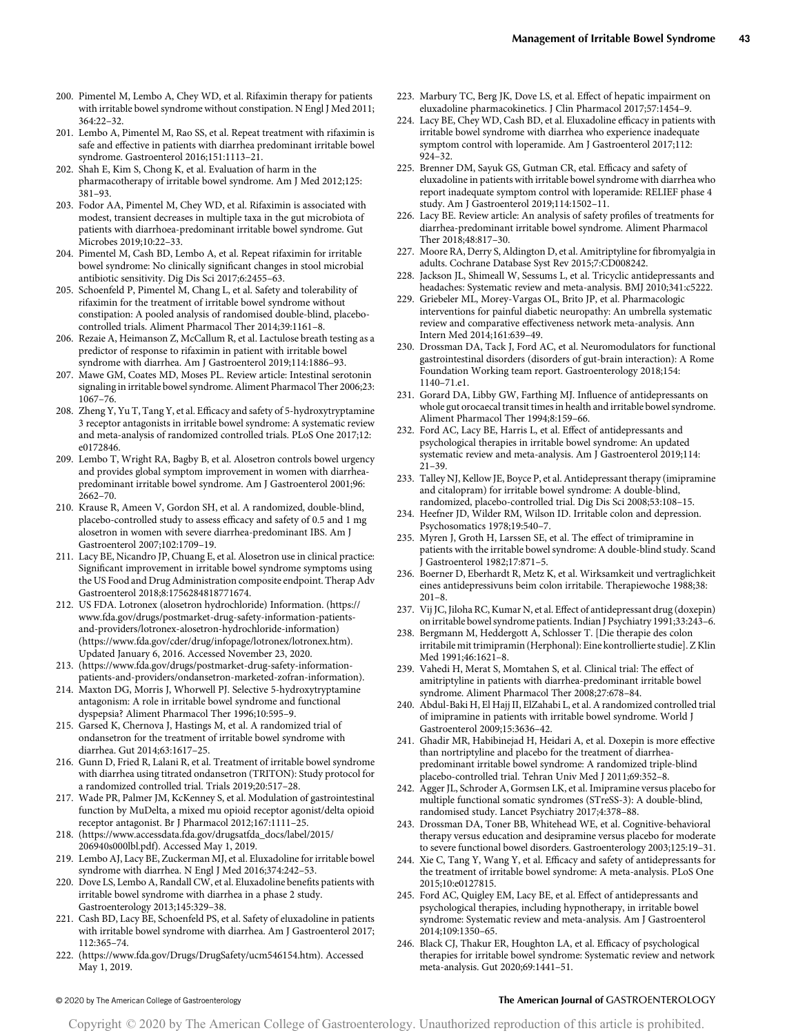- 200. Pimentel M, Lembo A, Chey WD, et al. Rifaximin therapy for patients with irritable bowel syndrome without constipation. N Engl J Med 2011; 364:22–32.
- 201. Lembo A, Pimentel M, Rao SS, et al. Repeat treatment with rifaximin is safe and effective in patients with diarrhea predominant irritable bowel syndrome. Gastroenterol 2016;151:1113–21.
- 202. Shah E, Kim S, Chong K, et al. Evaluation of harm in the pharmacotherapy of irritable bowel syndrome. Am J Med 2012;125: 381–93.
- 203. Fodor AA, Pimentel M, Chey WD, et al. Rifaximin is associated with modest, transient decreases in multiple taxa in the gut microbiota of patients with diarrhoea-predominant irritable bowel syndrome. Gut Microbes 2019;10:22–33.
- 204. Pimentel M, Cash BD, Lembo A, et al. Repeat rifaximin for irritable bowel syndrome: No clinically significant changes in stool microbial antibiotic sensitivity. Dig Dis Sci 2017;6:2455–63.
- 205. Schoenfeld P, Pimentel M, Chang L, et al. Safety and tolerability of rifaximin for the treatment of irritable bowel syndrome without constipation: A pooled analysis of randomised double-blind, placebocontrolled trials. Aliment Pharmacol Ther 2014;39:1161–8.
- 206. Rezaie A, Heimanson Z, McCallum R, et al. Lactulose breath testing as a predictor of response to rifaximin in patient with irritable bowel syndrome with diarrhea. Am J Gastroenterol 2019;114:1886–93.
- 207. Mawe GM, Coates MD, Moses PL. Review article: Intestinal serotonin signaling in irritable bowel syndrome. Aliment Pharmacol Ther 2006;23: 1067–76.
- 208. Zheng Y, Yu T, Tang Y, et al. Efficacy and safety of 5-hydroxytryptamine 3 receptor antagonists in irritable bowel syndrome: A systematic review and meta-analysis of randomized controlled trials. PLoS One 2017;12: e0172846.
- 209. Lembo T, Wright RA, Bagby B, et al. Alosetron controls bowel urgency and provides global symptom improvement in women with diarrheapredominant irritable bowel syndrome. Am J Gastroenterol 2001;96: 2662–70.
- 210. Krause R, Ameen V, Gordon SH, et al. A randomized, double-blind, placebo-controlled study to assess efficacy and safety of 0.5 and 1 mg alosetron in women with severe diarrhea-predominant IBS. Am J Gastroenterol 2007;102:1709–19.
- 211. Lacy BE, Nicandro JP, Chuang E, et al. Alosetron use in clinical practice: Significant improvement in irritable bowel syndrome symptoms using the US Food and Drug Administration composite endpoint. Therap Adv Gastroenterol 2018;8:1756284818771674.
- 212. US FDA. Lotronex (alosetron hydrochloride) Information. ([https://](https://www.fda.gov/drugs/postmarket-drug-safety-information-patients-and-providers/lotronex-alosetron-hydrochloride-information) [www.fda.gov/drugs/postmarket-drug-safety-information-patients](https://www.fda.gov/drugs/postmarket-drug-safety-information-patients-and-providers/lotronex-alosetron-hydrochloride-information)[and-providers/lotronex-alosetron-hydrochloride-information](https://www.fda.gov/drugs/postmarket-drug-safety-information-patients-and-providers/lotronex-alosetron-hydrochloride-information)) [\(https://www.fda.gov/cder/drug/infopage/lotronex/lotronex.htm](https://www.fda.gov/cder/drug/infopage/lotronex/lotronex.htm)). Updated January 6, 2016. Accessed November 23, 2020.
- 213. [\(https://www.fda.gov/drugs/postmarket-drug-safety-information](https://www.fda.gov/drugs/postmarket-drug-safety-information-patients-and-providers/ondansetron-marketed-zofran-information)[patients-and-providers/ondansetron-marketed-zofran-information](https://www.fda.gov/drugs/postmarket-drug-safety-information-patients-and-providers/ondansetron-marketed-zofran-information)).
- 214. Maxton DG, Morris J, Whorwell PJ. Selective 5-hydroxytryptamine antagonism: A role in irritable bowel syndrome and functional dyspepsia? Aliment Pharmacol Ther 1996;10:595–9.
- 215. Garsed K, Chernova J, Hastings M, et al. A randomized trial of ondansetron for the treatment of irritable bowel syndrome with diarrhea. Gut 2014;63:1617–25.
- 216. Gunn D, Fried R, Lalani R, et al. Treatment of irritable bowel syndrome with diarrhea using titrated ondansetron (TRITON): Study protocol for a randomized controlled trial. Trials 2019;20:517–28.
- 217. Wade PR, Palmer JM, KcKenney S, et al. Modulation of gastrointestinal function by MuDelta, a mixed mu opioid receptor agonist/delta opioid receptor antagonist. Br J Pharmacol 2012;167:1111–25.
- 218. [\(https://www.accessdata.fda.gov/drugsatfda\\_docs/label/2015/](https://www.accessdata.fda.gov/drugsatfda_docs/label/2015/206940s000lbl.pdf) [206940s000lbl.pdf\)](https://www.accessdata.fda.gov/drugsatfda_docs/label/2015/206940s000lbl.pdf). Accessed May 1, 2019.
- 219. Lembo AJ, Lacy BE, Zuckerman MJ, et al. Eluxadoline for irritable bowel syndrome with diarrhea. N Engl J Med 2016;374:242–53.
- 220. Dove LS, Lembo A, Randall CW, et al. Eluxadoline benefits patients with irritable bowel syndrome with diarrhea in a phase 2 study. Gastroenterology 2013;145:329–38.
- 221. Cash BD, Lacy BE, Schoenfeld PS, et al. Safety of eluxadoline in patients with irritable bowel syndrome with diarrhea. Am J Gastroenterol 2017; 112:365–74.
- 222. [\(https://www.fda.gov/Drugs/DrugSafety/ucm546154.htm\)](https://www.fda.gov/Drugs/DrugSafety/ucm546154.htm). Accessed May 1, 2019.
- 223. Marbury TC, Berg JK, Dove LS, et al. Effect of hepatic impairment on eluxadoline pharmacokinetics. J Clin Pharmacol 2017;57:1454–9.
- 224. Lacy BE, Chey WD, Cash BD, et al. Eluxadoline efficacy in patients with irritable bowel syndrome with diarrhea who experience inadequate symptom control with loperamide. Am J Gastroenterol 2017;112: 924–32.
- 225. Brenner DM, Sayuk GS, Gutman CR, etal. Efficacy and safety of eluxadoline in patients with irritable bowel syndrome with diarrhea who report inadequate symptom control with loperamide: RELIEF phase 4 study. Am J Gastroenterol 2019;114:1502–11.
- 226. Lacy BE. Review article: An analysis of safety profiles of treatments for diarrhea-predominant irritable bowel syndrome. Aliment Pharmacol Ther 2018;48:817–30.
- 227. Moore RA, Derry S, Aldington D, et al. Amitriptyline for fibromyalgia in adults. Cochrane Database Syst Rev 2015;7:CD008242.
- 228. Jackson JL, Shimeall W, Sessums L, et al. Tricyclic antidepressants and headaches: Systematic review and meta-analysis. BMJ 2010;341:c5222.
- 229. Griebeler ML, Morey-Vargas OL, Brito JP, et al. Pharmacologic interventions for painful diabetic neuropathy: An umbrella systematic review and comparative effectiveness network meta-analysis. Ann Intern Med 2014;161:639–49.
- 230. Drossman DA, Tack J, Ford AC, et al. Neuromodulators for functional gastrointestinal disorders (disorders of gut-brain interaction): A Rome Foundation Working team report. Gastroenterology 2018;154: 1140–71.e1.
- 231. Gorard DA, Libby GW, Farthing MJ. Influence of antidepressants on whole gut orocaecal transit times in health and irritable bowel syndrome. Aliment Pharmacol Ther 1994;8:159–66.
- 232. Ford AC, Lacy BE, Harris L, et al. Effect of antidepressants and psychological therapies in irritable bowel syndrome: An updated systematic review and meta-analysis. Am J Gastroenterol 2019;114: 21–39.
- 233. Talley NJ, Kellow JE, Boyce P, et al. Antidepressant therapy (imipramine and citalopram) for irritable bowel syndrome: A double-blind, randomized, placebo-controlled trial. Dig Dis Sci 2008;53:108–15.
- 234. Heefner JD, Wilder RM, Wilson ID. Irritable colon and depression. Psychosomatics 1978;19:540–7.
- 235. Myren J, Groth H, Larssen SE, et al. The effect of trimipramine in patients with the irritable bowel syndrome: A double-blind study. Scand J Gastroenterol 1982;17:871–5.
- 236. Boerner D, Eberhardt R, Metz K, et al. Wirksamkeit und vertraglichkeit eines antidepressivuns beim colon irritabile. Therapiewoche 1988;38: 201–8.
- 237. Vij JC, Jiloha RC, Kumar N, et al. Effect of antidepressant drug (doxepin) on irritable bowel syndrome patients. Indian J Psychiatry 1991;33:243–6.
- 238. Bergmann M, Heddergott A, Schlosser T. [Die therapie des colon irritabile mit trimipramin (Herphonal): Eine kontrollierte studie]. Z Klin Med 1991;46:1621–8.
- 239. Vahedi H, Merat S, Momtahen S, et al. Clinical trial: The effect of amitriptyline in patients with diarrhea-predominant irritable bowel syndrome. Aliment Pharmacol Ther 2008;27:678–84.
- 240. Abdul-Baki H, El Hajj II, ElZahabi L, et al. A randomized controlled trial of imipramine in patients with irritable bowel syndrome. World J Gastroenterol 2009;15:3636–42.
- 241. Ghadir MR, Habibinejad H, Heidari A, et al. Doxepin is more effective than nortriptyline and placebo for the treatment of diarrheapredominant irritable bowel syndrome: A randomized triple-blind placebo-controlled trial. Tehran Univ Med J 2011;69:352–8.
- 242. Agger JL, Schroder A, Gormsen LK, et al. Imipramine versus placebo for multiple functional somatic syndromes (STreSS-3): A double-blind, randomised study. Lancet Psychiatry 2017;4:378–88.
- 243. Drossman DA, Toner BB, Whitehead WE, et al. Cognitive-behavioral therapy versus education and desipramine versus placebo for moderate to severe functional bowel disorders. Gastroenterology 2003;125:19–31.
- 244. Xie C, Tang Y, Wang Y, et al. Efficacy and safety of antidepressants for the treatment of irritable bowel syndrome: A meta-analysis. PLoS One 2015;10:e0127815.
- 245. Ford AC, Quigley EM, Lacy BE, et al. Effect of antidepressants and psychological therapies, including hypnotherapy, in irritable bowel syndrome: Systematic review and meta-analysis. Am J Gastroenterol 2014;109:1350–65.
- 246. Black CJ, Thakur ER, Houghton LA, et al. Efficacy of psychological therapies for irritable bowel syndrome: Systematic review and network meta-analysis. Gut 2020;69:1441–51.

### © 2020 by The American College of Gastroenterology The American Journal of GASTROENTEROLOGY